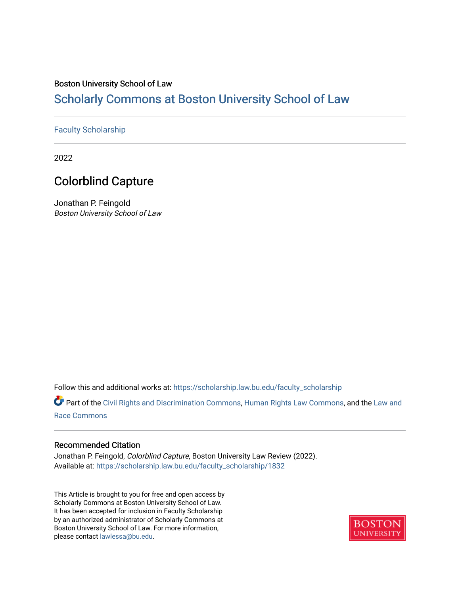## Boston University School of Law

# [Scholarly Commons at Boston University School of Law](https://scholarship.law.bu.edu/)

## [Faculty Scholarship](https://scholarship.law.bu.edu/faculty_scholarship)

2022

# Colorblind Capture

Jonathan P. Feingold Boston University School of Law

Follow this and additional works at: [https://scholarship.law.bu.edu/faculty\\_scholarship](https://scholarship.law.bu.edu/faculty_scholarship?utm_source=scholarship.law.bu.edu%2Ffaculty_scholarship%2F1832&utm_medium=PDF&utm_campaign=PDFCoverPages)

Part of the [Civil Rights and Discrimination Commons,](http://network.bepress.com/hgg/discipline/585?utm_source=scholarship.law.bu.edu%2Ffaculty_scholarship%2F1832&utm_medium=PDF&utm_campaign=PDFCoverPages) [Human Rights Law Commons,](http://network.bepress.com/hgg/discipline/847?utm_source=scholarship.law.bu.edu%2Ffaculty_scholarship%2F1832&utm_medium=PDF&utm_campaign=PDFCoverPages) and the [Law and](http://network.bepress.com/hgg/discipline/1300?utm_source=scholarship.law.bu.edu%2Ffaculty_scholarship%2F1832&utm_medium=PDF&utm_campaign=PDFCoverPages) [Race Commons](http://network.bepress.com/hgg/discipline/1300?utm_source=scholarship.law.bu.edu%2Ffaculty_scholarship%2F1832&utm_medium=PDF&utm_campaign=PDFCoverPages) 

## Recommended Citation

Jonathan P. Feingold, Colorblind Capture, Boston University Law Review (2022). Available at: [https://scholarship.law.bu.edu/faculty\\_scholarship/1832](https://scholarship.law.bu.edu/faculty_scholarship/1832?utm_source=scholarship.law.bu.edu%2Ffaculty_scholarship%2F1832&utm_medium=PDF&utm_campaign=PDFCoverPages)

This Article is brought to you for free and open access by Scholarly Commons at Boston University School of Law. It has been accepted for inclusion in Faculty Scholarship by an authorized administrator of Scholarly Commons at Boston University School of Law. For more information, please contact [lawlessa@bu.edu](mailto:lawlessa@bu.edu).

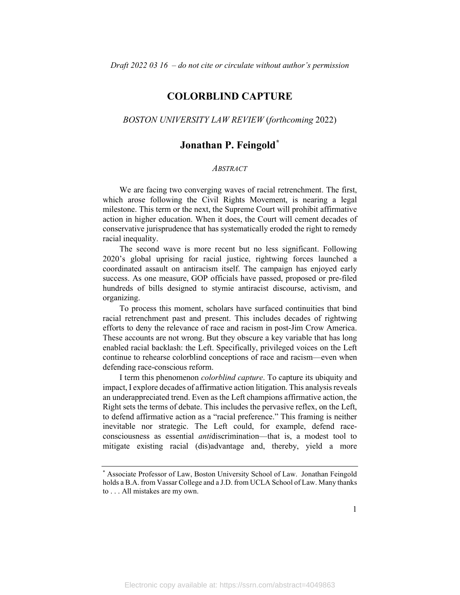# **COLORBLIND CAPTURE**

## *BOSTON UNIVERSITY LAW REVIEW* (*forthcoming* 2022)

# **Jonathan P. Feingold[\\*](#page-1-0)**

#### *ABSTRACT*

We are facing two converging waves of racial retrenchment. The first, which arose following the Civil Rights Movement, is nearing a legal milestone. This term or the next, the Supreme Court will prohibit affirmative action in higher education. When it does, the Court will cement decades of conservative jurisprudence that has systematically eroded the right to remedy racial inequality.

The second wave is more recent but no less significant. Following 2020's global uprising for racial justice, rightwing forces launched a coordinated assault on antiracism itself. The campaign has enjoyed early success. As one measure, GOP officials have passed, proposed or pre-filed hundreds of bills designed to stymie antiracist discourse, activism, and organizing.

To process this moment, scholars have surfaced continuities that bind racial retrenchment past and present. This includes decades of rightwing efforts to deny the relevance of race and racism in post-Jim Crow America. These accounts are not wrong. But they obscure a key variable that has long enabled racial backlash: the Left. Specifically, privileged voices on the Left continue to rehearse colorblind conceptions of race and racism—even when defending race-conscious reform.

I term this phenomenon *colorblind capture*. To capture its ubiquity and impact, I explore decades of affirmative action litigation. This analysis reveals an underappreciated trend. Even as the Left champions affirmative action, the Right sets the terms of debate. This includes the pervasive reflex, on the Left, to defend affirmative action as a "racial preference." This framing is neither inevitable nor strategic. The Left could, for example, defend raceconsciousness as essential *anti*discrimination—that is, a modest tool to mitigate existing racial (dis)advantage and, thereby, yield a more

<span id="page-1-0"></span><sup>\*</sup> Associate Professor of Law, Boston University School of Law. Jonathan Feingold holds a B.A. from Vassar College and a J.D. from UCLA School of Law. Many thanks to . . . All mistakes are my own.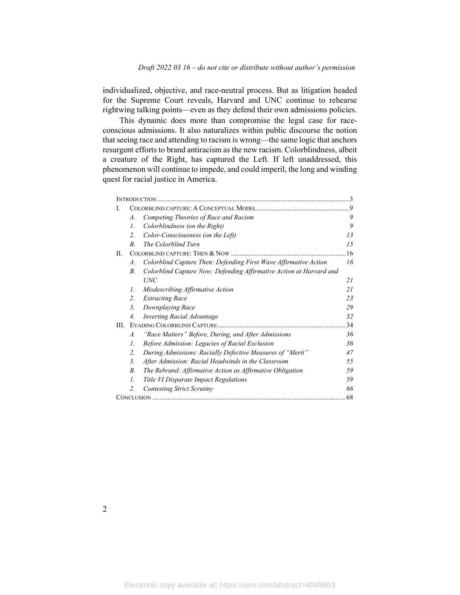individualized, objective, and race-neutral process. But as litigation headed for the Supreme Court reveals, Harvard and UNC continue to rehearse rightwing talking points—even as they defend their own admissions policies.

This dynamic does more than compromise the legal case for raceconscious admissions. It also naturalizes within public discourse the notion that seeing race and attending to racism is wrong—the same logic that anchors resurgent efforts to brand antiracism as the new racism. Colorblindness, albeit a creature of the Right, has captured the Left. If left unaddressed, this phenomenon will continue to impede, and could imperil, the long and winding quest for racial justice in America.

| L    |                  |                                                                     | $\cdot$ 9     |
|------|------------------|---------------------------------------------------------------------|---------------|
|      | $\mathcal{A}$ .  | Competing Theories of Race and Racism                               | 9             |
|      | $\mathcal{I}$ .  | Colorblindness (on the Right)                                       | 9             |
|      | $\overline{2}$ . | Color-Consciousness (on the Left)                                   | 13            |
|      | $B_{\cdot}$      | The Colorblind Turn                                                 | 15            |
| H.   |                  |                                                                     | <sup>16</sup> |
|      | A.               | Colorblind Capture Then: Defending First Wave Affirmative Action    | 16            |
|      | $B_{\cdot}$      | Colorblind Capture Now: Defending Affirmative Action at Harvard and |               |
|      |                  | <b>UNC</b>                                                          | 21            |
|      | 1.               | Misdescribing Affirmative Action                                    | 21            |
|      | 2.               | <b>Extracting Race</b>                                              | 23            |
|      | $\mathfrak{Z}$ . | Downplaying Race                                                    | 29            |
|      | $\overline{4}$ . | <b>Inverting Racial Advantage</b>                                   | 32            |
| III. |                  |                                                                     | 34            |
|      | $\mathcal{A}$ .  | "Race Matters" Before, During, and After Admissions                 | 36            |
|      | $\mathcal{I}$ .  | Before Admission: Legacies of Racial Exclusion                      | 36            |
|      | 2.               | During Admissions: Racially Defective Measures of "Merit"           | 47            |
|      | 3 <sub>1</sub>   | After Admission: Racial Headwinds in the Classroom                  | 55            |
|      | $B_{\cdot}$      | The Rebrand: Affirmative Action as Affirmative Obligation           | 59            |
|      | $\mathcal{I}$ .  | Title VI Disparate Impact Regulations                               | 59            |
|      | 2.               | <b>Contesting Strict Scrutiny</b>                                   | 66            |
|      | 68               |                                                                     |               |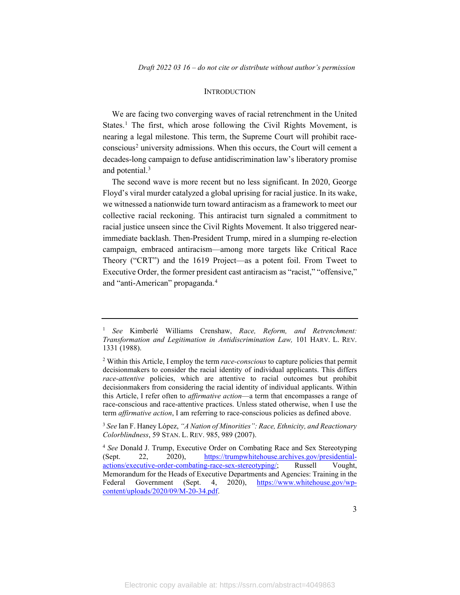#### **INTRODUCTION**

We are facing two converging waves of racial retrenchment in the United States. [1](#page-3-0) The first, which arose following the Civil Rights Movement, is nearing a legal milestone. This term, the Supreme Court will prohibit race-conscious<sup>[2](#page-3-1)</sup> university admissions. When this occurs, the Court will cement a decades-long campaign to defuse antidiscrimination law's liberatory promise and potential. [3](#page-3-2)

The second wave is more recent but no less significant. In 2020, George Floyd's viral murder catalyzed a global uprising for racial justice. In its wake, we witnessed a nationwide turn toward antiracism as a framework to meet our collective racial reckoning. This antiracist turn signaled a commitment to racial justice unseen since the Civil Rights Movement. It also triggered nearimmediate backlash. Then-President Trump, mired in a slumping re-election campaign, embraced antiracism—among more targets like Critical Race Theory ("CRT") and the 1619 Project—as a potent foil. From Tweet to Executive Order, the former president cast antiracism as "racist," "offensive," and "anti-American" propaganda. [4](#page-3-3)

<span id="page-3-0"></span><sup>1</sup> *See* Kimberlé Williams Crenshaw, *Race, Reform, and Retrenchment: Transformation and Legitimation in Antidiscrimination Law,* 101 HARV. L. REV. 1331 (1988).

<span id="page-3-1"></span><sup>2</sup> Within this Article, I employ the term *race-conscious* to capture policies that permit decisionmakers to consider the racial identity of individual applicants. This differs *race-attentive* policies, which are attentive to racial outcomes but prohibit decisionmakers from considering the racial identity of individual applicants. Within this Article, I refer often to *affirmative action*—a term that encompasses a range of race-conscious and race-attentive practices. Unless stated otherwise, when I use the term *affirmative action*, I am referring to race-conscious policies as defined above.

<span id="page-3-2"></span><sup>3</sup> *See* Ian F. Haney López, *"A Nation of Minorities": Race, Ethnicity, and Reactionary Colorblindness*, 59 STAN. L. REV. 985, 989 (2007).

<span id="page-3-3"></span><sup>4</sup> *See* Donald J. Trump, Executive Order on Combating Race and Sex Stereotyping (Sept. 22, 2020), [https://trumpwhitehouse.archives.gov/presidential](https://trumpwhitehouse.archives.gov/presidential-actions/executive-order-combating-race-sex-stereotyping/)[actions/executive-order-combating-race-sex-stereotyping/;](https://trumpwhitehouse.archives.gov/presidential-actions/executive-order-combating-race-sex-stereotyping/) Russell Vought, Memorandum for the Heads of Executive Departments and Agencies: Training in the Federal Government (Sept. 4, 2020), [https://www.whitehouse.gov/wp](https://www.whitehouse.gov/wp-content/uploads/2020/09/M-20-34.pdf)[content/uploads/2020/09/M-20-34.pdf.](https://www.whitehouse.gov/wp-content/uploads/2020/09/M-20-34.pdf)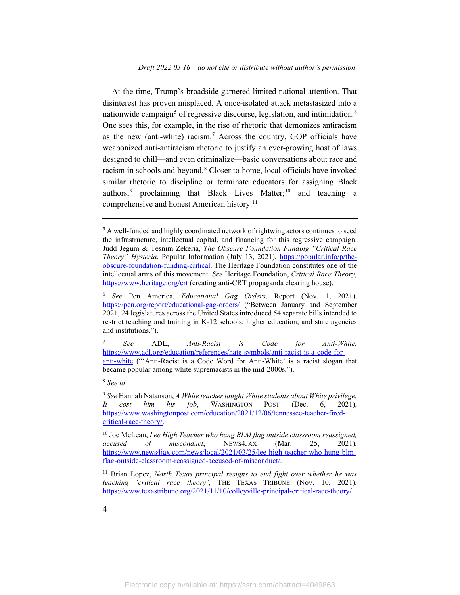At the time, Trump's broadside garnered limited national attention. That disinterest has proven misplaced. A once-isolated attack metastasized into a nationwide campaign<sup>[5](#page-4-0)</sup> of regressive discourse, legislation, and intimidation.<sup>[6](#page-4-1)</sup> One sees this, for example, in the rise of rhetoric that demonizes antiracism as the new (anti-white) racism.<sup>7</sup> Across the country, GOP officials have weaponized anti-antiracism rhetoric to justify an ever-growing host of laws designed to chill—and even criminalize—basic conversations about race and racism in schools and beyond. [8](#page-4-3) Closer to home, local officials have invoked similar rhetoric to discipline or terminate educators for assigning Black authors; [9](#page-4-4) proclaiming that Black Lives Matter; [10](#page-4-5) and teaching a comprehensive and honest American history.<sup>[11](#page-4-6)</sup>

<span id="page-4-2"></span><sup>7</sup> *See* ADL, *Anti-Racist is Code for Anti-White*, [https://www.adl.org/education/references/hate-symbols/anti-racist-is-a-code-for](https://www.adl.org/education/references/hate-symbols/anti-racist-is-a-code-for-anti-white)[anti-white](https://www.adl.org/education/references/hate-symbols/anti-racist-is-a-code-for-anti-white) ("'Anti-Racist is a Code Word for Anti-White' is a racist slogan that became popular among white supremacists in the mid-2000s.").

<span id="page-4-3"></span><sup>8</sup> *See id*.

<span id="page-4-4"></span><sup>9</sup> *See* Hannah Natanson, *A White teacher taught White students about White privilege. It cost him his job*, WASHINGTON POST (Dec. 6, 2021), [https://www.washingtonpost.com/education/2021/12/06/tennessee-teacher-fired](https://www.washingtonpost.com/education/2021/12/06/tennessee-teacher-fired-critical-race-theory/)[critical-race-theory/.](https://www.washingtonpost.com/education/2021/12/06/tennessee-teacher-fired-critical-race-theory/)

<span id="page-4-5"></span><sup>10</sup> Joe McLean, *Lee High Teacher who hung BLM flag outside classroom reassigned, accused of misconduct*, NEWS4JAX (Mar. 25, 2021), [https://www.news4jax.com/news/local/2021/03/25/lee-high-teacher-who-hung-blm](https://www.news4jax.com/news/local/2021/03/25/lee-high-teacher-who-hung-blm-flag-outside-classroom-reassigned-accused-of-misconduct/)[flag-outside-classroom-reassigned-accused-of-misconduct/.](https://www.news4jax.com/news/local/2021/03/25/lee-high-teacher-who-hung-blm-flag-outside-classroom-reassigned-accused-of-misconduct/)

<span id="page-4-6"></span><sup>11</sup> Brian Lopez, *North Texas principal resigns to end fight over whether he was teaching 'critical race theory'*, THE TEXAS TRIBUNE (Nov. 10, 2021), https://www.texastribune.org/2021/11/10/colleyville-principal-critical-race-theory/.

<span id="page-4-0"></span><sup>&</sup>lt;sup>5</sup> A well-funded and highly coordinated network of rightwing actors continues to seed the infrastructure, intellectual capital, and financing for this regressive campaign. Judd Jegum & Tesnim Zekeria, *The Obscure Foundation Funding "Critical Race Theory" Hysteria*, Popular Information (July 13, 2021), [https://popular.info/p/the](https://popular.info/p/the-obscure-foundation-funding-critical)[obscure-foundation-funding-critical.](https://popular.info/p/the-obscure-foundation-funding-critical) The Heritage Foundation constitutes one of the intellectual arms of this movement. *See* Heritage Foundation, *Critical Race Theory*, <https://www.heritage.org/crt> (creating anti-CRT propaganda clearing house).

<span id="page-4-1"></span><sup>6</sup> *See* Pen America, *Educational Gag Orders*, Report (Nov. 1, 2021), <https://pen.org/report/educational-gag-orders/> ("Between January and September 2021, 24 legislatures across the United States introduced 54 separate bills intended to restrict teaching and training in K-12 schools, higher education, and state agencies and institutions.").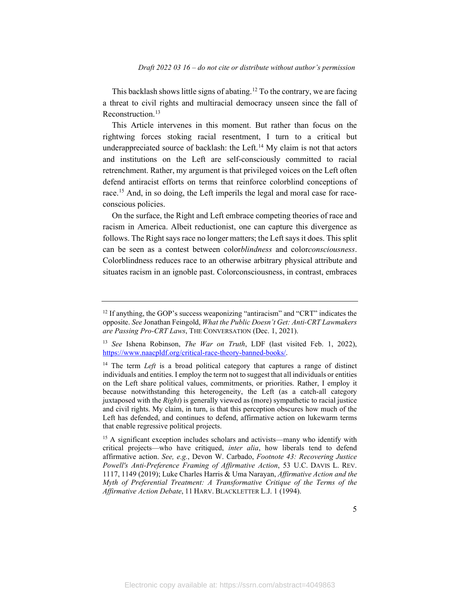This backlash shows little signs of abating.<sup>[12](#page-5-0)</sup> To the contrary, we are facing a threat to civil rights and multiracial democracy unseen since the fall of Reconstruction.<sup>[13](#page-5-1)</sup>

This Article intervenes in this moment. But rather than focus on the rightwing forces stoking racial resentment, I turn to a critical but underappreciated source of backlash: the Left.<sup>[14](#page-5-2)</sup> My claim is not that actors and institutions on the Left are self-consciously committed to racial retrenchment. Rather, my argument is that privileged voices on the Left often defend antiracist efforts on terms that reinforce colorblind conceptions of race.<sup>[15](#page-5-3)</sup> And, in so doing, the Left imperils the legal and moral case for raceconscious policies.

On the surface, the Right and Left embrace competing theories of race and racism in America. Albeit reductionist, one can capture this divergence as follows. The Right says race no longer matters; the Left says it does. This split can be seen as a contest between color*blindness* and color*consciousness*. Colorblindness reduces race to an otherwise arbitrary physical attribute and situates racism in an ignoble past. Colorconsciousness, in contrast, embraces

<span id="page-5-0"></span><sup>&</sup>lt;sup>12</sup> If anything, the GOP's success weaponizing "antiracism" and "CRT" indicates the opposite. *See* Jonathan Feingold, *What the Public Doesn't Get: Anti-CRT Lawmakers are Passing Pro-CRT Laws*, THE CONVERSATION (Dec. 1, 2021).

<span id="page-5-1"></span><sup>13</sup> *See* Ishena Robinson, *The War on Truth*, LDF (last visited Feb. 1, 2022), [https://www.naacpldf.org/critical-race-theory-banned-books/.](https://www.naacpldf.org/critical-race-theory-banned-books/)

<span id="page-5-2"></span><sup>&</sup>lt;sup>14</sup> The term *Left* is a broad political category that captures a range of distinct individuals and entities. I employ the term not to suggest that all individuals or entities on the Left share political values, commitments, or priorities. Rather, I employ it because notwithstanding this heterogeneity, the Left (as a catch-all category juxtaposed with the *Right*) is generally viewed as (more) sympathetic to racial justice and civil rights. My claim, in turn, is that this perception obscures how much of the Left has defended, and continues to defend, affirmative action on lukewarm terms that enable regressive political projects.

<span id="page-5-3"></span><sup>&</sup>lt;sup>15</sup> A significant exception includes scholars and activists—many who identify with critical projects—who have critiqued, *inter alia*, how liberals tend to defend affirmative action. *See, e.g.*, Devon W. Carbado, *Footnote 43: Recovering Justice Powell's Anti-Preference Framing of Affirmative Action*, 53 U.C. DAVIS L. REV. 1117, 1149 (2019); Luke Charles Harris & Uma Narayan, *Affirmative Action and the Myth of Preferential Treatment: A Transformative Critique of the Terms of the Affirmative Action Debate*, 11 HARV. BLACKLETTER L.J. 1 (1994).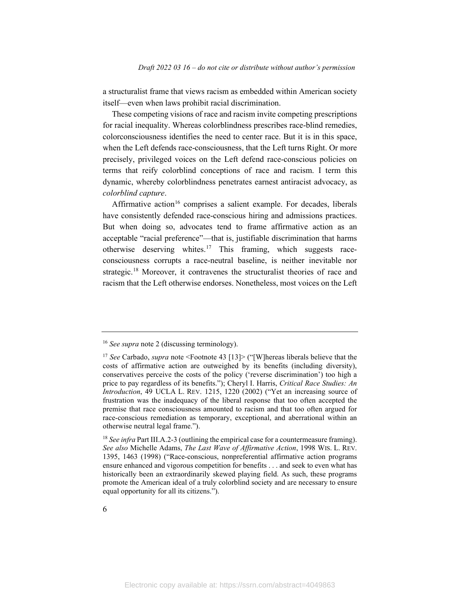a structuralist frame that views racism as embedded within American society itself—even when laws prohibit racial discrimination.

These competing visions of race and racism invite competing prescriptions for racial inequality. Whereas colorblindness prescribes race-blind remedies, colorconsciousness identifies the need to center race. But it is in this space, when the Left defends race-consciousness, that the Left turns Right. Or more precisely, privileged voices on the Left defend race-conscious policies on terms that reify colorblind conceptions of race and racism. I term this dynamic, whereby colorblindness penetrates earnest antiracist advocacy, as *colorblind capture*.

Affirmative action<sup>[16](#page-6-0)</sup> comprises a salient example. For decades, liberals have consistently defended race-conscious hiring and admissions practices. But when doing so, advocates tend to frame affirmative action as an acceptable "racial preference"—that is, justifiable discrimination that harms otherwise deserving whites.<sup>17</sup> This framing, which suggests raceconsciousness corrupts a race-neutral baseline, is neither inevitable nor strategic.<sup>[18](#page-6-2)</sup> Moreover, it contravenes the structuralist theories of race and racism that the Left otherwise endorses. Nonetheless, most voices on the Left

<span id="page-6-0"></span><sup>16</sup> *See supra* note 2 (discussing terminology).

<span id="page-6-1"></span><sup>17</sup> *See* Carbado, *supra* note <Footnote 43 [13]> ("[W]hereas liberals believe that the costs of affirmative action are outweighed by its benefits (including diversity), conservatives perceive the costs of the policy ('reverse discrimination') too high a price to pay regardless of its benefits."); Cheryl I. Harris, *Critical Race Studies: An Introduction*, 49 UCLA L. REV. 1215, 1220 (2002) ("Yet an increasing source of frustration was the inadequacy of the liberal response that too often accepted the premise that race consciousness amounted to racism and that too often argued for race-conscious remediation as temporary, exceptional, and aberrational within an otherwise neutral legal frame.").

<span id="page-6-2"></span><sup>18</sup> *See infra* Part III.A.2-3 (outlining the empirical case for a countermeasure framing). *See also* Michelle Adams, *The Last Wave of Affirmative Action*, 1998 WIS. L. REV. 1395, 1463 (1998) ("Race-conscious, nonpreferential affirmative action programs ensure enhanced and vigorous competition for benefits . . . and seek to even what has historically been an extraordinarily skewed playing field. As such, these programs promote the American ideal of a truly colorblind society and are necessary to ensure equal opportunity for all its citizens.").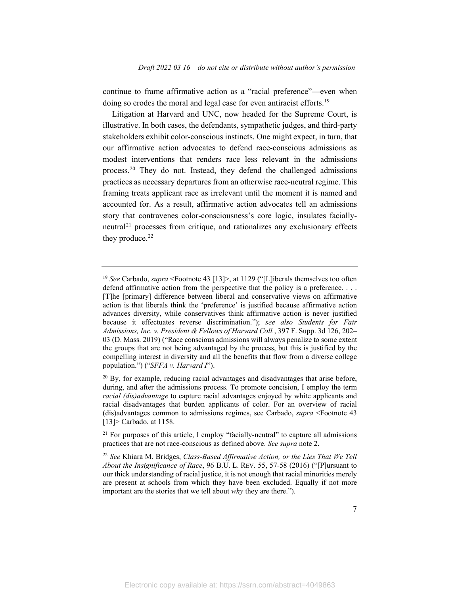continue to frame affirmative action as a "racial preference"—even when doing so erodes the moral and legal case for even antiracist efforts.<sup>[19](#page-7-0)</sup>

Litigation at Harvard and UNC, now headed for the Supreme Court, is illustrative. In both cases, the defendants, sympathetic judges, and third-party stakeholders exhibit color-conscious instincts. One might expect, in turn, that our affirmative action advocates to defend race-conscious admissions as modest interventions that renders race less relevant in the admissions process.[20](#page-7-1) They do not. Instead, they defend the challenged admissions practices as necessary departures from an otherwise race-neutral regime. This framing treats applicant race as irrelevant until the moment it is named and accounted for. As a result, affirmative action advocates tell an admissions story that contravenes color-consciousness's core logic, insulates facially- $neutral<sup>21</sup>$  $neutral<sup>21</sup>$  $neutral<sup>21</sup>$  processes from critique, and rationalizes any exclusionary effects they produce.<sup>[22](#page-7-3)</sup>

<span id="page-7-0"></span><sup>19</sup> *See* Carbado, *supra* <Footnote 43 [13]>, at 1129 ("[L]iberals themselves too often defend affirmative action from the perspective that the policy is a preference. . . . [T]he [primary] difference between liberal and conservative views on affirmative action is that liberals think the 'preference' is justified because affirmative action advances diversity, while conservatives think affirmative action is never justified because it effectuates reverse discrimination."); *see also Students for Fair Admissions, Inc. v. President & Fellows of Harvard Coll.*, 397 F. Supp. 3d 126, 202– 03 (D. Mass. 2019) ("Race conscious admissions will always penalize to some extent the groups that are not being advantaged by the process, but this is justified by the compelling interest in diversity and all the benefits that flow from a diverse college population.") ("*SFFA v. Harvard I*").

<span id="page-7-1"></span> $^{20}$  By, for example, reducing racial advantages and disadvantages that arise before, during, and after the admissions process. To promote concision, I employ the term *racial (dis)advantage* to capture racial advantages enjoyed by white applicants and racial disadvantages that burden applicants of color. For an overview of racial (dis)advantages common to admissions regimes, see Carbado, *supra* <Footnote 43 [13]> Carbado, at 1158.

<span id="page-7-2"></span> $21$  For purposes of this article, I employ "facially-neutral" to capture all admissions practices that are not race-conscious as defined above. *See supra* note 2.

<span id="page-7-3"></span><sup>22</sup> *See* Khiara M. Bridges, *Class-Based Affirmative Action, or the Lies That We Tell About the Insignificance of Race*, 96 B.U. L. REV. 55, 57-58 (2016) ("[P]ursuant to our thick understanding of racial justice, it is not enough that racial minorities merely are present at schools from which they have been excluded. Equally if not more important are the stories that we tell about *why* they are there.").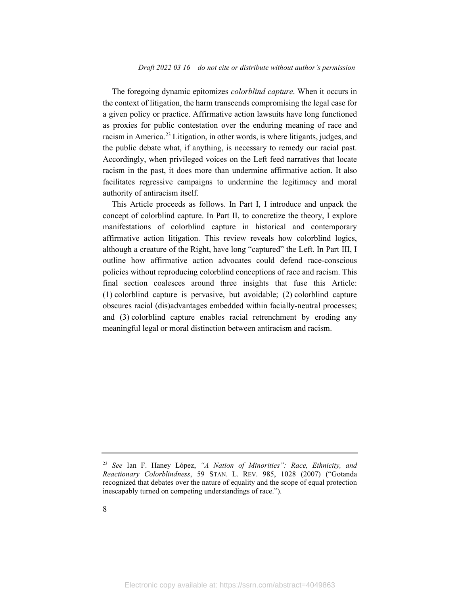The foregoing dynamic epitomizes *colorblind capture*. When it occurs in the context of litigation, the harm transcends compromising the legal case for a given policy or practice. Affirmative action lawsuits have long functioned as proxies for public contestation over the enduring meaning of race and racism in America.<sup>23</sup> Litigation, in other words, is where litigants, judges, and the public debate what, if anything, is necessary to remedy our racial past. Accordingly, when privileged voices on the Left feed narratives that locate racism in the past, it does more than undermine affirmative action. It also facilitates regressive campaigns to undermine the legitimacy and moral authority of antiracism itself.

This Article proceeds as follows. In Part I, I introduce and unpack the concept of colorblind capture. In Part II, to concretize the theory, I explore manifestations of colorblind capture in historical and contemporary affirmative action litigation. This review reveals how colorblind logics, although a creature of the Right, have long "captured" the Left. In Part III, I outline how affirmative action advocates could defend race-conscious policies without reproducing colorblind conceptions of race and racism. This final section coalesces around three insights that fuse this Article: (1) colorblind capture is pervasive, but avoidable; (2) colorblind capture obscures racial (dis)advantages embedded within facially-neutral processes; and (3) colorblind capture enables racial retrenchment by eroding any meaningful legal or moral distinction between antiracism and racism.

<span id="page-8-0"></span><sup>23</sup> *See* Ian F. Haney López, *"A Nation of Minorities": Race, Ethnicity, and Reactionary Colorblindness*, 59 STAN. L. REV. 985, 1028 (2007) ("Gotanda recognized that debates over the nature of equality and the scope of equal protection inescapably turned on competing understandings of race.").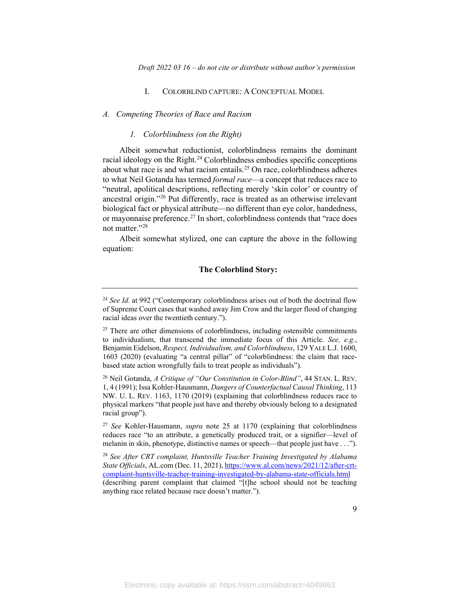#### I. COLORBLIND CAPTURE: A CONCEPTUAL MODEL

#### *A. Competing Theories of Race and Racism*

#### *1. Colorblindness (on the Right)*

Albeit somewhat reductionist, colorblindness remains the dominant racial ideology on the Right. [24](#page-9-0) Colorblindness embodies specific conceptions about what race is and what racism entails. [25](#page-9-1) On race, colorblindness adheres to what Neil Gotanda has termed *formal race*—a concept that reduces race to "neutral, apolitical descriptions, reflecting merely 'skin color' or country of ancestral origin."[26](#page-9-2) Put differently, race is treated as an otherwise irrelevant biological fact or physical attribute—no different than eye color, handedness, or mayonnaise preference.<sup>[27](#page-9-3)</sup> In short, colorblindness contends that "race does not matter."<sup>[28](#page-9-4)</sup>

Albeit somewhat stylized, one can capture the above in the following equation:

#### **The Colorblind Story:**

<span id="page-9-3"></span><sup>27</sup> *See* Kohler-Hausmann, *supra* note 25 at 1170 (explaining that colorblindness reduces race "to an attribute, a genetically produced trait, or a signifier—level of melanin in skin, phenotype, distinctive names or speech—that people just have . . .").

<span id="page-9-4"></span><sup>28</sup> *See After CRT complaint, Huntsville Teacher Training Investigated by Alabama State Officials*, AL.com (Dec. 11, 2021)[, https://www.al.com/news/2021/12/after-crt](https://www.al.com/news/2021/12/after-crt-complaint-huntsville-teacher-training-investigated-by-alabama-state-officials.html)[complaint-huntsville-teacher-training-investigated-by-alabama-state-officials.html](https://www.al.com/news/2021/12/after-crt-complaint-huntsville-teacher-training-investigated-by-alabama-state-officials.html) (describing parent complaint that claimed "[t]he school should not be teaching anything race related because race doesn't matter.").

<span id="page-9-0"></span><sup>&</sup>lt;sup>24</sup> See Id. at 992 ("Contemporary colorblindness arises out of both the doctrinal flow of Supreme Court cases that washed away Jim Crow and the larger flood of changing racial ideas over the twentieth century.").

<span id="page-9-1"></span> $25$  There are other dimensions of colorblindness, including ostensible commitments to individualism, that transcend the immediate focus of this Article. *See, e.g.*, Benjamin Eidelson, *Respect, Individualism, and Colorblindness*, 129 YALE L.J. 1600, 1603 (2020) (evaluating "a central pillar" of "colorblindness: the claim that racebased state action wrongfully fails to treat people as individuals").

<span id="page-9-2"></span><sup>26</sup> Neil Gotanda, *A Critique of "Our Constitution in Color-Blind"*, 44 STAN. L. REV. 1, 4 (1991); Issa Kohler-Hausmann, *Dangers of Counterfactual Causal Thinking*, 113 NW. U. L. REV. 1163, 1170 (2019) (explaining that colorblindness reduces race to physical markers "that people just have and thereby obviously belong to a designated racial group").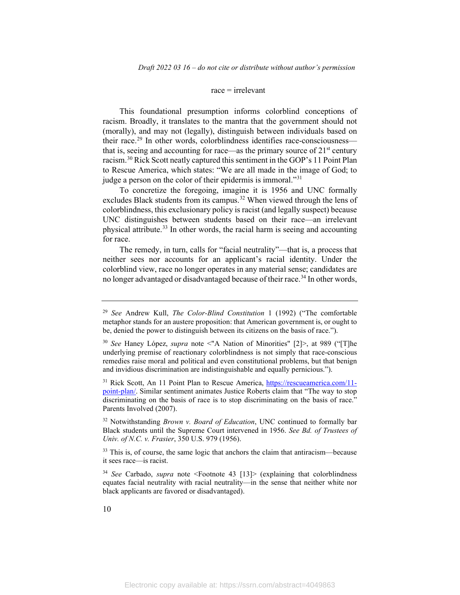#### $race = irrelevant$

This foundational presumption informs colorblind conceptions of racism. Broadly, it translates to the mantra that the government should not (morally), and may not (legally), distinguish between individuals based on their race. [29](#page-10-0) In other words, colorblindness identifies race-consciousness that is, seeing and accounting for race—as the primary source of  $21<sup>st</sup>$  century racism.[30](#page-10-1) Rick Scott neatly captured this sentiment in the GOP's 11 Point Plan to Rescue America, which states: "We are all made in the image of God; to judge a person on the color of their epidermis is immoral."<sup>31</sup>

To concretize the foregoing, imagine it is 1956 and UNC formally excludes Black students from its campus.<sup>[32](#page-10-3)</sup> When viewed through the lens of colorblindness, this exclusionary policy is racist (and legally suspect) because UNC distinguishes between students based on their race—an irrelevant physical attribute.<sup>[33](#page-10-4)</sup> In other words, the racial harm is seeing and accounting for race.

The remedy, in turn, calls for "facial neutrality"—that is, a process that neither sees nor accounts for an applicant's racial identity. Under the colorblind view, race no longer operates in any material sense; candidates are no longer advantaged or disadvantaged because of their race. [34](#page-10-5) In other words,

<span id="page-10-3"></span><sup>32</sup> Notwithstanding *Brown v. Board of Education*, UNC continued to formally bar Black students until the Supreme Court intervened in 1956. *See Bd. of Trustees of Univ. of N.C. v. Frasier*, 350 U.S. 979 (1956).

<span id="page-10-4"></span> $33$  This is, of course, the same logic that anchors the claim that antiracism—because it sees race—is racist.

<span id="page-10-5"></span><sup>34</sup> *See* Carbado, *supra* note <Footnote 43 [13]> (explaining that colorblindness equates facial neutrality with racial neutrality—in the sense that neither white nor black applicants are favored or disadvantaged).

<span id="page-10-0"></span><sup>29</sup> *See* Andrew Kull, *The Color-Blind Constitution* 1 (1992) ("The comfortable metaphor stands for an austere proposition: that American government is, or ought to be, denied the power to distinguish between its citizens on the basis of race.").

<span id="page-10-1"></span><sup>30</sup> *See* Haney López, *supra* note <"A Nation of Minorities" [2]>, at 989 ("[T]he underlying premise of reactionary colorblindness is not simply that race-conscious remedies raise moral and political and even constitutional problems, but that benign and invidious discrimination are indistinguishable and equally pernicious.").

<span id="page-10-2"></span><sup>31</sup> Rick Scott, An 11 Point Plan to Rescue America, [https://rescueamerica.com/11](https://rescueamerica.com/11-point-plan/) [point-plan/.](https://rescueamerica.com/11-point-plan/) Similar sentiment animates Justice Roberts claim that "The way to stop discriminating on the basis of race is to stop discriminating on the basis of race." Parents Involved (2007).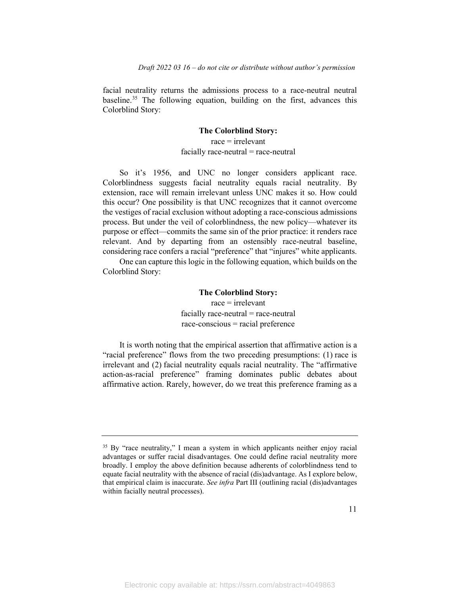facial neutrality returns the admissions process to a race-neutral neutral baseline. [35](#page-11-0) The following equation, building on the first, advances this Colorblind Story:

#### **The Colorblind Story:**

 $race = irrelevant$  $facially race-neutral = race-neutral$ 

So it's 1956, and UNC no longer considers applicant race. Colorblindness suggests facial neutrality equals racial neutrality. By extension, race will remain irrelevant unless UNC makes it so. How could this occur? One possibility is that UNC recognizes that it cannot overcome the vestiges of racial exclusion without adopting a race-conscious admissions process. But under the veil of colorblindness, the new policy—whatever its purpose or effect—commits the same sin of the prior practice: it renders race relevant. And by departing from an ostensibly race-neutral baseline, considering race confers a racial "preference" that "injures" white applicants.

One can capture this logic in the following equation, which builds on the Colorblind Story:

## **The Colorblind Story:**  $race = irrelevant$ facially race-neutral  $=$  race-neutral race-conscious = racial preference

It is worth noting that the empirical assertion that affirmative action is a "racial preference" flows from the two preceding presumptions: (1) race is irrelevant and (2) facial neutrality equals racial neutrality. The "affirmative action-as-racial preference" framing dominates public debates about affirmative action. Rarely, however, do we treat this preference framing as a

<span id="page-11-0"></span><sup>&</sup>lt;sup>35</sup> By "race neutrality," I mean a system in which applicants neither enjoy racial advantages or suffer racial disadvantages. One could define racial neutrality more broadly. I employ the above definition because adherents of colorblindness tend to equate facial neutrality with the absence of racial (dis)advantage. As I explore below, that empirical claim is inaccurate. *See infra* Part III (outlining racial (dis)advantages within facially neutral processes).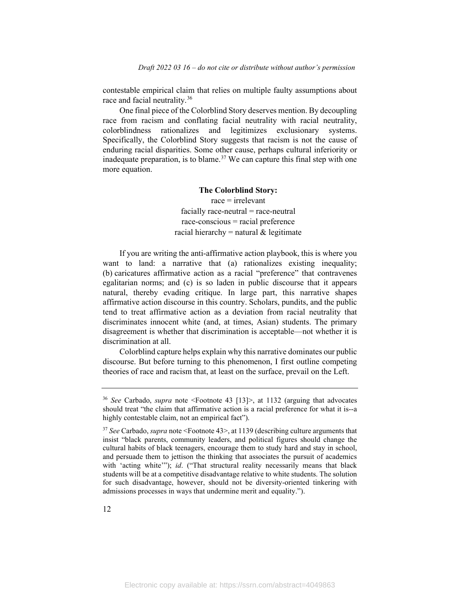contestable empirical claim that relies on multiple faulty assumptions about race and facial neutrality.<sup>[36](#page-12-0)</sup>

One final piece of the Colorblind Story deserves mention. By decoupling race from racism and conflating facial neutrality with racial neutrality, colorblindness rationalizes and legitimizes exclusionary systems. Specifically, the Colorblind Story suggests that racism is not the cause of enduring racial disparities. Some other cause, perhaps cultural inferiority or inadequate preparation, is to blame. [37](#page-12-1) We can capture this final step with one more equation.

#### **The Colorblind Story:**

 $race = irrelevant$  $facially race-neutral = race-neutral$ race-conscious = racial preference racial hierarchy = natural  $&$  legitimate

If you are writing the anti-affirmative action playbook, this is where you want to land: a narrative that (a) rationalizes existing inequality; (b) caricatures affirmative action as a racial "preference" that contravenes egalitarian norms; and (c) is so laden in public discourse that it appears natural, thereby evading critique. In large part, this narrative shapes affirmative action discourse in this country. Scholars, pundits, and the public tend to treat affirmative action as a deviation from racial neutrality that discriminates innocent white (and, at times, Asian) students. The primary disagreement is whether that discrimination is acceptable—not whether it is discrimination at all.

Colorblind capture helps explain why this narrative dominates our public discourse. But before turning to this phenomenon, I first outline competing theories of race and racism that, at least on the surface, prevail on the Left.

<span id="page-12-0"></span><sup>36</sup> *See* Carbado, *supra* note <Footnote 43 [13]>, at 1132 (arguing that advocates should treat "the claim that affirmative action is a racial preference for what it is--a highly contestable claim, not an empirical fact").

<span id="page-12-1"></span><sup>37</sup> *See* Carbado, *supra* note <Footnote 43>, at 1139 (describing culture arguments that insist "black parents, community leaders, and political figures should change the cultural habits of black teenagers, encourage them to study hard and stay in school, and persuade them to jettison the thinking that associates the pursuit of academics with 'acting white'"); *id.* ("That structural reality necessarily means that black students will be at a competitive disadvantage relative to white students. The solution for such disadvantage, however, should not be diversity-oriented tinkering with admissions processes in ways that undermine merit and equality.").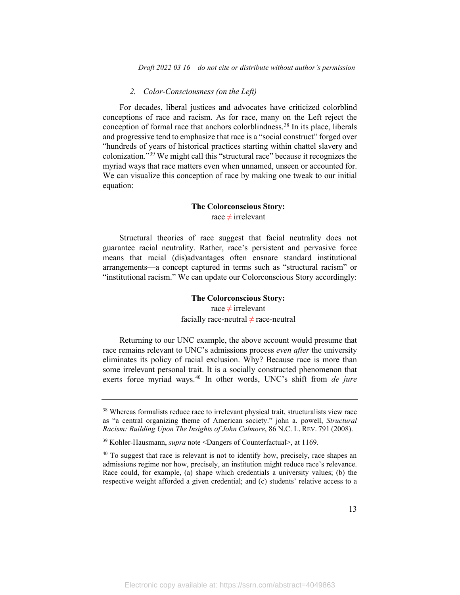#### *2. Color-Consciousness (on the Left)*

For decades, liberal justices and advocates have criticized colorblind conceptions of race and racism. As for race, many on the Left reject the conception of formal race that anchors colorblindness.<sup>[38](#page-13-0)</sup> In its place, liberals and progressive tend to emphasize that race is a "social construct" forged over "hundreds of years of historical practices starting within chattel slavery and colonization."[39](#page-13-1) We might call this "structural race" because it recognizes the myriad ways that race matters even when unnamed, unseen or accounted for. We can visualize this conception of race by making one tweak to our initial equation:

#### **The Colorconscious Story:**

race  $\neq$  irrelevant

Structural theories of race suggest that facial neutrality does not guarantee racial neutrality. Rather, race's persistent and pervasive force means that racial (dis)advantages often ensnare standard institutional arrangements—a concept captured in terms such as "structural racism" or "institutional racism." We can update our Colorconscious Story accordingly:

## **The Colorconscious Story:** race  $\neq$  irrelevant

facially race-neutral  $\neq$  race-neutral

Returning to our UNC example, the above account would presume that race remains relevant to UNC's admissions process *even after* the university eliminates its policy of racial exclusion. Why? Because race is more than some irrelevant personal trait. It is a socially constructed phenomenon that exerts force myriad ways. [40](#page-13-2) In other words, UNC's shift from *de jure* 

<span id="page-13-0"></span><sup>&</sup>lt;sup>38</sup> Whereas formalists reduce race to irrelevant physical trait, structuralists view race as "a central organizing theme of American society." john a. powell, *Structural Racism: Building Upon The Insights of John Calmore*, 86 N.C. L. REV. 791 (2008).

<span id="page-13-1"></span><sup>39</sup> Kohler-Hausmann, *supra* note <Dangers of Counterfactual>, at 1169.

<span id="page-13-2"></span><sup>&</sup>lt;sup>40</sup> To suggest that race is relevant is not to identify how, precisely, race shapes an admissions regime nor how, precisely, an institution might reduce race's relevance. Race could, for example, (a) shape which credentials a university values; (b) the respective weight afforded a given credential; and (c) students' relative access to a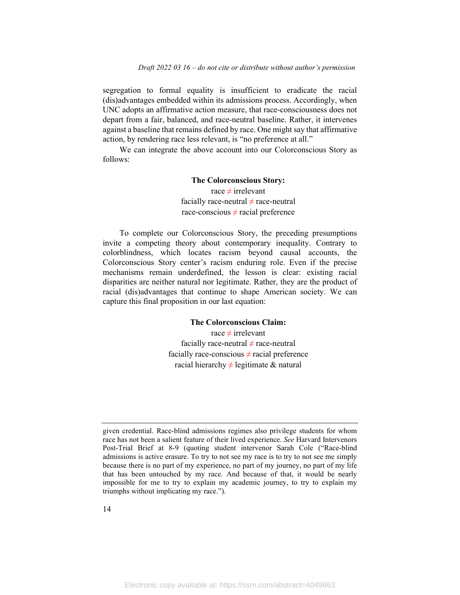segregation to formal equality is insufficient to eradicate the racial (dis)advantages embedded within its admissions process. Accordingly, when UNC adopts an affirmative action measure, that race-consciousness does not depart from a fair, balanced, and race-neutral baseline. Rather, it intervenes against a baseline that remains defined by race. One might say that affirmative action, by rendering race less relevant, is "no preference at all."

We can integrate the above account into our Colorconscious Story as follows:

#### **The Colorconscious Story:**

race  $\neq$  irrelevant facially race-neutral  $\neq$  race-neutral race-conscious  $\neq$  racial preference

To complete our Colorconscious Story, the preceding presumptions invite a competing theory about contemporary inequality. Contrary to colorblindness, which locates racism beyond causal accounts, the Colorconscious Story center's racism enduring role. Even if the precise mechanisms remain underdefined, the lesson is clear: existing racial disparities are neither natural nor legitimate. Rather, they are the product of racial (dis)advantages that continue to shape American society. We can capture this final proposition in our last equation:

#### **The Colorconscious Claim:**

race ≠ irrelevant facially race-neutral  $\neq$  race-neutral facially race-conscious  $\neq$  racial preference racial hierarchy  $\neq$  legitimate & natural

given credential. Race-blind admissions regimes also privilege students for whom race has not been a salient feature of their lived experience. *See* Harvard Intervenors Post-Trial Brief at 8-9 (quoting student intervenor Sarah Cole ("Race-blind admissions is active erasure. To try to not see my race is to try to not see me simply because there is no part of my experience, no part of my journey, no part of my life that has been untouched by my race. And because of that, it would be nearly impossible for me to try to explain my academic journey, to try to explain my triumphs without implicating my race.").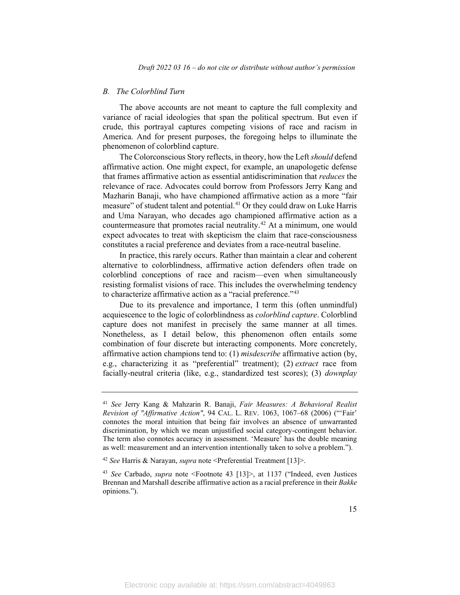#### *B. The Colorblind Turn*

The above accounts are not meant to capture the full complexity and variance of racial ideologies that span the political spectrum. But even if crude, this portrayal captures competing visions of race and racism in America. And for present purposes, the foregoing helps to illuminate the phenomenon of colorblind capture.

The Colorconscious Story reflects, in theory, how the Left *should* defend affirmative action. One might expect, for example, an unapologetic defense that frames affirmative action as essential antidiscrimination that *reduces* the relevance of race. Advocates could borrow from Professors Jerry Kang and Mazharin Banaji, who have championed affirmative action as a more "fair measure" of student talent and potential.<sup>[41](#page-15-0)</sup> Or they could draw on Luke Harris and Uma Narayan, who decades ago championed affirmative action as a countermeasure that promotes racial neutrality. [42](#page-15-1) At a minimum, one would expect advocates to treat with skepticism the claim that race-consciousness constitutes a racial preference and deviates from a race-neutral baseline.

In practice, this rarely occurs. Rather than maintain a clear and coherent alternative to colorblindness, affirmative action defenders often trade on colorblind conceptions of race and racism—even when simultaneously resisting formalist visions of race. This includes the overwhelming tendency to characterize affirmative action as a "racial preference.["43](#page-15-2)

Due to its prevalence and importance, I term this (often unmindful) acquiescence to the logic of colorblindness as *colorblind capture*. Colorblind capture does not manifest in precisely the same manner at all times. Nonetheless, as I detail below, this phenomenon often entails some combination of four discrete but interacting components. More concretely, affirmative action champions tend to: (1) *misdescribe* affirmative action (by, e.g., characterizing it as "preferential" treatment); (2) *extract* race from facially-neutral criteria (like, e.g., standardized test scores); (3) *downplay*

<span id="page-15-0"></span><sup>41</sup> *See* Jerry Kang & Mahzarin R. Banaji, *Fair Measures: A Behavioral Realist Revision of "Affirmative Action"*, 94 CAL. L. REV. 1063, 1067–68 (2006) ("'Fair' connotes the moral intuition that being fair involves an absence of unwarranted discrimination, by which we mean unjustified social category-contingent behavior. The term also connotes accuracy in assessment. 'Measure' has the double meaning as well: measurement and an intervention intentionally taken to solve a problem.").

<span id="page-15-1"></span><sup>42</sup> *See* Harris & Narayan, *supra* note <Preferential Treatment [13]>.

<span id="page-15-2"></span><sup>43</sup> *See* Carbado, *supra* note <Footnote 43 [13]>, at 1137 ("Indeed, even Justices Brennan and Marshall describe affirmative action as a racial preference in their *Bakke* opinions.").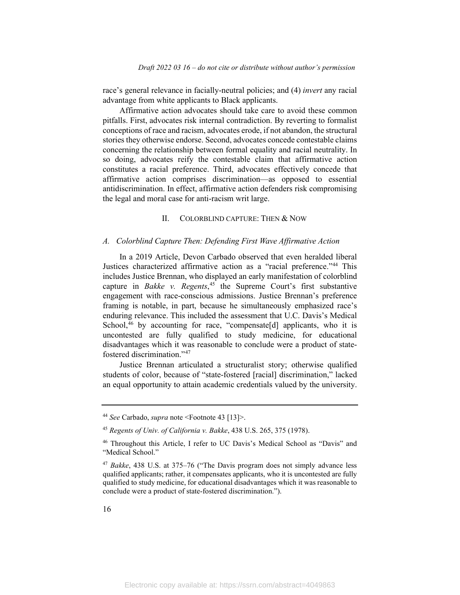race's general relevance in facially-neutral policies; and (4) *invert* any racial advantage from white applicants to Black applicants.

Affirmative action advocates should take care to avoid these common pitfalls. First, advocates risk internal contradiction. By reverting to formalist conceptions of race and racism, advocates erode, if not abandon, the structural stories they otherwise endorse. Second, advocates concede contestable claims concerning the relationship between formal equality and racial neutrality. In so doing, advocates reify the contestable claim that affirmative action constitutes a racial preference. Third, advocates effectively concede that affirmative action comprises discrimination—as opposed to essential antidiscrimination. In effect, affirmative action defenders risk compromising the legal and moral case for anti-racism writ large.

#### II. COLORBLIND CAPTURE: THEN & NOW

#### *A. Colorblind Capture Then: Defending First Wave Affirmative Action*

In a 2019 Article, Devon Carbado observed that even heralded liberal Justices characterized affirmative action as a "racial preference."[44](#page-16-0) This includes Justice Brennan, who displayed an early manifestation of colorblind capture in *Bakke v. Regents*, [45](#page-16-1) the Supreme Court's first substantive engagement with race-conscious admissions. Justice Brennan's preference framing is notable, in part, because he simultaneously emphasized race's enduring relevance. This included the assessment that U.C. Davis's Medical School,<sup>[46](#page-16-2)</sup> by accounting for race, "compensate[d] applicants, who it is uncontested are fully qualified to study medicine, for educational disadvantages which it was reasonable to conclude were a product of statefostered discrimination."[47](#page-16-3)

Justice Brennan articulated a structuralist story; otherwise qualified students of color, because of "state-fostered [racial] discrimination," lacked an equal opportunity to attain academic credentials valued by the university.

<span id="page-16-0"></span><sup>44</sup> *See* Carbado, *supra* note <Footnote 43 [13]>.

<span id="page-16-1"></span><sup>45</sup> *Regents of Univ. of California v. Bakke*, 438 U.S. 265, 375 (1978).

<span id="page-16-2"></span><sup>46</sup> Throughout this Article, I refer to UC Davis's Medical School as "Davis" and "Medical School."

<span id="page-16-3"></span><sup>47</sup> *Bakke*, 438 U.S. at 375–76 ("The Davis program does not simply advance less qualified applicants; rather, it compensates applicants, who it is uncontested are fully qualified to study medicine, for educational disadvantages which it was reasonable to conclude were a product of state-fostered discrimination.").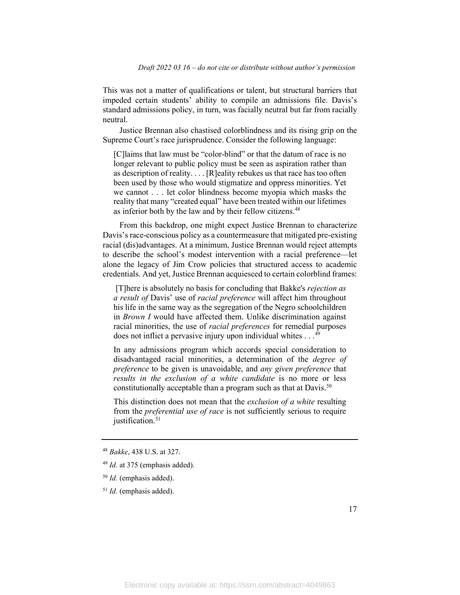This was not a matter of qualifications or talent, but structural barriers that impeded certain students' ability to compile an admissions file. Davis's standard admissions policy, in turn, was facially neutral but far from racially neutral.

Justice Brennan also chastised colorblindness and its rising grip on the Supreme Court's race jurisprudence. Consider the following language:

[C]laims that law must be "color-blind" or that the datum of race is no longer relevant to public policy must be seen as aspiration rather than as description of reality. . . . [R]eality rebukes us that race has too often been used by those who would stigmatize and oppress minorities. Yet we cannot . . . let color blindness become myopia which masks the reality that many "created equal" have been treated within our lifetimes as inferior both by the law and by their fellow citizens.<sup>[48](#page-17-0)</sup>

From this backdrop, one might expect Justice Brennan to characterize Davis's race-conscious policy as a countermeasure that mitigated pre-existing racial (dis)advantages. At a minimum, Justice Brennan would reject attempts to describe the school's modest intervention with a racial preference—let alone the legacy of Jim Crow policies that structured access to academic credentials. And yet, Justice Brennan acquiesced to certain colorblind frames:

[T]here is absolutely no basis for concluding that Bakke's *rejection as a result of* Davis' use of *racial preference* will affect him throughout his life in the same way as the segregation of the Negro schoolchildren in *Brown I* would have affected them. Unlike discrimination against racial minorities, the use of *racial preferences* for remedial purposes does not inflict a pervasive injury upon individual whites . . .<sup>[49](#page-17-1)</sup>

In any admissions program which accords special consideration to disadvantaged racial minorities, a determination of the *degree of preference* to be given is unavoidable, and *any given preference* that *results in the exclusion of a white candidate* is no more or less constitutionally acceptable than a program such as that at Davis.<sup>[50](#page-17-2)</sup>

This distinction does not mean that the *exclusion of a white* resulting from the *preferential use of race* is not sufficiently serious to require justification.<sup>[51](#page-17-3)</sup>

<span id="page-17-0"></span><sup>48</sup> *Bakke*, 438 U.S. at 327.

<span id="page-17-1"></span><sup>49</sup> *Id.* at 375 (emphasis added).

<span id="page-17-2"></span><sup>50</sup> *Id.* (emphasis added).

<span id="page-17-3"></span><sup>51</sup> *Id.* (emphasis added).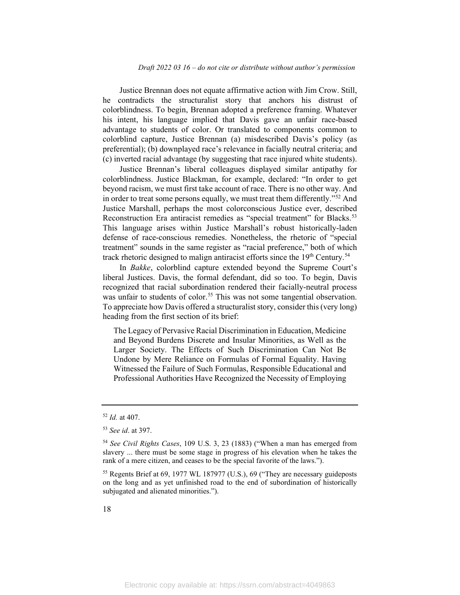Justice Brennan does not equate affirmative action with Jim Crow. Still, he contradicts the structuralist story that anchors his distrust of colorblindness. To begin, Brennan adopted a preference framing. Whatever his intent, his language implied that Davis gave an unfair race-based advantage to students of color. Or translated to components common to colorblind capture, Justice Brennan (a) misdescribed Davis's policy (as preferential); (b) downplayed race's relevance in facially neutral criteria; and (c) inverted racial advantage (by suggesting that race injured white students).

Justice Brennan's liberal colleagues displayed similar antipathy for colorblindness. Justice Blackman, for example, declared: "In order to get beyond racism, we must first take account of race. There is no other way. And in order to treat some persons equally, we must treat them differently."<sup>[52](#page-18-0)</sup> And Justice Marshall, perhaps the most colorconscious Justice ever, described Reconstruction Era antiracist remedies as "special treatment" for Blacks.<sup>[53](#page-18-1)</sup> This language arises within Justice Marshall's robust historically-laden defense of race-conscious remedies. Nonetheless, the rhetoric of "special treatment" sounds in the same register as "racial preference," both of which track rhetoric designed to malign antiracist efforts since the  $19<sup>th</sup>$  Century.<sup>[54](#page-18-2)</sup>

In *Bakke*, colorblind capture extended beyond the Supreme Court's liberal Justices. Davis, the formal defendant, did so too. To begin, Davis recognized that racial subordination rendered their facially-neutral process was unfair to students of color.<sup>[55](#page-18-3)</sup> This was not some tangential observation. To appreciate how Davis offered a structuralist story, consider this(very long) heading from the first section of its brief:

The Legacy of Pervasive Racial Discrimination in Education, Medicine and Beyond Burdens Discrete and Insular Minorities, as Well as the Larger Society. The Effects of Such Discrimination Can Not Be Undone by Mere Reliance on Formulas of Formal Equality. Having Witnessed the Failure of Such Formulas, Responsible Educational and Professional Authorities Have Recognized the Necessity of Employing

<span id="page-18-0"></span><sup>52</sup> *Id.* at 407.

<span id="page-18-1"></span><sup>53</sup> *See id*. at 397.

<span id="page-18-2"></span><sup>54</sup> *See Civil Rights Cases*, 109 U.S. 3, 23 (1883) ("When a man has emerged from slavery ... there must be some stage in progress of his elevation when he takes the rank of a mere citizen, and ceases to be the special favorite of the laws.").

<span id="page-18-3"></span><sup>55</sup> Regents Brief at 69, 1977 WL 187977 (U.S.), 69 ("They are necessary guideposts on the long and as yet unfinished road to the end of subordination of historically subjugated and alienated minorities.").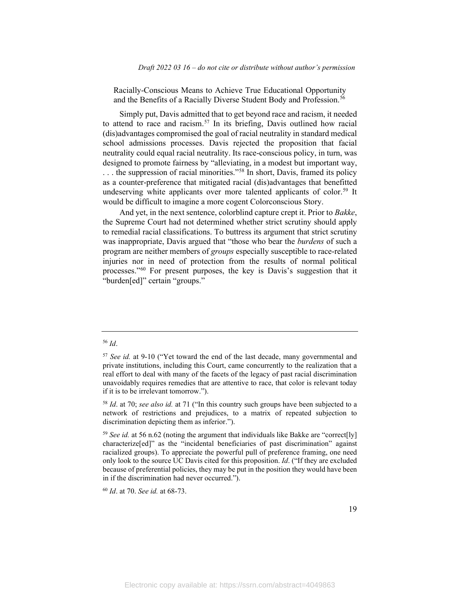Racially-Conscious Means to Achieve True Educational Opportunity and the Benefits of a Racially Diverse Student Body and Profession.<sup>[56](#page-19-0)</sup>

Simply put, Davis admitted that to get beyond race and racism, it needed to attend to race and racism. [57](#page-19-1) In its briefing, Davis outlined how racial (dis)advantages compromised the goal of racial neutrality in standard medical school admissions processes. Davis rejected the proposition that facial neutrality could equal racial neutrality. Its race-conscious policy, in turn, was designed to promote fairness by "alleviating, in a modest but important way, ... the suppression of racial minorities."<sup>[58](#page-19-2)</sup> In short, Davis, framed its policy as a counter-preference that mitigated racial (dis)advantages that benefitted undeserving white applicants over more talented applicants of color.<sup>59</sup> It would be difficult to imagine a more cogent Colorconscious Story.

And yet, in the next sentence, colorblind capture crept it. Prior to *Bakke*, the Supreme Court had not determined whether strict scrutiny should apply to remedial racial classifications. To buttress its argument that strict scrutiny was inappropriate, Davis argued that "those who bear the *burdens* of such a program are neither members of *groups* especially susceptible to race-related injuries nor in need of protection from the results of normal political processes."[60](#page-19-4) For present purposes, the key is Davis's suggestion that it "burden[ed]" certain "groups."

#### <span id="page-19-0"></span><sup>56</sup> *Id*.

<span id="page-19-4"></span><sup>60</sup> *Id*. at 70. *See id.* at 68-73.

<span id="page-19-1"></span><sup>57</sup> *See id.* at 9-10 ("Yet toward the end of the last decade, many governmental and private institutions, including this Court, came concurrently to the realization that a real effort to deal with many of the facets of the legacy of past racial discrimination unavoidably requires remedies that are attentive to race, that color is relevant today if it is to be irrelevant tomorrow.").

<span id="page-19-2"></span><sup>58</sup> *Id*. at 70; *see also id.* at 71 ("In this country such groups have been subjected to a network of restrictions and prejudices, to a matrix of repeated subjection to discrimination depicting them as inferior.").

<span id="page-19-3"></span><sup>&</sup>lt;sup>59</sup> *See id.* at 56 n.62 (noting the argument that individuals like Bakke are "correct[ly] characterize[ed]" as the "incidental beneficiaries of past discrimination" against racialized groups). To appreciate the powerful pull of preference framing, one need only look to the source UC Davis cited for this proposition. *Id*. ("If they are excluded because of preferential policies, they may be put in the position they would have been in if the discrimination had never occurred.").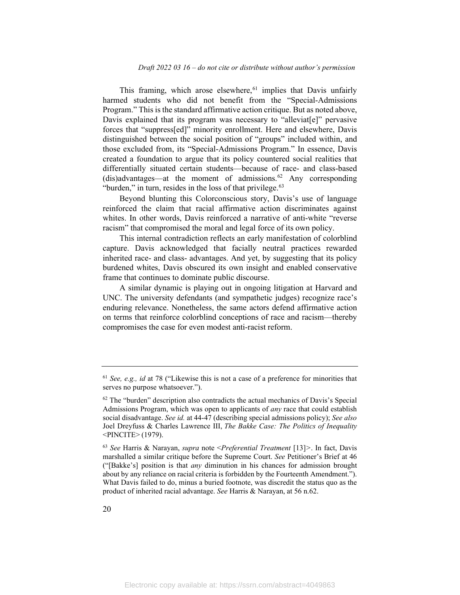This framing, which arose elsewhere, [61](#page-20-0) implies that Davis unfairly harmed students who did not benefit from the "Special-Admissions Program." This is the standard affirmative action critique. But as noted above, Davis explained that its program was necessary to "alleviat[e]" pervasive forces that "suppress[ed]" minority enrollment. Here and elsewhere, Davis distinguished between the social position of "groups" included within, and those excluded from, its "Special-Admissions Program." In essence, Davis created a foundation to argue that its policy countered social realities that differentially situated certain students—because of race- and class-based (dis)advantages—at the moment of admissions.<sup>[62](#page-20-1)</sup> Any corresponding "burden," in turn, resides in the loss of that privilege.<sup>[63](#page-20-2)</sup>

Beyond blunting this Colorconscious story, Davis's use of language reinforced the claim that racial affirmative action discriminates against whites. In other words, Davis reinforced a narrative of anti-white "reverse racism" that compromised the moral and legal force of its own policy.

This internal contradiction reflects an early manifestation of colorblind capture. Davis acknowledged that facially neutral practices rewarded inherited race- and class- advantages. And yet, by suggesting that its policy burdened whites, Davis obscured its own insight and enabled conservative frame that continues to dominate public discourse.

A similar dynamic is playing out in ongoing litigation at Harvard and UNC. The university defendants (and sympathetic judges) recognize race's enduring relevance. Nonetheless, the same actors defend affirmative action on terms that reinforce colorblind conceptions of race and racism—thereby compromises the case for even modest anti-racist reform.

<span id="page-20-0"></span><sup>61</sup> *See, e.g., id* at 78 ("Likewise this is not a case of a preference for minorities that serves no purpose whatsoever.").

<span id="page-20-1"></span> $62$  The "burden" description also contradicts the actual mechanics of Davis's Special Admissions Program, which was open to applicants of *any* race that could establish social disadvantage. *See id.* at 44-47 (describing special admissions policy); *See also*  Joel Dreyfuss & Charles Lawrence III, *The Bakke Case: The Politics of Inequality* <PINCITE> (1979).

<span id="page-20-2"></span><sup>63</sup> *See* Harris & Narayan, *supra* note <*Preferential Treatment* [13]*>*. In fact, Davis marshalled a similar critique before the Supreme Court. *See* Petitioner's Brief at 46 ("[Bakke's] position is that *any* diminution in his chances for admission brought about by any reliance on racial criteria is forbidden by the Fourteenth Amendment."). What Davis failed to do, minus a buried footnote, was discredit the status quo as the product of inherited racial advantage. *See* Harris & Narayan, at 56 n.62.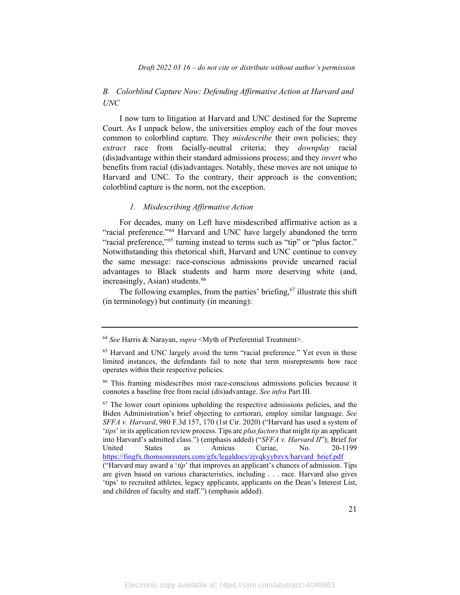## *B. Colorblind Capture Now: Defending Affirmative Action at Harvard and UNC*

I now turn to litigation at Harvard and UNC destined for the Supreme Court. As I unpack below, the universities employ each of the four moves common to colorblind capture. They *misdescribe* their own policies; they *extract* race from facially-neutral criteria; they *downplay* racial (dis)advantage within their standard admissions process; and they *invert* who benefits from racial (dis)advantages. Notably, these moves are not unique to Harvard and UNC. To the contrary, their approach is the convention; colorblind capture is the norm, not the exception.

#### *1. Misdescribing Affirmative Action*

For decades, many on Left have misdescribed affirmative action as a "racial preference."<sup>[64](#page-21-0)</sup> Harvard and UNC have largely abandoned the term "racial preference,"<sup>[65](#page-21-1)</sup> turning instead to terms such as "tip" or "plus factor." Notwithstanding this rhetorical shift, Harvard and UNC continue to convey the same message: race-conscious admissions provide unearned racial advantages to Black students and harm more deserving white (and, increasingly, Asian) students. [66](#page-21-2)

The following examples, from the parties' briefing,<sup>[67](#page-21-3)</sup> illustrate this shift (in terminology) but continuity (in meaning):

<span id="page-21-0"></span><sup>64</sup> *See* Harris & Narayan, *supra* <Myth of Preferential Treatment>.

<span id="page-21-1"></span><sup>65</sup> Harvard and UNC largely avoid the term "racial preference." Yet even in these limited instances, the defendants fail to note that term misrepresents how race operates within their respective policies.

<span id="page-21-2"></span><sup>66</sup> This framing misdescribes most race-conscious admissions policies because it connotes a baseline free from racial (dis)advantage. *See infra* Part III.

<span id="page-21-3"></span> $67$  The lower court opinions upholding the respective admissions policies, and the Biden Administration's brief objecting to certiorari, employ similar language. *See SFFA v. Harvard*, 980 F.3d 157, 170 (1st Cir. 2020) ("Harvard has used a system of '*tips*' in its application review process. Tips are *plus factors*that might *tip* an applicant into Harvard's admitted class.") (emphasis added) ("*SFFA v. Harvard II*"); Brief for United States as Amicus Curiae, No. 20-1199 [https://fingfx.thomsonreuters.com/gfx/legaldocs/zjvqkyybzvx/harvard\\_brief.pdf](https://fingfx.thomsonreuters.com/gfx/legaldocs/zjvqkyybzvx/harvard_brief.pdf) ("Harvard may award a '*tip*' that improves an applicant's chances of admission. Tips

are given based on various characteristics, including . . . race. Harvard also gives 'tips' to recruited athletes, legacy applicants, applicants on the Dean's Interest List, and children of faculty and staff.") (emphasis added).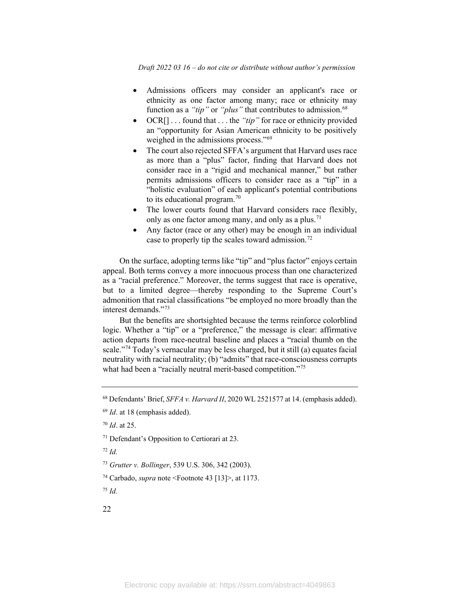*Draft 2022 03 16 – do not cite or distribute without author's permission*

- Admissions officers may consider an applicant's race or ethnicity as one factor among many; race or ethnicity may function as a "tip" or "plus" that contributes to admission.<sup>[68](#page-22-0)</sup>
- OCR[] . . . found that . . . the *"tip"* for race or ethnicity provided an "opportunity for Asian American ethnicity to be positively weighed in the admissions process."<sup>69</sup>
- The court also rejected SFFA's argument that Harvard uses race as more than a "plus" factor, finding that Harvard does not consider race in a "rigid and mechanical manner," but rather permits admissions officers to consider race as a "tip" in a "holistic evaluation" of each applicant's potential contributions to its educational program.[70](#page-22-2)
- The lower courts found that Harvard considers race flexibly, only as one factor among many, and only as a plus.<sup>[71](#page-22-3)</sup>
- Any factor (race or any other) may be enough in an individual case to properly tip the scales toward admission.[72](#page-22-4)

On the surface, adopting terms like "tip" and "plus factor" enjoys certain appeal. Both terms convey a more innocuous process than one characterized as a "racial preference." Moreover, the terms suggest that race is operative, but to a limited degree—thereby responding to the Supreme Court's admonition that racial classifications "be employed no more broadly than the interest demands."[73](#page-22-5)

But the benefits are shortsighted because the terms reinforce colorblind logic. Whether a "tip" or a "preference," the message is clear: affirmative action departs from race-neutral baseline and places a "racial thumb on the scale."[74](#page-22-6) Today's vernacular may be less charged, but it still (a) equates facial neutrality with racial neutrality; (b) "admits" that race-consciousness corrupts what had been a "racially neutral merit-based competition."<sup>75</sup>

<span id="page-22-3"></span><sup>71</sup> Defendant's Opposition to Certiorari at 23.

<span id="page-22-4"></span><sup>72</sup> *Id.*

<span id="page-22-6"></span><sup>74</sup> Carbado, *supra* note <Footnote 43 [13]>, at 1173.

<span id="page-22-7"></span><sup>75</sup> *Id.*

22

<span id="page-22-0"></span><sup>68</sup> Defendants' Brief, *SFFA v. Harvard II*, 2020 WL 2521577 at 14. (emphasis added).

<span id="page-22-1"></span><sup>69</sup> *Id*. at 18 (emphasis added).

<span id="page-22-2"></span><sup>70</sup> *Id*. at 25.

<span id="page-22-5"></span><sup>73</sup> *Grutter v. Bollinger*, 539 U.S. 306, 342 (2003).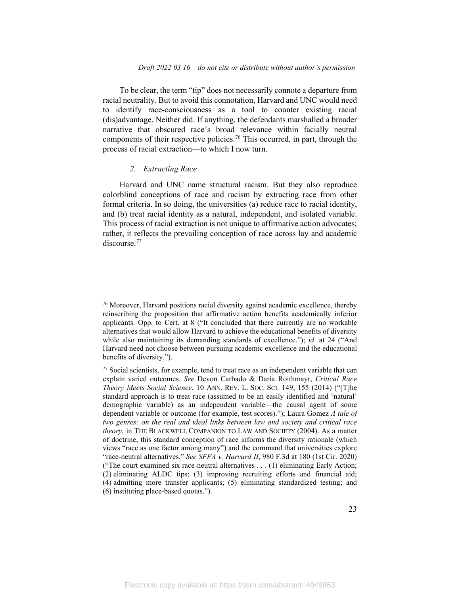To be clear, the term "tip" does not necessarily connote a departure from racial neutrality. But to avoid this connotation, Harvard and UNC would need to identify race-consciousness as a tool to counter existing racial (dis)advantage. Neither did. If anything, the defendants marshalled a broader narrative that obscured race's broad relevance within facially neutral components of their respective policies. [76](#page-23-0) This occurred, in part, through the process of racial extraction—to which I now turn.

#### *2. Extracting Race*

Harvard and UNC name structural racism. But they also reproduce colorblind conceptions of race and racism by extracting race from other formal criteria. In so doing, the universities (a) reduce race to racial identity, and (b) treat racial identity as a natural, independent, and isolated variable. This process of racial extraction is not unique to affirmative action advocates; rather, it reflects the prevailing conception of race across lay and academic discourse.<sup>[77](#page-23-1)</sup>

<span id="page-23-0"></span><sup>76</sup> Moreover, Harvard positions racial diversity against academic excellence, thereby reinscribing the proposition that affirmative action benefits academically inferior applicants. Opp. to Cert. at 8 ("It concluded that there currently are no workable alternatives that would allow Harvard to achieve the educational benefits of diversity while also maintaining its demanding standards of excellence."); *id.* at 24 ("And Harvard need not choose between pursuing academic excellence and the educational benefits of diversity.").

<span id="page-23-1"></span> $77$  Social scientists, for example, tend to treat race as an independent variable that can explain varied outcomes. *See* Devon Carbado & Daria Roithmayr, *Critical Race Theory Meets Social Science*, 10 ANN. REV. L. SOC. SCI. 149, 155 (2014) ("[T]he standard approach is to treat race (assumed to be an easily identified and 'natural' demographic variable) as an independent variable—the causal agent of some dependent variable or outcome (for example, test scores)."); Laura Gomez *A tale of two genres: on the real and ideal links between law and society and critical race theory*, in THE BLACKWELL COMPANION TO LAW AND SOCIETY (2004). As a matter of doctrine, this standard conception of race informs the diversity rationale (which views "race as one factor among many") and the command that universities explore "race-neutral alternatives." *See SFFA v. Harvard II*, 980 F.3d at 180 (1st Cir. 2020) ("The court examined six race-neutral alternatives . . . (1) eliminating Early Action; (2) eliminating ALDC tips; (3) improving recruiting efforts and financial aid; (4) admitting more transfer applicants; (5) eliminating standardized testing; and (6) instituting place-based quotas.").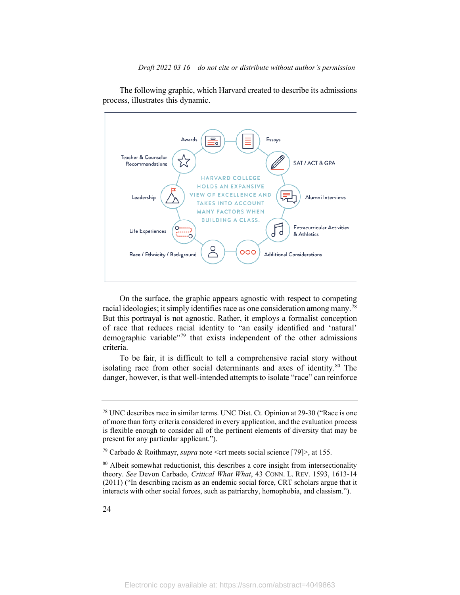

The following graphic, which Harvard created to describe its admissions process, illustrates this dynamic.

On the surface, the graphic appears agnostic with respect to competing racial ideologies; it simply identifies race as one consideration among many.<sup>[78](#page-24-0)</sup> But this portrayal is not agnostic. Rather, it employs a formalist conception of race that reduces racial identity to "an easily identified and 'natural' demographic variable["79](#page-24-1) that exists independent of the other admissions criteria.

To be fair, it is difficult to tell a comprehensive racial story without isolating race from other social determinants and axes of identity.<sup>[80](#page-24-2)</sup> The danger, however, is that well-intended attempts to isolate "race" can reinforce

<span id="page-24-0"></span><sup>78</sup> UNC describes race in similar terms. UNC Dist. Ct. Opinion at 29-30 ("Race is one of more than forty criteria considered in every application, and the evaluation process is flexible enough to consider all of the pertinent elements of diversity that may be present for any particular applicant.").

<span id="page-24-1"></span><sup>79</sup> Carbado & Roithmayr, *supra* note <crt meets social science [79]>, at 155.

<span id="page-24-2"></span><sup>&</sup>lt;sup>80</sup> Albeit somewhat reductionist, this describes a core insight from intersectionality theory. *See* Devon Carbado, *Critical What What*, 43 CONN. L. REV. 1593, 1613-14 (2011) ("In describing racism as an endemic social force, CRT scholars argue that it interacts with other social forces, such as patriarchy, homophobia, and classism.").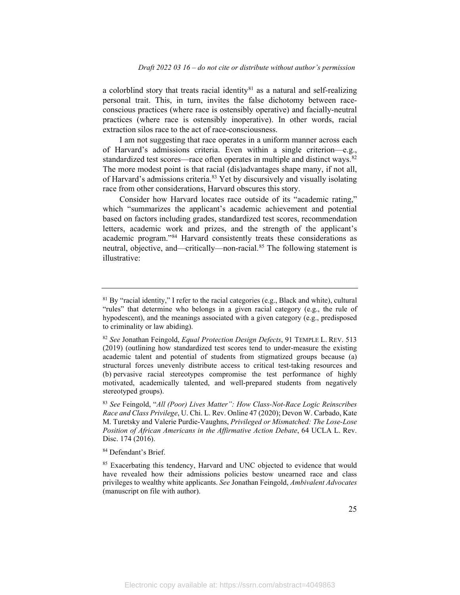a colorblind story that treats racial identity $81$  as a natural and self-realizing personal trait. This, in turn, invites the false dichotomy between raceconscious practices (where race is ostensibly operative) and facially-neutral practices (where race is ostensibly inoperative). In other words, racial extraction silos race to the act of race-consciousness.

I am not suggesting that race operates in a uniform manner across each of Harvard's admissions criteria. Even within a single criterion—e.g., standardized test scores—race often operates in multiple and distinct ways.<sup>[82](#page-25-1)</sup> The more modest point is that racial (dis)advantages shape many, if not all, of Harvard's admissions criteria.<sup>[83](#page-25-2)</sup> Yet by discursively and visually isolating race from other considerations, Harvard obscures this story.

Consider how Harvard locates race outside of its "academic rating," which "summarizes the applicant's academic achievement and potential based on factors including grades, standardized test scores, recommendation letters, academic work and prizes, and the strength of the applicant's academic program."[84](#page-25-3) Harvard consistently treats these considerations as neutral, objective, and—critically—non-racial.<sup>[85](#page-25-4)</sup> The following statement is illustrative:

<span id="page-25-3"></span>84 Defendant's Brief.

<span id="page-25-0"></span> $81$  By "racial identity," I refer to the racial categories (e.g., Black and white), cultural "rules" that determine who belongs in a given racial category (e.g., the rule of hypodescent), and the meanings associated with a given category (e.g., predisposed to criminality or law abiding).

<span id="page-25-1"></span><sup>82</sup> *See* Jonathan Feingold, *Equal Protection Design Defects*, 91 TEMPLE L. REV. 513 (2019) (outlining how standardized test scores tend to under-measure the existing academic talent and potential of students from stigmatized groups because (a) structural forces unevenly distribute access to critical test-taking resources and (b) pervasive racial stereotypes compromise the test performance of highly motivated, academically talented, and well-prepared students from negatively stereotyped groups).

<span id="page-25-2"></span><sup>83</sup> *See* Feingold, "*All (Poor) Lives Matter": How Class-Not-Race Logic Reinscribes Race and Class Privilege*, U. Chi. L. Rev. Online 47 (2020); Devon W. Carbado, Kate M. Turetsky and Valerie Purdie-Vaughns, *Privileged or Mismatched: The Lose-Lose Position of African Americans in the Affirmative Action Debate*, 64 UCLA L. Rev. Disc. 174 (2016).

<span id="page-25-4"></span><sup>&</sup>lt;sup>85</sup> Exacerbating this tendency, Harvard and UNC objected to evidence that would have revealed how their admissions policies bestow unearned race and class privileges to wealthy white applicants. *See* Jonathan Feingold, *Ambivalent Advocates*  (manuscript on file with author).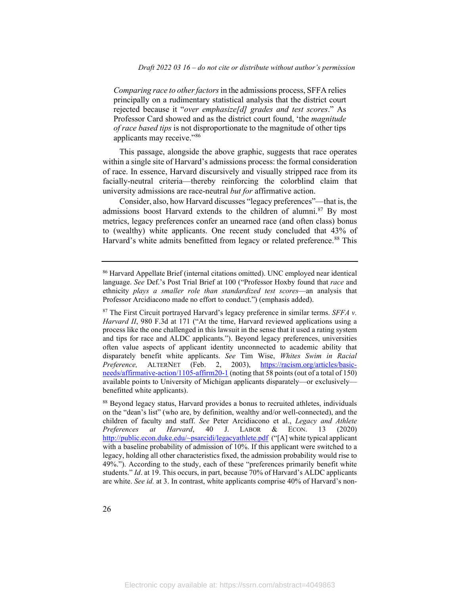*Comparing race to other factors*in the admissions process, SFFA relies principally on a rudimentary statistical analysis that the district court rejected because it "*over emphasize[d] grades and test scores*." As Professor Card showed and as the district court found, 'the *magnitude of race based tips* is not disproportionate to the magnitude of other tips applicants may receive."[86](#page-26-0)

This passage, alongside the above graphic, suggests that race operates within a single site of Harvard's admissions process: the formal consideration of race. In essence, Harvard discursively and visually stripped race from its facially-neutral criteria—thereby reinforcing the colorblind claim that university admissions are race-neutral *but for* affirmative action.

Consider, also, how Harvard discusses "legacy preferences"—that is, the admissions boost Harvard extends to the children of alumni.<sup>[87](#page-26-1)</sup> By most metrics, legacy preferences confer an unearned race (and often class) bonus to (wealthy) white applicants. One recent study concluded that 43% of Harvard's white admits benefitted from legacy or related preference.<sup>[88](#page-26-2)</sup> This

<span id="page-26-0"></span><sup>86</sup> Harvard Appellate Brief (internal citations omitted). UNC employed near identical language. *See* Def.'s Post Trial Brief at 100 ("Professor Hoxby found that *race* and ethnicity *plays a smaller role than standardized test scores*—an analysis that Professor Arcidiacono made no effort to conduct.") (emphasis added).

<span id="page-26-1"></span><sup>87</sup> The First Circuit portrayed Harvard's legacy preference in similar terms. *SFFA v. Harvard II*, 980 F.3d at 171 ("At the time, Harvard reviewed applications using a process like the one challenged in this lawsuit in the sense that it used a rating system and tips for race and ALDC applicants."). Beyond legacy preferences, universities often value aspects of applicant identity unconnected to academic ability that disparately benefit white applicants. *See* Tim Wise, *Whites Swim in Racial Preference,* ALTERNET (Feb. 2, 2003), [https://racism.org/articles/basic](https://racism.org/articles/basic-needs/affirmative-action/1105-affirm20-1)[needs/affirmative-action/1105-affirm20-1](https://racism.org/articles/basic-needs/affirmative-action/1105-affirm20-1) (noting that 58 points (out of a total of 150) available points to University of Michigan applicants disparately—or exclusively benefitted white applicants).

<span id="page-26-2"></span><sup>88</sup> Beyond legacy status, Harvard provides a bonus to recruited athletes, individuals on the "dean's list" (who are, by definition, wealthy and/or well-connected), and the children of faculty and staff. *See* Peter Arcidiacono et al., *Legacy and Athlete Preferences at Harvard*, 40 J. LABOR & ECON. 13 (2020) [http://public.econ.duke.edu/~psarcidi/legacyathlete.pdf](http://public.econ.duke.edu/%7Epsarcidi/legacyathlete.pdf) ("[A] white typical applicant with a baseline probability of admission of 10%. If this applicant were switched to a legacy, holding all other characteristics fixed, the admission probability would rise to 49%."). According to the study, each of these "preferences primarily benefit white students." *Id*. at 19. This occurs, in part, because 70% of Harvard's ALDC applicants are white. *See id.* at 3. In contrast, white applicants comprise 40% of Harvard's non-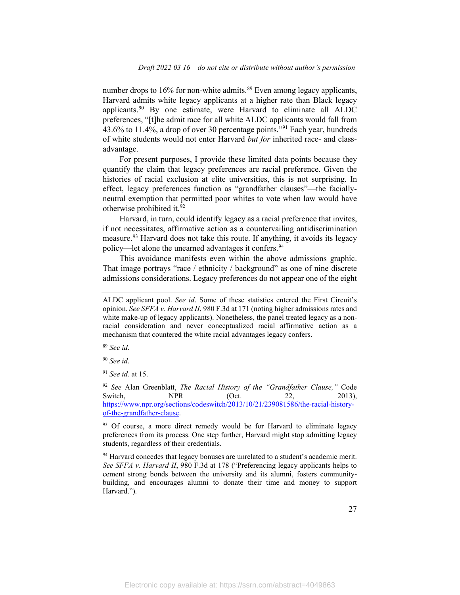number drops to 16% for non-white admits.<sup>[89](#page-27-0)</sup> Even among legacy applicants, Harvard admits white legacy applicants at a higher rate than Black legacy applicants. $90$  By one estimate, were Harvard to eliminate all ALDC preferences, "[t]he admit race for all white ALDC applicants would fall from  $43.6\%$  to  $11.4\%$ , a drop of over 30 percentage points."<sup>[91](#page-27-2)</sup> Each year, hundreds of white students would not enter Harvard *but for* inherited race- and classadvantage.

For present purposes, I provide these limited data points because they quantify the claim that legacy preferences are racial preference. Given the histories of racial exclusion at elite universities, this is not surprising. In effect, legacy preferences function as "grandfather clauses"—the faciallyneutral exemption that permitted poor whites to vote when law would have otherwise prohibited it.[92](#page-27-3)

Harvard, in turn, could identify legacy as a racial preference that invites, if not necessitates, affirmative action as a countervailing antidiscrimination measure.<sup>[93](#page-27-4)</sup> Harvard does not take this route. If anything, it avoids its legacy policy—let alone the unearned advantages it confers.<sup>[94](#page-27-5)</sup>

This avoidance manifests even within the above admissions graphic. That image portrays "race / ethnicity / background" as one of nine discrete admissions considerations. Legacy preferences do not appear one of the eight

<span id="page-27-0"></span><sup>89</sup> *See id*.

<span id="page-27-1"></span><sup>90</sup> *See id*.

<span id="page-27-2"></span><sup>91</sup> *See id.* at 15.

<span id="page-27-3"></span><sup>92</sup> *See* Alan Greenblatt, *The Racial History of the "Grandfather Clause,"* Code Switch, NPR (Oct. 22, 2013), [https://www.npr.org/sections/codeswitch/2013/10/21/239081586/the-racial-history](https://www.npr.org/sections/codeswitch/2013/10/21/239081586/the-racial-history-of-the-grandfather-clause)[of-the-grandfather-clause.](https://www.npr.org/sections/codeswitch/2013/10/21/239081586/the-racial-history-of-the-grandfather-clause) 

<span id="page-27-4"></span><sup>93</sup> Of course, a more direct remedy would be for Harvard to eliminate legacy preferences from its process. One step further, Harvard might stop admitting legacy students, regardless of their credentials.

<span id="page-27-5"></span> $94$  Harvard concedes that legacy bonuses are unrelated to a student's academic merit. *See SFFA v. Harvard II*, 980 F.3d at 178 ("Preferencing legacy applicants helps to cement strong bonds between the university and its alumni, fosters communitybuilding, and encourages alumni to donate their time and money to support Harvard.").

ALDC applicant pool. *See id*. Some of these statistics entered the First Circuit's opinion. *See SFFA v. Harvard II*, 980 F.3d at 171 (noting higher admissions rates and white make-up of legacy applicants). Nonetheless, the panel treated legacy as a nonracial consideration and never conceptualized racial affirmative action as a mechanism that countered the white racial advantages legacy confers.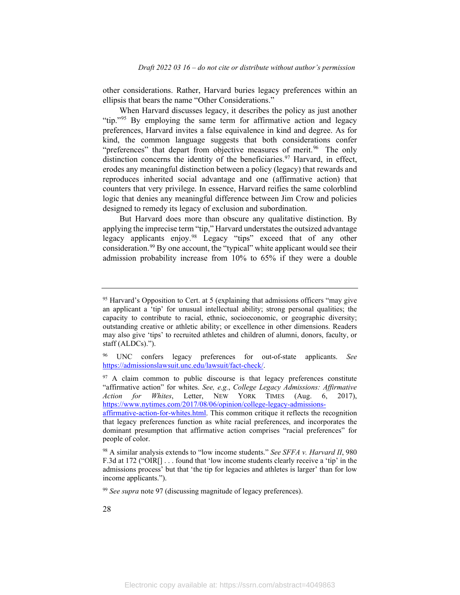other considerations. Rather, Harvard buries legacy preferences within an ellipsis that bears the name "Other Considerations."

When Harvard discusses legacy, it describes the policy as just another "tip."<sup>95</sup> By employing the same term for affirmative action and legacy preferences, Harvard invites a false equivalence in kind and degree. As for kind, the common language suggests that both considerations confer "preferences" that depart from objective measures of merit.<sup>[96](#page-28-1)</sup> The only distinction concerns the identity of the beneficiaries.<sup>[97](#page-28-2)</sup> Harvard, in effect, erodes any meaningful distinction between a policy (legacy) that rewards and reproduces inherited social advantage and one (affirmative action) that counters that very privilege. In essence, Harvard reifies the same colorblind logic that denies any meaningful difference between Jim Crow and policies designed to remedy its legacy of exclusion and subordination.

But Harvard does more than obscure any qualitative distinction. By applying the imprecise term "tip," Harvard understates the outsized advantage legacy applicants enjoy.<sup>[98](#page-28-3)</sup> Legacy "tips" exceed that of any other consideration. [99](#page-28-4) By one account, the "typical" white applicant would see their admission probability increase from 10% to 65% if they were a double

<span id="page-28-4"></span><sup>99</sup> *See supra* note 97 (discussing magnitude of legacy preferences).

<span id="page-28-0"></span><sup>&</sup>lt;sup>95</sup> Harvard's Opposition to Cert. at 5 (explaining that admissions officers "may give an applicant a 'tip' for unusual intellectual ability; strong personal qualities; the capacity to contribute to racial, ethnic, socioeconomic, or geographic diversity; outstanding creative or athletic ability; or excellence in other dimensions. Readers may also give 'tips' to recruited athletes and children of alumni, donors, faculty, or staff (ALDCs).").

<span id="page-28-1"></span><sup>96</sup> UNC confers legacy preferences for out-of-state applicants. *See*  [https://admissionslawsuit.unc.edu/lawsuit/fact-check/.](https://admissionslawsuit.unc.edu/lawsuit/fact-check/)

<span id="page-28-2"></span> $97$  A claim common to public discourse is that legacy preferences constitute "affirmative action" for whites. *See, e.g.*, *College Legacy Admissions: Affirmative Action for Whites*, Letter, NEW YORK TIMES (Aug. 6, 2017), [https://www.nytimes.com/2017/08/06/opinion/college-legacy-admissions-](https://www.nytimes.com/2017/08/06/opinion/college-legacy-admissions-affirmative-action-for-whites.html)

[affirmative-action-for-whites.html.](https://www.nytimes.com/2017/08/06/opinion/college-legacy-admissions-affirmative-action-for-whites.html) This common critique it reflects the recognition that legacy preferences function as white racial preferences, and incorporates the dominant presumption that affirmative action comprises "racial preferences" for people of color.

<span id="page-28-3"></span><sup>98</sup> A similar analysis extends to "low income students." *See SFFA v. Harvard II*, 980 F.3d at 172 ("OIR[] . . . found that 'low income students clearly receive a 'tip' in the admissions process' but that 'the tip for legacies and athletes is larger' than for low income applicants.").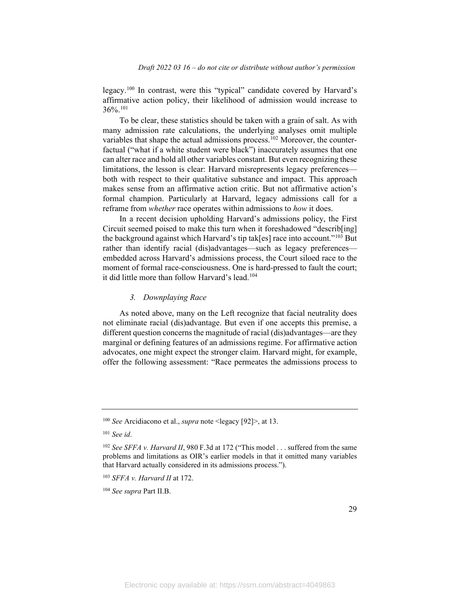legacy.[100](#page-29-0) In contrast, were this "typical" candidate covered by Harvard's affirmative action policy, their likelihood of admission would increase to  $36\%$ <sup>[101](#page-29-1)</sup>

To be clear, these statistics should be taken with a grain of salt. As with many admission rate calculations, the underlying analyses omit multiple variables that shape the actual admissions process.<sup>[102](#page-29-2)</sup> Moreover, the counterfactual ("what if a white student were black") inaccurately assumes that one can alter race and hold all other variables constant. But even recognizing these limitations, the lesson is clear: Harvard misrepresents legacy preferences both with respect to their qualitative substance and impact. This approach makes sense from an affirmative action critic. But not affirmative action's formal champion. Particularly at Harvard, legacy admissions call for a reframe from *whether* race operates within admissions to *how* it does.

In a recent decision upholding Harvard's admissions policy, the First Circuit seemed poised to make this turn when it foreshadowed "describ[ing] the background against which Harvard's tip tak[es] race into account."<sup>[103](#page-29-3)</sup> But rather than identify racial (dis)advantages—such as legacy preferences embedded across Harvard's admissions process, the Court siloed race to the moment of formal race-consciousness. One is hard-pressed to fault the court; it did little more than follow Harvard's lead.<sup>[104](#page-29-4)</sup>

#### *3. Downplaying Race*

As noted above, many on the Left recognize that facial neutrality does not eliminate racial (dis)advantage. But even if one accepts this premise, a different question concerns the magnitude of racial (dis)advantages—are they marginal or defining features of an admissions regime. For affirmative action advocates, one might expect the stronger claim. Harvard might, for example, offer the following assessment: "Race permeates the admissions process to

<span id="page-29-0"></span><sup>100</sup> *See* Arcidiacono et al., *supra* note <legacy [92]>, at 13.

<span id="page-29-1"></span><sup>101</sup> *See id*.

<span id="page-29-2"></span><sup>102</sup> *See SFFA v. Harvard II*, 980 F.3d at 172 ("This model . . . suffered from the same problems and limitations as OIR's earlier models in that it omitted many variables that Harvard actually considered in its admissions process.").

<span id="page-29-3"></span><sup>103</sup> *SFFA v. Harvard II* at 172.

<span id="page-29-4"></span><sup>104</sup> *See supra* Part II.B.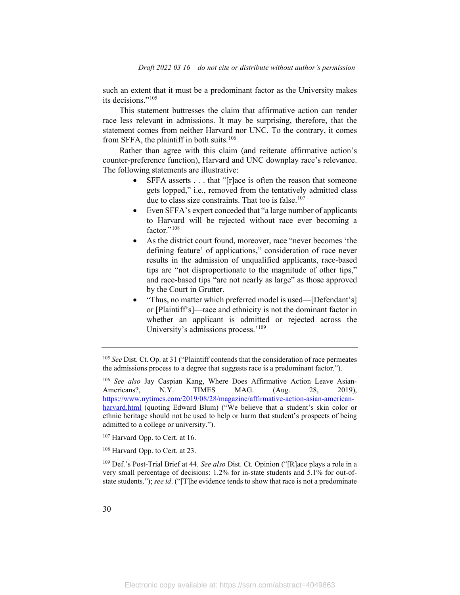such an extent that it must be a predominant factor as the University makes its decisions."[105](#page-30-0)

This statement buttresses the claim that affirmative action can render race less relevant in admissions. It may be surprising, therefore, that the statement comes from neither Harvard nor UNC. To the contrary, it comes from SFFA, the plaintiff in both suits.<sup>[106](#page-30-1)</sup>

Rather than agree with this claim (and reiterate affirmative action's counter-preference function), Harvard and UNC downplay race's relevance. The following statements are illustrative:

- SFFA asserts . . . that "[r]ace is often the reason that someone gets lopped," i.e., removed from the tentatively admitted class due to class size constraints. That too is false.<sup>[107](#page-30-2)</sup>
- Even SFFA's expert conceded that "a large number of applicants to Harvard will be rejected without race ever becoming a factor."<sup>[108](#page-30-3)</sup>
- As the district court found, moreover, race "never becomes 'the defining feature' of applications," consideration of race never results in the admission of unqualified applicants, race-based tips are "not disproportionate to the magnitude of other tips," and race-based tips "are not nearly as large" as those approved by the Court in Grutter.
- "Thus, no matter which preferred model is used—[Defendant's] or [Plaintiff's]—race and ethnicity is not the dominant factor in whether an applicant is admitted or rejected across the University's admissions process.'<sup>[109](#page-30-4)</sup>

<span id="page-30-0"></span><sup>105</sup> *See* Dist. Ct. Op. at 31 ("Plaintiff contends that the consideration of race permeates the admissions process to a degree that suggests race is a predominant factor.").

<span id="page-30-1"></span><sup>106</sup> *See also* Jay Caspian Kang, Where Does Affirmative Action Leave Asian-Americans?, N.Y. TIMES MAG. (Aug. 28, 2019), [https://www.nytimes.com/2019/08/28/magazine/affirmative-action-asian-american](https://www.nytimes.com/2019/08/28/magazine/affirmative-action-asian-american-harvard.html)[harvard.html](https://www.nytimes.com/2019/08/28/magazine/affirmative-action-asian-american-harvard.html) (quoting Edward Blum) ("We believe that a student's skin color or ethnic heritage should not be used to help or harm that student's prospects of being admitted to a college or university.").

<span id="page-30-2"></span><sup>&</sup>lt;sup>107</sup> Harvard Opp. to Cert. at 16.

<span id="page-30-3"></span><sup>108</sup> Harvard Opp. to Cert. at 23.

<span id="page-30-4"></span><sup>109</sup> Def.'s Post-Trial Brief at 44. *See also* Dist. Ct. Opinion ("[R]ace plays a role in a very small percentage of decisions: 1.2% for in-state students and 5.1% for out-ofstate students."); *see id*. ("[T]he evidence tends to show that race is not a predominate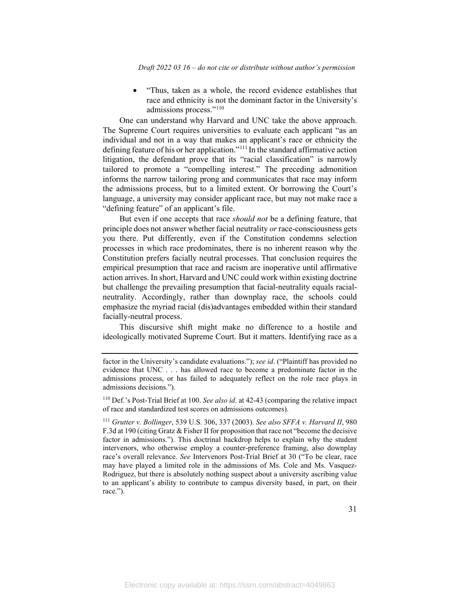• "Thus, taken as a whole, the record evidence establishes that race and ethnicity is not the dominant factor in the University's admissions process."[110](#page-31-0)

One can understand why Harvard and UNC take the above approach. The Supreme Court requires universities to evaluate each applicant "as an individual and not in a way that makes an applicant's race or ethnicity the defining feature of his or her application."[111](#page-31-1) In the standard affirmative action litigation, the defendant prove that its "racial classification" is narrowly tailored to promote a "compelling interest." The preceding admonition informs the narrow tailoring prong and communicates that race may inform the admissions process, but to a limited extent. Or borrowing the Court's language, a university may consider applicant race, but may not make race a "defining feature" of an applicant's file.

But even if one accepts that race *should not* be a defining feature, that principle does not answer whether facial neutrality *or* race-consciousness gets you there. Put differently, even if the Constitution condemns selection processes in which race predominates, there is no inherent reason why the Constitution prefers facially neutral processes. That conclusion requires the empirical presumption that race and racism are inoperative until affirmative action arrives. In short, Harvard and UNC could work within existing doctrine but challenge the prevailing presumption that facial-neutrality equals racialneutrality. Accordingly, rather than downplay race, the schools could emphasize the myriad racial (dis)advantages embedded within their standard facially-neutral process.

This discursive shift might make no difference to a hostile and ideologically motivated Supreme Court. But it matters. Identifying race as a

<span id="page-31-0"></span><sup>110</sup> Def.'s Post-Trial Brief at 100. *See also id*. at 42-43 (comparing the relative impact of race and standardized test scores on admissions outcomes).

factor in the University's candidate evaluations."); *see id*. ("Plaintiff has provided no evidence that UNC . . . has allowed race to become a predominate factor in the admissions process, or has failed to adequately reflect on the role race plays in admissions decisions.").

<span id="page-31-1"></span><sup>111</sup> *Grutter v. Bollinger*, 539 U.S. 306, 337 (2003). *See also SFFA v. Harvard II*, 980 F.3d at 190 (citing Gratz & Fisher II for proposition that race not "become the decisive factor in admissions."). This doctrinal backdrop helps to explain why the student intervenors, who otherwise employ a counter-preference framing, also downplay race's overall relevance. *See* Intervenors Post-Trial Brief at 30 ("To be clear, race may have played a limited role in the admissions of Ms. Cole and Ms. Vasquez-Rodriguez, but there is absolutely nothing suspect about a university ascribing value to an applicant's ability to contribute to campus diversity based, in part, on their race.").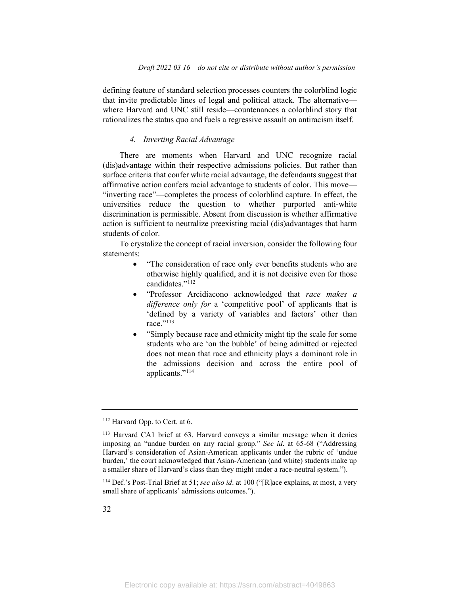defining feature of standard selection processes counters the colorblind logic that invite predictable lines of legal and political attack. The alternative where Harvard and UNC still reside—countenances a colorblind story that rationalizes the status quo and fuels a regressive assault on antiracism itself.

#### *4. Inverting Racial Advantage*

There are moments when Harvard and UNC recognize racial (dis)advantage within their respective admissions policies. But rather than surface criteria that confer white racial advantage, the defendants suggest that affirmative action confers racial advantage to students of color. This move— "inverting race"—completes the process of colorblind capture. In effect, the universities reduce the question to whether purported anti-white discrimination is permissible. Absent from discussion is whether affirmative action is sufficient to neutralize preexisting racial (dis)advantages that harm students of color.

To crystalize the concept of racial inversion, consider the following four statements:

- "The consideration of race only ever benefits students who are otherwise highly qualified, and it is not decisive even for those candidates."<sup>[112](#page-32-0)</sup>
- "Professor Arcidiacono acknowledged that *race makes a difference only for* a 'competitive pool' of applicants that is 'defined by a variety of variables and factors' other than race."<sup>[113](#page-32-1)</sup>
- "Simply because race and ethnicity might tip the scale for some students who are 'on the bubble' of being admitted or rejected does not mean that race and ethnicity plays a dominant role in the admissions decision and across the entire pool of applicants."<sup>[114](#page-32-2)</sup>

<span id="page-32-0"></span><sup>112</sup> Harvard Opp. to Cert. at 6.

<span id="page-32-1"></span><sup>113</sup> Harvard CA1 brief at 63. Harvard conveys a similar message when it denies imposing an "undue burden on any racial group." *See id*. at 65-68 ("Addressing Harvard's consideration of Asian-American applicants under the rubric of 'undue burden,' the court acknowledged that Asian-American (and white) students make up a smaller share of Harvard's class than they might under a race-neutral system.").

<span id="page-32-2"></span><sup>114</sup> Def.'s Post-Trial Brief at 51; *see also id*. at 100 ("[R]ace explains, at most, a very small share of applicants' admissions outcomes.").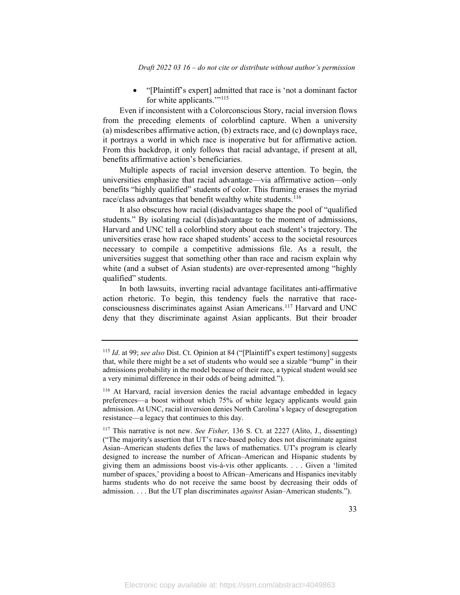• "[Plaintiff's expert] admitted that race is 'not a dominant factor for white applicants."<sup>[115](#page-33-0)</sup>

Even if inconsistent with a Colorconscious Story, racial inversion flows from the preceding elements of colorblind capture. When a university (a) misdescribes affirmative action, (b) extracts race, and (c) downplays race, it portrays a world in which race is inoperative but for affirmative action. From this backdrop, it only follows that racial advantage, if present at all, benefits affirmative action's beneficiaries.

Multiple aspects of racial inversion deserve attention. To begin, the universities emphasize that racial advantage—via affirmative action—only benefits "highly qualified" students of color. This framing erases the myriad race/class advantages that benefit wealthy white students.<sup>[116](#page-33-1)</sup>

It also obscures how racial (dis)advantages shape the pool of "qualified students." By isolating racial (dis)advantage to the moment of admissions, Harvard and UNC tell a colorblind story about each student's trajectory. The universities erase how race shaped students' access to the societal resources necessary to compile a competitive admissions file. As a result, the universities suggest that something other than race and racism explain why white (and a subset of Asian students) are over-represented among "highly qualified" students.

In both lawsuits, inverting racial advantage facilitates anti-affirmative action rhetoric. To begin, this tendency fuels the narrative that raceconsciousness discriminates against Asian Americans.[117](#page-33-2) Harvard and UNC deny that they discriminate against Asian applicants. But their broader

<span id="page-33-0"></span><sup>115</sup> *Id*. at 99; *see also* Dist. Ct. Opinion at 84 ("[Plaintiff's expert testimony] suggests that, while there might be a set of students who would see a sizable "bump" in their admissions probability in the model because of their race, a typical student would see a very minimal difference in their odds of being admitted.").

<span id="page-33-1"></span><sup>116</sup> At Harvard, racial inversion denies the racial advantage embedded in legacy preferences—a boost without which 75% of white legacy applicants would gain admission. At UNC, racial inversion denies North Carolina's legacy of desegregation resistance—a legacy that continues to this day.

<span id="page-33-2"></span><sup>117</sup> This narrative is not new. *See Fisher,* 136 S. Ct. at 2227 (Alito, J., dissenting) ("The majority's assertion that UT's race-based policy does not discriminate against Asian–American students defies the laws of mathematics. UT's program is clearly designed to increase the number of African–American and Hispanic students by giving them an admissions boost vis-à-vis other applicants. . . . Given a 'limited number of spaces,' providing a boost to African–Americans and Hispanics inevitably harms students who do not receive the same boost by decreasing their odds of admission. . . . But the UT plan discriminates *against* Asian–American students.").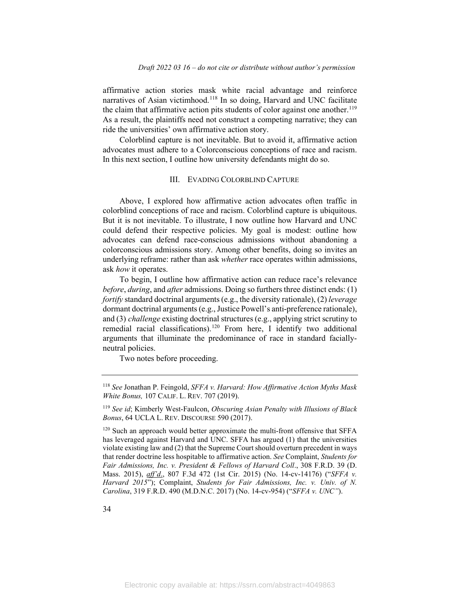affirmative action stories mask white racial advantage and reinforce narratives of Asian victimhood. [118](#page-34-0) In so doing, Harvard and UNC facilitate the claim that affirmative action pits students of color against one another.<sup>[119](#page-34-1)</sup> As a result, the plaintiffs need not construct a competing narrative; they can ride the universities' own affirmative action story.

Colorblind capture is not inevitable. But to avoid it, affirmative action advocates must adhere to a Colorconscious conceptions of race and racism. In this next section, I outline how university defendants might do so.

#### III. EVADING COLORBLIND CAPTURE

Above, I explored how affirmative action advocates often traffic in colorblind conceptions of race and racism. Colorblind capture is ubiquitous. But it is not inevitable. To illustrate, I now outline how Harvard and UNC could defend their respective policies. My goal is modest: outline how advocates can defend race-conscious admissions without abandoning a colorconscious admissions story. Among other benefits, doing so invites an underlying reframe: rather than ask *whether* race operates within admissions, ask *how* it operates.

To begin, I outline how affirmative action can reduce race's relevance *before*, *during*, and *after* admissions. Doing so furthers three distinct ends: (1) *fortify* standard doctrinal arguments(e.g., the diversity rationale), (2) *leverage*  dormant doctrinal arguments (e.g., Justice Powell's anti-preference rationale), and (3) *challenge* existing doctrinal structures (e.g., applying strict scrutiny to remedial racial classifications).<sup>[120](#page-34-2)</sup> From here, I identify two additional arguments that illuminate the predominance of race in standard faciallyneutral policies.

Two notes before proceeding.

<span id="page-34-0"></span><sup>118</sup> *See* Jonathan P. Feingold, *SFFA v. Harvard: How Affirmative Action Myths Mask White Bonus,* 107 CALIF. L. REV. 707 (2019).

<span id="page-34-1"></span><sup>119</sup> *See id*; Kimberly West-Faulcon, *Obscuring Asian Penalty with Illusions of Black Bonus*, 64 UCLA L. REV. DISCOURSE 590 (2017).

<span id="page-34-2"></span><sup>&</sup>lt;sup>120</sup> Such an approach would better approximate the multi-front offensive that SFFA has leveraged against Harvard and UNC. SFFA has argued (1) that the universities violate existing law and (2) that the Supreme Court should overturn precedent in ways that render doctrine less hospitable to affirmative action. *See* Complaint, *Students for Fair Admissions, Inc. v. President & Fellows of Harvard Coll*., 308 F.R.D. 39 (D. Mass. 2015), *aff'd*., 807 F.3d 472 (1st Cir. 2015) (No. 14-cv-14176) ("*SFFA v. Harvard 2015*"); Complaint, *Students for Fair Admissions, Inc. v. Univ. of N. Carolina*, 319 F.R.D. 490 (M.D.N.C. 2017) (No. 14-cv-954) ("*SFFA v. UNC"*).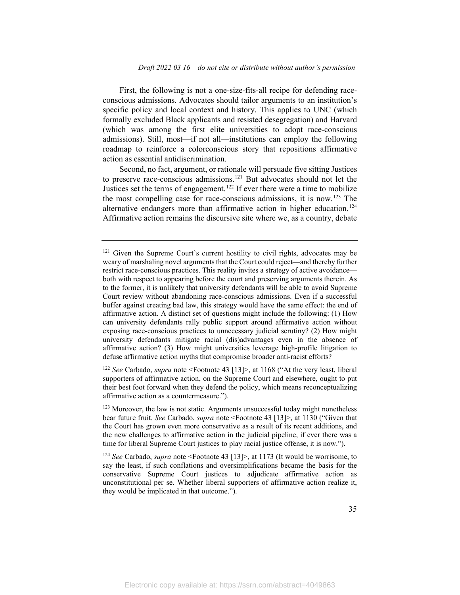First, the following is not a one-size-fits-all recipe for defending raceconscious admissions. Advocates should tailor arguments to an institution's specific policy and local context and history. This applies to UNC (which formally excluded Black applicants and resisted desegregation) and Harvard (which was among the first elite universities to adopt race-conscious admissions). Still, most—if not all—institutions can employ the following roadmap to reinforce a colorconscious story that repositions affirmative action as essential antidiscrimination.

Second, no fact, argument, or rationale will persuade five sitting Justices to preserve race-conscious admissions. [121](#page-35-0) But advocates should not let the Justices set the terms of engagement. [122](#page-35-1) If ever there were a time to mobilize the most compelling case for race-conscious admissions, it is now. [123](#page-35-2) The alternative endangers more than affirmative action in higher education. [124](#page-35-3) Affirmative action remains the discursive site where we, as a country, debate

<span id="page-35-1"></span><sup>122</sup> *See* Carbado, *supra* note <Footnote 43 [13]>, at 1168 ("At the very least, liberal supporters of affirmative action, on the Supreme Court and elsewhere, ought to put their best foot forward when they defend the policy, which means reconceptualizing affirmative action as a countermeasure.").

<span id="page-35-0"></span><sup>&</sup>lt;sup>121</sup> Given the Supreme Court's current hostility to civil rights, advocates may be weary of marshaling novel arguments that the Court could reject—and thereby further restrict race-conscious practices. This reality invites a strategy of active avoidance both with respect to appearing before the court and preserving arguments therein. As to the former, it is unlikely that university defendants will be able to avoid Supreme Court review without abandoning race-conscious admissions. Even if a successful buffer against creating bad law, this strategy would have the same effect: the end of affirmative action. A distinct set of questions might include the following: (1) How can university defendants rally public support around affirmative action without exposing race-conscious practices to unnecessary judicial scrutiny? (2) How might university defendants mitigate racial (dis)advantages even in the absence of affirmative action? (3) How might universities leverage high-profile litigation to defuse affirmative action myths that compromise broader anti-racist efforts?

<span id="page-35-2"></span><sup>123</sup> Moreover, the law is not static. Arguments unsuccessful today might nonetheless bear future fruit. *See* Carbado, *supra* note <Footnote 43 [13]>, at 1130 ("Given that the Court has grown even more conservative as a result of its recent additions, and the new challenges to affirmative action in the judicial pipeline, if ever there was a time for liberal Supreme Court justices to play racial justice offense, it is now.").

<span id="page-35-3"></span><sup>124</sup> *See* Carbado, *supra* note <Footnote 43 [13]>, at 1173 (It would be worrisome, to say the least, if such conflations and oversimplifications became the basis for the conservative Supreme Court justices to adjudicate affirmative action as unconstitutional per se. Whether liberal supporters of affirmative action realize it, they would be implicated in that outcome.").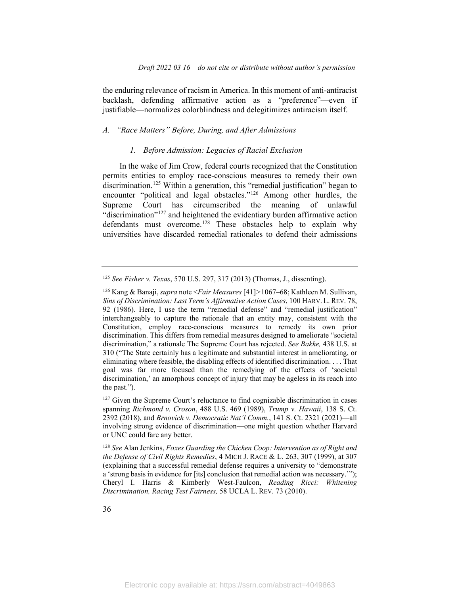the enduring relevance of racism in America. In this moment of anti-antiracist backlash, defending affirmative action as a "preference"—even if justifiable—normalizes colorblindness and delegitimizes antiracism itself.

## *A. "Race Matters" Before, During, and After Admissions*

#### *1. Before Admission: Legacies of Racial Exclusion*

In the wake of Jim Crow, federal courts recognized that the Constitution permits entities to employ race-conscious measures to remedy their own discrimination.<sup>[125](#page-36-0)</sup> Within a generation, this "remedial justification" began to encounter "political and legal obstacles."[126](#page-36-1) Among other hurdles, the Supreme Court has circumscribed the meaning of unlawful "discrimination"<sup>[127](#page-36-2)</sup> and heightened the evidentiary burden affirmative action defendants must overcome. [128](#page-36-3) These obstacles help to explain why universities have discarded remedial rationales to defend their admissions

<span id="page-36-0"></span><sup>125</sup> *See Fisher v. Texas*, 570 U.S. 297, 317 (2013) (Thomas, J., dissenting).

<span id="page-36-1"></span><sup>126</sup> Kang & Banaji, *supra* note <*Fair Measures* [41]*>*1067–68; Kathleen M. Sullivan, *Sins of Discrimination: Last Term's Affirmative Action Cases*, 100 HARV. L. REV. 78, 92 (1986). Here, I use the term "remedial defense" and "remedial justification" interchangeably to capture the rationale that an entity may, consistent with the Constitution, employ race-conscious measures to remedy its own prior discrimination. This differs from remedial measures designed to ameliorate "societal discrimination," a rationale The Supreme Court has rejected. *See Bakke,* 438 U.S. at 310 ("The State certainly has a legitimate and substantial interest in ameliorating, or eliminating where feasible, the disabling effects of identified discrimination. . . . That goal was far more focused than the remedying of the effects of 'societal discrimination,' an amorphous concept of injury that may be ageless in its reach into the past.").

<span id="page-36-2"></span><sup>&</sup>lt;sup>127</sup> Given the Supreme Court's reluctance to find cognizable discrimination in cases spanning *Richmond v. Croson*, 488 U.S. 469 (1989), *Trump v. Hawaii*, 138 S. Ct. 2392 (2018), and *Brnovich v. Democratic Nat'l Comm.*, 141 S. Ct. 2321 (2021)—all involving strong evidence of discrimination—one might question whether Harvard or UNC could fare any better.

<span id="page-36-3"></span><sup>128</sup> *See* Alan Jenkins, *Foxes Guarding the Chicken Coop: Intervention as of Right and the Defense of Civil Rights Remedies*, 4 MICH J. RACE & L. 263, 307 (1999), at 307 (explaining that a successful remedial defense requires a university to "demonstrate a 'strong basis in evidence for [its] conclusion that remedial action was necessary.'"); Cheryl I. Harris & Kimberly West-Faulcon, *Reading Ricci: Whitening Discrimination, Racing Test Fairness,* 58 UCLA L. REV. 73 (2010).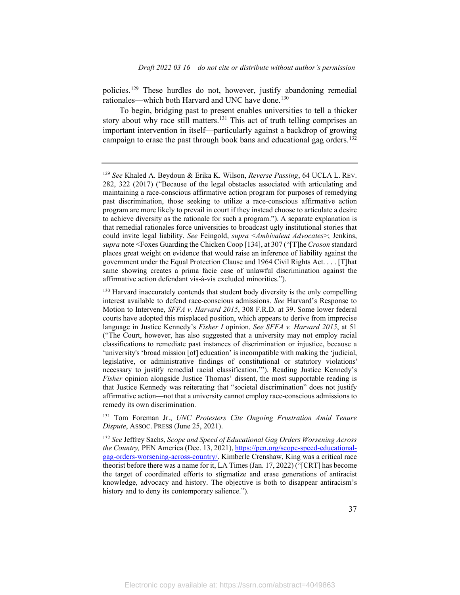policies. [129](#page-37-0) These hurdles do not, however, justify abandoning remedial rationales—which both Harvard and UNC have done. [130](#page-37-1)

To begin, bridging past to present enables universities to tell a thicker story about why race still matters.<sup>[131](#page-37-2)</sup> This act of truth telling comprises an important intervention in itself—particularly against a backdrop of growing campaign to erase the past through book bans and educational gag orders.<sup>[132](#page-37-3)</sup>

<span id="page-37-2"></span><sup>131</sup> Tom Foreman Jr., *UNC Protesters Cite Ongoing Frustration Amid Tenure Dispute*, ASSOC. PRESS (June 25, 2021).

<span id="page-37-3"></span><sup>132</sup> *See* Jeffrey Sachs, *Scope and Speed of Educational Gag Orders Worsening Across the Country,* PEN America (Dec. 13, 2021), [https://pen.org/scope-speed-educational](https://pen.org/scope-speed-educational-gag-orders-worsening-across-country/)[gag-orders-worsening-across-country/.](https://pen.org/scope-speed-educational-gag-orders-worsening-across-country/) Kimberle Crenshaw, King was a critical race theorist before there was a name for it, LA Times (Jan. 17, 2022) ("[CRT] has become the target of coordinated efforts to stigmatize and erase generations of antiracist knowledge, advocacy and history. The objective is both to disappear antiracism's history and to deny its contemporary salience.").

<span id="page-37-0"></span><sup>129</sup> *See* Khaled A. Beydoun & Erika K. Wilson, *Reverse Passing*, 64 UCLA L. REV. 282, 322 (2017) ("Because of the legal obstacles associated with articulating and maintaining a race-conscious affirmative action program for purposes of remedying past discrimination, those seeking to utilize a race-conscious affirmative action program are more likely to prevail in court if they instead choose to articulate a desire to achieve diversity as the rationale for such a program."). A separate explanation is that remedial rationales force universities to broadcast ugly institutional stories that could invite legal liability. *See* Feingold, *supra* <*Ambivalent Advocates*>; Jenkins, *supra* note <Foxes Guarding the Chicken Coop [134], at 307 ("[T]he *Croson* standard places great weight on evidence that would raise an inference of liability against the government under the Equal Protection Clause and 1964 Civil Rights Act. . . . [T]hat same showing creates a prima facie case of unlawful discrimination against the affirmative action defendant vis-à-vis excluded minorities.").

<span id="page-37-1"></span><sup>&</sup>lt;sup>130</sup> Harvard inaccurately contends that student body diversity is the only compelling interest available to defend race-conscious admissions. *See* Harvard's Response to Motion to Intervene, *SFFA v. Harvard 2015*, 308 F.R.D. at 39. Some lower federal courts have adopted this misplaced position, which appears to derive from imprecise language in Justice Kennedy's *Fisher I* opinion. *See SFFA v. Harvard 2015*, at 51 ("The Court, however, has also suggested that a university may not employ racial classifications to remediate past instances of discrimination or injustice, because a 'university's 'broad mission [of] education' is incompatible with making the 'judicial, legislative, or administrative findings of constitutional or statutory violations' necessary to justify remedial racial classification.'"). Reading Justice Kennedy's *Fisher* opinion alongside Justice Thomas' dissent, the most supportable reading is that Justice Kennedy was reiterating that "societal discrimination" does not justify affirmative action—not that a university cannot employ race-conscious admissions to remedy its own discrimination.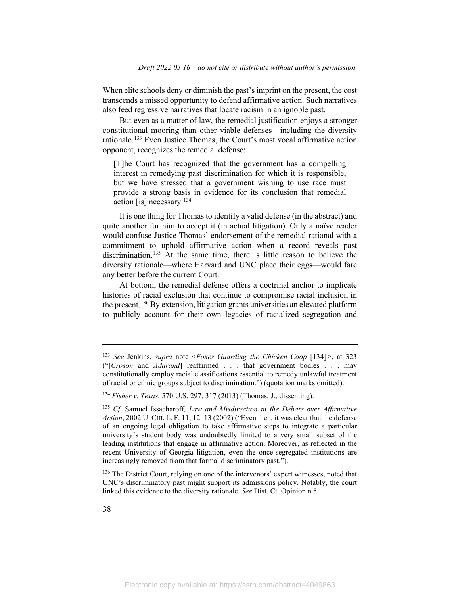When elite schools deny or diminish the past's imprint on the present, the cost transcends a missed opportunity to defend affirmative action. Such narratives also feed regressive narratives that locate racism in an ignoble past.

But even as a matter of law, the remedial justification enjoys a stronger constitutional mooring than other viable defenses—including the diversity rationale.<sup>[133](#page-38-0)</sup> Even Justice Thomas, the Court's most vocal affirmative action opponent, recognizes the remedial defense:

[T]he Court has recognized that the government has a compelling interest in remedying past discrimination for which it is responsible, but we have stressed that a government wishing to use race must provide a strong basis in evidence for its conclusion that remedial action [is] necessary. $134$ 

It is one thing for Thomas to identify a valid defense (in the abstract) and quite another for him to accept it (in actual litigation). Only a naïve reader would confuse Justice Thomas' endorsement of the remedial rational with a commitment to uphold affirmative action when a record reveals past discrimination. [135](#page-38-2) At the same time, there is little reason to believe the diversity rationale—where Harvard and UNC place their eggs—would fare any better before the current Court.

At bottom, the remedial defense offers a doctrinal anchor to implicate histories of racial exclusion that continue to compromise racial inclusion in the present. [136](#page-38-3) By extension, litigation grants universities an elevated platform to publicly account for their own legacies of racialized segregation and

<span id="page-38-3"></span><sup>136</sup> The District Court, relying on one of the intervenors' expert witnesses, noted that UNC's discriminatory past might support its admissions policy. Notably, the court linked this evidence to the diversity rationale. *See* Dist. Ct. Opinion n.5.

<span id="page-38-0"></span><sup>133</sup> *See* Jenkins, *supra* note <*Foxes Guarding the Chicken Coop* [134]*>*, at 323 ("[*Croson* and *Adarand*] reaffirmed . . . that government bodies . . . may constitutionally employ racial classifications essential to remedy unlawful treatment of racial or ethnic groups subject to discrimination.") (quotation marks omitted).

<span id="page-38-1"></span><sup>134</sup> *Fisher v. Texas*, 570 U.S. 297, 317 (2013) (Thomas, J., dissenting).

<span id="page-38-2"></span><sup>135</sup> *Cf.* Samuel Issacharoff*, Law and Misdirection in the Debate over Affirmative Action*, 2002 U. CHI. L. F. 11, 12–13 (2002) ("Even then, it was clear that the defense of an ongoing legal obligation to take affirmative steps to integrate a particular university's student body was undoubtedly limited to a very small subset of the leading institutions that engage in affirmative action. Moreover, as reflected in the recent University of Georgia litigation, even the once-segregated institutions are increasingly removed from that formal discriminatory past.").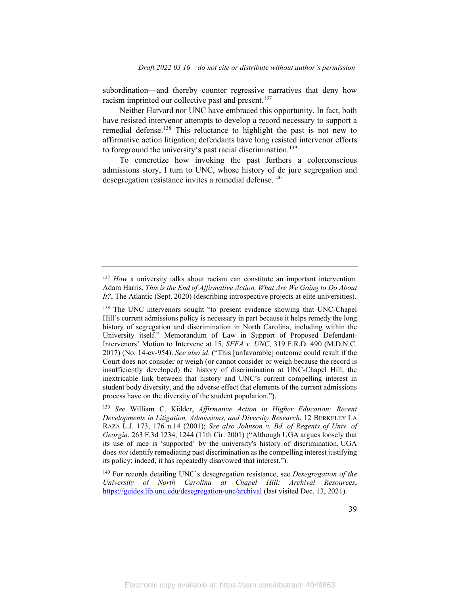subordination—and thereby counter regressive narratives that deny how racism imprinted our collective past and present.<sup>[137](#page-39-0)</sup>

Neither Harvard nor UNC have embraced this opportunity. In fact, both have resisted intervenor attempts to develop a record necessary to support a remedial defense.<sup>[138](#page-39-1)</sup> This reluctance to highlight the past is not new to affirmative action litigation; defendants have long resisted intervenor efforts to foreground the university's past racial discrimination.<sup>[139](#page-39-2)</sup>

To concretize how invoking the past furthers a colorconscious admissions story, I turn to UNC, whose history of de jure segregation and desegregation resistance invites a remedial defense.<sup>[140](#page-39-3)</sup>

<span id="page-39-0"></span><sup>&</sup>lt;sup>137</sup> *How* a university talks about racism can constitute an important intervention. Adam Harris, *This is the End of Affirmative Action, What Are We Going to Do About It?*, The Atlantic (Sept. 2020) (describing introspective projects at elite universities).

<span id="page-39-1"></span><sup>&</sup>lt;sup>138</sup> The UNC intervenors sought "to present evidence showing that UNC-Chapel Hill's current admissions policy is necessary in part because it helps remedy the long history of segregation and discrimination in North Carolina, including within the University itself." Memorandum of Law in Support of Proposed Defendant-Intervenors' Motion to Intervene at 15, *SFFA v. UNC*, 319 F.R.D. 490 (M.D.N.C. 2017) (No. 14-cv-954). *See also id*. ("This [unfavorable] outcome could result if the Court does not consider or weigh (or cannot consider or weigh because the record is insufficiently developed) the history of discrimination at UNC-Chapel Hill, the inextricable link between that history and UNC's current compelling interest in student body diversity, and the adverse effect that elements of the current admissions process have on the diversity of the student population.").

<span id="page-39-2"></span><sup>139</sup> *See* William C. Kidder, *Affirmative Action in Higher Education: Recent Developments in Litigation, Admissions, and Diversity Research*, 12 BERKELEY LA RAZA L.J. 173, 176 n.14 (2001); *See also Johnson v. Bd. of Regents of Univ. of Georgia*, 263 F.3d 1234, 1244 (11th Cir. 2001) ("Although UGA argues loosely that its use of race is 'supported' by the university's history of discrimination, UGA does *not* identify remediating past discrimination as the compelling interest justifying its policy; indeed, it has repeatedly disavowed that interest.").

<span id="page-39-3"></span><sup>140</sup> For records detailing UNC's desegregation resistance, see *Desegregation of the University of North Carolina at Chapel Hill: Archival Resources*, <https://guides.lib.unc.edu/desegregation-unc/archival> (last visited Dec. 13, 2021).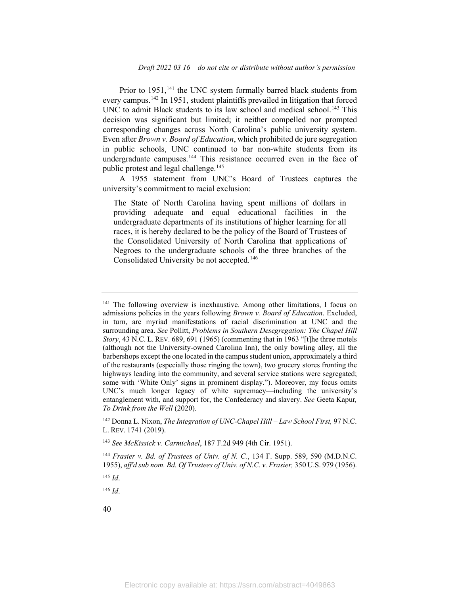Prior to 1951,<sup>[141](#page-40-0)</sup> the UNC system formally barred black students from every campus.[142](#page-40-1) In 1951, student plaintiffs prevailed in litigation that forced UNC to admit Black students to its law school and medical school.<sup>[143](#page-40-2)</sup> This decision was significant but limited; it neither compelled nor prompted corresponding changes across North Carolina's public university system. Even after *Brown v. Board of Education*, which prohibited de jure segregation in public schools, UNC continued to bar non-white students from its undergraduate campuses.<sup>[144](#page-40-3)</sup> This resistance occurred even in the face of public protest and legal challenge.<sup>[145](#page-40-4)</sup>

A 1955 statement from UNC's Board of Trustees captures the university's commitment to racial exclusion:

The State of North Carolina having spent millions of dollars in providing adequate and equal educational facilities in the undergraduate departments of its institutions of higher learning for all races, it is hereby declared to be the policy of the Board of Trustees of the Consolidated University of North Carolina that applications of Negroes to the undergraduate schools of the three branches of the Consolidated University be not accepted.[146](#page-40-5)

<span id="page-40-2"></span><sup>143</sup> *See McKissick v. Carmichael*, 187 F.2d 949 (4th Cir. 1951).

<span id="page-40-4"></span>

<span id="page-40-5"></span><sup>146</sup> *Id*.

<span id="page-40-0"></span><sup>&</sup>lt;sup>141</sup> The following overview is inexhaustive. Among other limitations, I focus on admissions policies in the years following *Brown v. Board of Education*. Excluded, in turn, are myriad manifestations of racial discrimination at UNC and the surrounding area. *See* Pollitt, *Problems in Southern Desegregation: The Chapel Hill Story*, 43 N.C. L. REV. 689, 691 (1965) (commenting that in 1963 "[t]he three motels (although not the University-owned Carolina Inn), the only bowling alley, all the barbershops except the one located in the campus student union, approximately a third of the restaurants (especially those ringing the town), two grocery stores fronting the highways leading into the community, and several service stations were segregated; some with 'White Only' signs in prominent display."). Moreover, my focus omits UNC's much longer legacy of white supremacy—including the university's entanglement with, and support for, the Confederacy and slavery. *See* Geeta Kapur*, To Drink from the Well* (2020).

<span id="page-40-1"></span><sup>142</sup> Donna L. Nixon, *The Integration of UNC-Chapel Hill – Law School First,* 97 N.C. L. REV. 1741 (2019).

<span id="page-40-3"></span><sup>144</sup> *Frasier v. Bd. of Trustees of Univ. of N. C.*, 134 F. Supp. 589, 590 (M.D.N.C. 1955), *aff'd sub nom. Bd. Of Trustees of Univ. of N.C. v. Frasier,* 350 U.S. 979 (1956). <sup>145</sup> *Id*.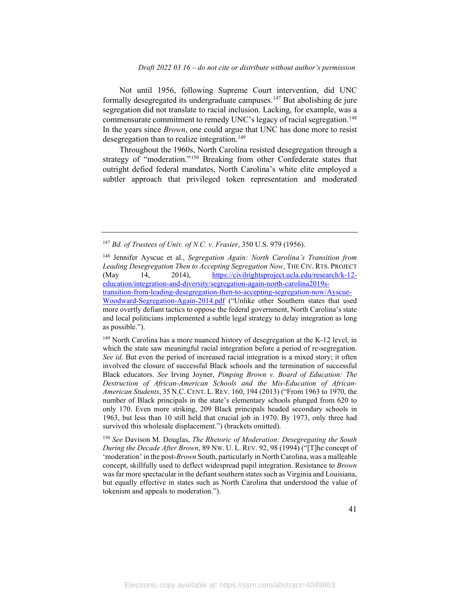Not until 1956, following Supreme Court intervention, did UNC formally desegregated its undergraduate campuses.<sup>[147](#page-41-0)</sup> But abolishing de jure segregation did not translate to racial inclusion. Lacking, for example, was a commensurate commitment to remedy UNC's legacy of racial segregation. [148](#page-41-1) In the years since *Brown*, one could argue that UNC has done more to resist desegregation than to realize integration.<sup>[149](#page-41-2)</sup>

Throughout the 1960s, North Carolina resisted desegregation through a strategy of "moderation."<sup>[150](#page-41-3)</sup> Breaking from other Confederate states that outright defied federal mandates, North Carolina's white elite employed a subtler approach that privileged token representation and moderated

<span id="page-41-2"></span><sup>149</sup> North Carolina has a more nuanced history of desegregation at the K-12 level, in which the state saw meaningful racial integration before a period of re-segregation. *See id.* But even the period of increased racial integration is a mixed story; it often involved the closure of successful Black schools and the termination of successful Black educators. *See* Irving Joyner, *Pimping Brown v. Board of Education: The Destruction of African-American Schools and the Mis-Education of African-American Students*, 35 N.C. CENT. L. REV. 160, 194 (2013) ("From 1963 to 1970, the number of Black principals in the state's elementary schools plunged from 620 to only 170. Even more striking, 209 Black principals headed secondary schools in 1963, but less than 10 still held that crucial job in 1970. By 1973, only three had survived this wholesale displacement.") (brackets omitted).

<span id="page-41-3"></span><sup>150</sup> *See* Davison M. Douglas, *The Rhetoric of Moderation: Desegregating the South During the Decade After Brown*, 89 NW. U. L. REV. 92, 98 (1994) ("[T]he concept of 'moderation' in the post-*Brown* South, particularly in North Carolina, was a malleable concept, skillfully used to deflect widespread pupil integration. Resistance to *Brown* was far more spectacular in the defiant southern states such as Virginia and Louisiana, but equally effective in states such as North Carolina that understood the value of tokenism and appeals to moderation.").

<span id="page-41-0"></span><sup>147</sup> *Bd. of Trustees of Univ. of N.C. v. Frasier*, 350 U.S. 979 (1956).

<span id="page-41-1"></span><sup>148</sup> Jennifer Ayscue et al., *Segregation Again: North Carolina's Transition from Leading Desegregation Then to Accepting Segregation Now*, THE CIV. RTS. PROJECT (May 14, 2014), [https://civilrightsproject.ucla.edu/research/k-12](https://civilrightsproject.ucla.edu/research/k-12-education/integration-and-diversity/segregation-again-north-carolina2019s-transition-from-leading-desegregation-then-to-accepting-segregation-now/Ayscue-Woodward-Segregation-Again-2014.pdf) [education/integration-and-diversity/segregation-again-north-carolina2019s](https://civilrightsproject.ucla.edu/research/k-12-education/integration-and-diversity/segregation-again-north-carolina2019s-transition-from-leading-desegregation-then-to-accepting-segregation-now/Ayscue-Woodward-Segregation-Again-2014.pdf)[transition-from-leading-desegregation-then-to-accepting-segregation-now/Ayscue-](https://civilrightsproject.ucla.edu/research/k-12-education/integration-and-diversity/segregation-again-north-carolina2019s-transition-from-leading-desegregation-then-to-accepting-segregation-now/Ayscue-Woodward-Segregation-Again-2014.pdf)[Woodward-Segregation-Again-2014.pdf](https://civilrightsproject.ucla.edu/research/k-12-education/integration-and-diversity/segregation-again-north-carolina2019s-transition-from-leading-desegregation-then-to-accepting-segregation-now/Ayscue-Woodward-Segregation-Again-2014.pdf) ("Unlike other Southern states that used more overtly defiant tactics to oppose the federal government, North Carolina's state and local politicians implemented a subtle legal strategy to delay integration as long as possible.").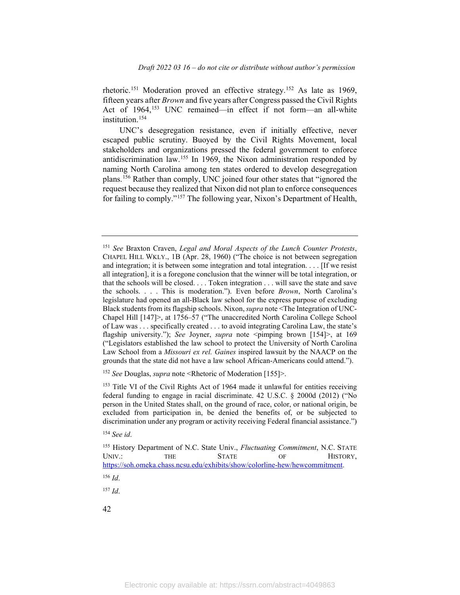rhetoric.<sup>[151](#page-42-0)</sup> Moderation proved an effective strategy.<sup>[152](#page-42-1)</sup> As late as 1969, fifteen years after *Brown* and five years after Congress passed the Civil Rights Act of 1964,<sup>[153](#page-42-2)</sup> UNC remained—in effect if not form—an all-white institution. [154](#page-42-3)

UNC's desegregation resistance, even if initially effective, never escaped public scrutiny. Buoyed by the Civil Rights Movement, local stakeholders and organizations pressed the federal government to enforce antidiscrimination law. [155](#page-42-4) In 1969, the Nixon administration responded by naming North Carolina among ten states ordered to develop desegregation plans.[156](#page-42-5) Rather than comply, UNC joined four other states that "ignored the request because they realized that Nixon did not plan to enforce consequences for failing to comply."[157](#page-42-6) The following year, Nixon's Department of Health,

<span id="page-42-1"></span><sup>152</sup> *See* Douglas, *supra* note <Rhetoric of Moderation [155]>.

<span id="page-42-5"></span><sup>156</sup> *Id*.

<span id="page-42-6"></span><sup>157</sup> *Id*.

<span id="page-42-0"></span><sup>151</sup> *See* Braxton Craven, *Legal and Moral Aspects of the Lunch Counter Protests*, CHAPEL HILL WKLY., 1B (Apr. 28, 1960) ("The choice is not between segregation and integration; it is between some integration and total integration. . . . [If we resist all integration], it is a foregone conclusion that the winner will be total integration, or that the schools will be closed. . . . Token integration . . . will save the state and save the schools. . . . This is moderation."). Even before *Brown*, North Carolina's legislature had opened an all-Black law school for the express purpose of excluding Black students from its flagship schools. Nixon, *supra* note <The Integration of UNC-Chapel Hill [147]>, at 1756–57 ("The unaccredited North Carolina College School of Law was . . . specifically created . . . to avoid integrating Carolina Law, the state's flagship university."); *See Joyner, supra note* <pimping brown [154]>, at 169 ("Legislators established the law school to protect the University of North Carolina Law School from a *Missouri ex rel. Gaines* inspired lawsuit by the NAACP on the grounds that the state did not have a law school African-Americans could attend.").

<span id="page-42-2"></span><sup>&</sup>lt;sup>153</sup> Title VI of the Civil Rights Act of 1964 made it unlawful for entities receiving federal funding to engage in racial discriminate. 42 U.S.C. § 2000d (2012) ("No person in the United States shall, on the ground of race, color, or national origin, be excluded from participation in, be denied the benefits of, or be subjected to discrimination under any program or activity receiving Federal financial assistance.")

<span id="page-42-3"></span><sup>154</sup> *See id*.

<span id="page-42-4"></span><sup>155</sup> History Department of N.C. State Univ., *Fluctuating Commitment*, N.C. STATE UNIV.: THE STATE OF HISTORY, [https://soh.omeka.chass.ncsu.edu/exhibits/show/colorline-hew/hewcommitment.](https://soh.omeka.chass.ncsu.edu/exhibits/show/colorline-hew/hewcommitment)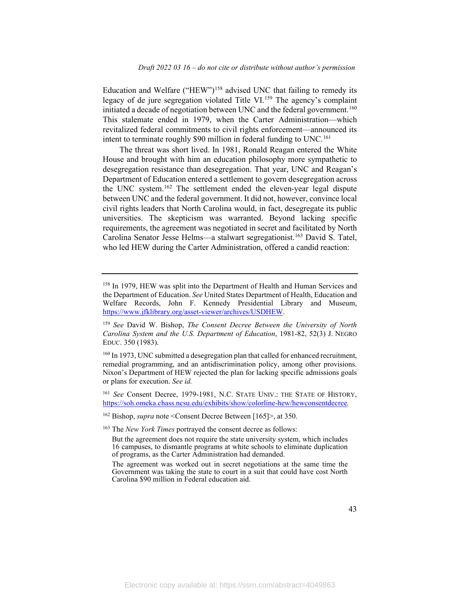Education and Welfare ("HEW")<sup>[158](#page-43-0)</sup> advised UNC that failing to remedy its legacy of de jure segregation violated Title VI.<sup>[159](#page-43-1)</sup> The agency's complaint initiated a decade of negotiation between UNC and the federal government.<sup>[160](#page-43-2)</sup> This stalemate ended in 1979, when the Carter Administration—which revitalized federal commitments to civil rights enforcement—announced its intent to terminate roughly  $$90$  million in federal funding to UNC.<sup>[161](#page-43-3)</sup>

The threat was short lived. In 1981, Ronald Reagan entered the White House and brought with him an education philosophy more sympathetic to desegregation resistance than desegregation. That year, UNC and Reagan's Department of Education entered a settlement to govern desegregation across the UNC system.<sup>[162](#page-43-4)</sup> The settlement ended the eleven-year legal dispute between UNC and the federal government. It did not, however, convince local civil rights leaders that North Carolina would, in fact, desegregate its public universities. The skepticism was warranted. Beyond lacking specific requirements, the agreement was negotiated in secret and facilitated by North Carolina Senator Jesse Helms—a stalwart segregationist.<sup>[163](#page-43-5)</sup> David S. Tatel, who led HEW during the Carter Administration, offered a candid reaction:

<span id="page-43-0"></span><sup>158</sup> In 1979, HEW was split into the Department of Health and Human Services and the Department of Education. *See* United States Department of Health, Education and Welfare Records, John F. Kennedy Presidential Library and Museum, [https://www.jfklibrary.org/asset-viewer/archives/USDHEW.](https://www.jfklibrary.org/asset-viewer/archives/USDHEW)

<span id="page-43-1"></span><sup>159</sup> *See* David W. Bishop, *The Consent Decree Between the University of North Carolina System and the U.S. Department of Education*, 1981-82, 52(3) J. NEGRO EDUC. 350 (1983).

<span id="page-43-2"></span><sup>&</sup>lt;sup>160</sup> In 1973, UNC submitted a desegregation plan that called for enhanced recruitment, remedial programming, and an antidiscrimination policy, among other provisions. Nixon's Department of HEW rejected the plan for lacking specific admissions goals or plans for execution. *See id.*

<span id="page-43-3"></span><sup>161</sup> *See* Consent Decree, 1979-1981, N.C. STATE UNIV.: THE STATE OF HISTORY, <https://soh.omeka.chass.ncsu.edu/exhibits/show/colorline-hew/hewconsentdecree>*.* 

<span id="page-43-4"></span><sup>162</sup> Bishop, *supra* note <Consent Decree Between [165]>, at 350.

<span id="page-43-5"></span><sup>163</sup> The *New York Times* portrayed the consent decree as follows:

But the agreement does not require the state university system, which includes 16 campuses, to dismantle programs at white schools to eliminate duplication of programs, as the Carter Administration had demanded.

The agreement was worked out in secret negotiations at the same time the Government was taking the state to court in a suit that could have cost North Carolina \$90 million in Federal education aid.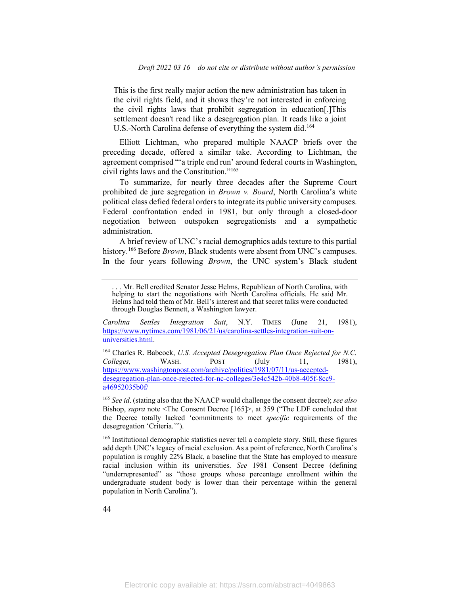This is the first really major action the new administration has taken in the civil rights field, and it shows they're not interested in enforcing the civil rights laws that prohibit segregation in education[.]This settlement doesn't read like a desegregation plan. It reads like a joint U.S.-North Carolina defense of everything the system did.<sup>[164](#page-44-0)</sup>

Elliott Lichtman, who prepared multiple NAACP briefs over the preceding decade, offered a similar take. According to Lichtman, the agreement comprised "'a triple end run' around federal courts in Washington, civil rights laws and the Constitution."[165](#page-44-1)

To summarize, for nearly three decades after the Supreme Court prohibited de jure segregation in *Brown v. Board*, North Carolina's white political class defied federal orders to integrate its public university campuses. Federal confrontation ended in 1981, but only through a closed-door negotiation between outspoken segregationists and a sympathetic administration.

A brief review of UNC's racial demographics adds texture to this partial history.<sup>[166](#page-44-2)</sup> Before *Brown*, Black students were absent from UNC's campuses. In the four years following *Brown*, the UNC system's Black student

*Carolina Settles Integration Suit*, N.Y. TIMES (June 21, 1981), [https://www.nytimes.com/1981/06/21/us/carolina-settles-integration-suit-on](https://www.nytimes.com/1981/06/21/us/carolina-settles-integration-suit-on-universities.html)[universities.html.](https://www.nytimes.com/1981/06/21/us/carolina-settles-integration-suit-on-universities.html)

<span id="page-44-0"></span><sup>164</sup> Charles R. Babcock, *U.S. Accepted Desegregation Plan Once Rejected for N.C. Colleges,* WASH. POST (July 11, 1981), [https://www.washingtonpost.com/archive/politics/1981/07/11/us-accepted](https://www.washingtonpost.com/archive/politics/1981/07/11/us-accepted-desegregation-plan-once-rejected-for-nc-colleges/3e4c542b-40b8-405f-8cc9-a46952035b0f/)[desegregation-plan-once-rejected-for-nc-colleges/3e4c542b-40b8-405f-8cc9](https://www.washingtonpost.com/archive/politics/1981/07/11/us-accepted-desegregation-plan-once-rejected-for-nc-colleges/3e4c542b-40b8-405f-8cc9-a46952035b0f/) [a46952035b0f/](https://www.washingtonpost.com/archive/politics/1981/07/11/us-accepted-desegregation-plan-once-rejected-for-nc-colleges/3e4c542b-40b8-405f-8cc9-a46952035b0f/)

<span id="page-44-1"></span><sup>165</sup> *See id*. (stating also that the NAACP would challenge the consent decree); *see also* Bishop, *supra* note <The Consent Decree [165]>, at 359 ("The LDF concluded that the Decree totally lacked 'commitments to meet *specific* requirements of the desegregation 'Criteria.'").

<span id="page-44-2"></span><sup>166</sup> Institutional demographic statistics never tell a complete story. Still, these figures add depth UNC's legacy of racial exclusion. As a point of reference, North Carolina's population is roughly 22% Black, a baseline that the State has employed to measure racial inclusion within its universities. *See* 1981 Consent Decree (defining "underrepresented" as "those groups whose percentage enrollment within the undergraduate student body is lower than their percentage within the general population in North Carolina").

<sup>. . .</sup> Mr. Bell credited Senator Jesse Helms, Republican of North Carolina, with helping to start the negotiations with North Carolina officials. He said Mr. Helms had told them of Mr. Bell's interest and that secret talks were conducted through Douglas Bennett, a Washington lawyer.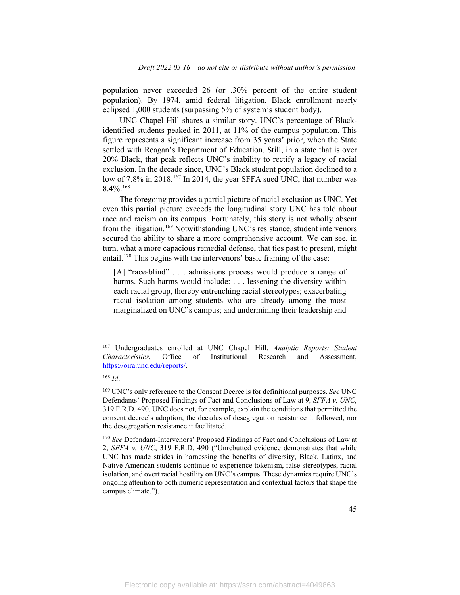population never exceeded 26 (or .30% percent of the entire student population). By 1974, amid federal litigation, Black enrollment nearly eclipsed 1,000 students (surpassing 5% of system's student body).

UNC Chapel Hill shares a similar story. UNC's percentage of Blackidentified students peaked in 2011, at 11% of the campus population. This figure represents a significant increase from 35 years' prior, when the State settled with Reagan's Department of Education. Still, in a state that is over 20% Black, that peak reflects UNC's inability to rectify a legacy of racial exclusion. In the decade since, UNC's Black student population declined to a low of 7.8% in 2018.<sup>[167](#page-45-0)</sup> In 2014, the year SFFA sued UNC, that number was  $8.4\%$ <sup>[168](#page-45-1)</sup>

The foregoing provides a partial picture of racial exclusion as UNC. Yet even this partial picture exceeds the longitudinal story UNC has told about race and racism on its campus. Fortunately, this story is not wholly absent from the litigation.<sup>[169](#page-45-2)</sup> Notwithstanding UNC's resistance, student intervenors secured the ability to share a more comprehensive account. We can see, in turn, what a more capacious remedial defense, that ties past to present, might entail. [170](#page-45-3) This begins with the intervenors' basic framing of the case:

[A] "race-blind" . . . admissions process would produce a range of harms. Such harms would include: . . . lessening the diversity within each racial group, thereby entrenching racial stereotypes; exacerbating racial isolation among students who are already among the most marginalized on UNC's campus; and undermining their leadership and

<span id="page-45-0"></span><sup>167</sup> Undergraduates enrolled at UNC Chapel Hill, *Analytic Reports: Student Characteristics*, Office of Institutional Research and Assessment, [https://oira.unc.edu/reports/.](https://oira.unc.edu/reports/)

<span id="page-45-1"></span><sup>168</sup> *Id*.

<span id="page-45-2"></span><sup>169</sup> UNC's only reference to the Consent Decree is for definitional purposes. *See* UNC Defendants' Proposed Findings of Fact and Conclusions of Law at 9, *SFFA v. UNC*, 319 F.R.D. 490. UNC does not, for example, explain the conditions that permitted the consent decree's adoption, the decades of desegregation resistance it followed, nor the desegregation resistance it facilitated.

<span id="page-45-3"></span><sup>170</sup> *See* Defendant-Intervenors' Proposed Findings of Fact and Conclusions of Law at 2, *SFFA v. UNC*, 319 F.R.D. 490 ("Unrebutted evidence demonstrates that while UNC has made strides in harnessing the benefits of diversity, Black, Latinx, and Native American students continue to experience tokenism, false stereotypes, racial isolation, and overt racial hostility on UNC's campus. These dynamics require UNC's ongoing attention to both numeric representation and contextual factors that shape the campus climate.").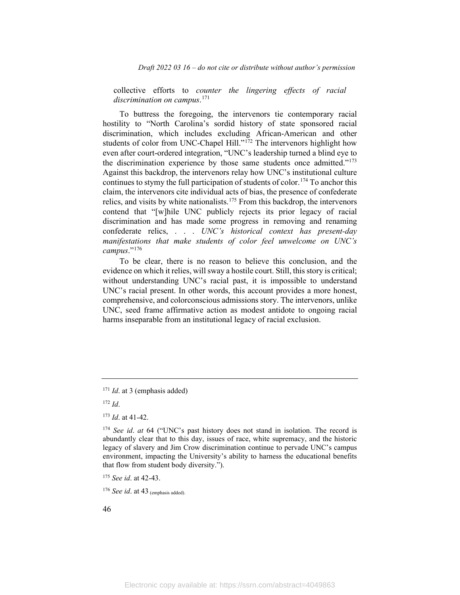*Draft 2022 03 16 – do not cite or distribute without author's permission*

collective efforts to *counter the lingering effects of racial discrimination on campus*. [171](#page-46-0)

To buttress the foregoing, the intervenors tie contemporary racial hostility to "North Carolina's sordid history of state sponsored racial discrimination, which includes excluding African-American and other students of color from UNC-Chapel Hill."<sup>[172](#page-46-1)</sup> The intervenors highlight how even after court-ordered integration, "UNC's leadership turned a blind eye to the discrimination experience by those same students once admitted."[173](#page-46-2) Against this backdrop, the intervenors relay how UNC's institutional culture continues to stymy the full participation of students of color.<sup>[174](#page-46-3)</sup> To anchor this claim, the intervenors cite individual acts of bias, the presence of confederate relics, and visits by white nationalists. [175](#page-46-4) From this backdrop, the intervenors contend that "[w]hile UNC publicly rejects its prior legacy of racial discrimination and has made some progress in removing and renaming confederate relics, . . . *UNC's historical context has present-day manifestations that make students of color feel unwelcome on UNC's campus*."[176](#page-46-5)

To be clear, there is no reason to believe this conclusion, and the evidence on which it relies, will sway a hostile court. Still, this story is critical; without understanding UNC's racial past, it is impossible to understand UNC's racial present. In other words, this account provides a more honest, comprehensive, and colorconscious admissions story. The intervenors, unlike UNC, seed frame affirmative action as modest antidote to ongoing racial harms inseparable from an institutional legacy of racial exclusion.

<span id="page-46-1"></span><sup>172</sup> *Id*.

<span id="page-46-4"></span><sup>175</sup> *See id*. at 42-43.

<span id="page-46-5"></span><sup>176</sup> *See id.* at 43 (emphasis added).

<span id="page-46-0"></span><sup>&</sup>lt;sup>171</sup> *Id.* at 3 (emphasis added)

<span id="page-46-2"></span><sup>173</sup> *Id*. at 41-42.

<span id="page-46-3"></span><sup>174</sup> *See id*. *at* 64 ("UNC's past history does not stand in isolation. The record is abundantly clear that to this day, issues of race, white supremacy, and the historic legacy of slavery and Jim Crow discrimination continue to pervade UNC's campus environment, impacting the University's ability to harness the educational benefits that flow from student body diversity.").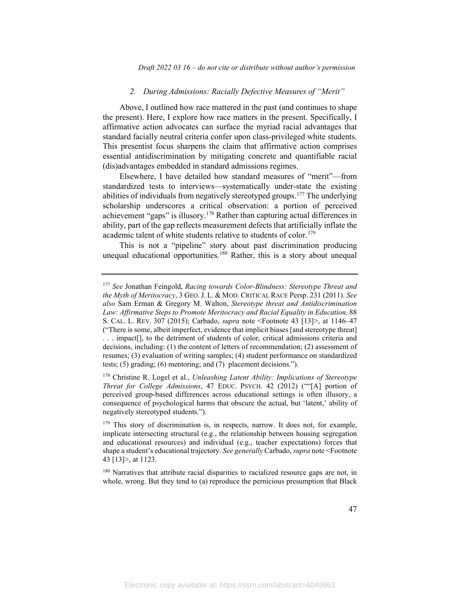#### *2. During Admissions: Racially Defective Measures of "Merit"*

Above, I outlined how race mattered in the past (and continues to shape the present). Here, I explore how race matters in the present. Specifically, I affirmative action advocates can surface the myriad racial advantages that standard facially neutral criteria confer upon class-privileged white students. This presentist focus sharpens the claim that affirmative action comprises essential antidiscrimination by mitigating concrete and quantifiable racial (dis)advantages embedded in standard admissions regimes.

Elsewhere, I have detailed how standard measures of "merit"—from standardized tests to interviews—systematically under-state the existing abilities of individuals from negatively stereotyped groups.[177](#page-47-0) The underlying scholarship underscores a critical observation: a portion of perceived achievement "gaps" is illusory.[178](#page-47-1) Rather than capturing actual differences in ability, part of the gap reflects measurement defects that artificially inflate the academic talent of white students relative to students of color.<sup>[179](#page-47-2)</sup>

This is not a "pipeline" story about past discrimination producing unequal educational opportunities.<sup>[180](#page-47-3)</sup> Rather, this is a story about unequal

<span id="page-47-3"></span> $180$  Narratives that attribute racial disparities to racialized resource gaps are not, in whole, wrong. But they tend to (a) reproduce the pernicious presumption that Black

<span id="page-47-0"></span><sup>177</sup> *See* Jonathan Feingold, *Racing towards Color-Blindness: Stereotype Threat and the Myth of Meritocracy*, 3 GEO.J. L. & MOD. CRITICAL RACE Persp. 231 (2011). *See also* Sam Erman & Gregory M. Walton, *Stereotype threat and Antidiscrimination Law: Affirmative Steps to Promote Meritocracy and Racial Equality in Education,* 88 S. CAL. L. REV. 307 (2015); Carbado, *supra* note <Footnote 43 [13]>, at 1146–47 ("There is some, albeit imperfect, evidence that implicit biases [and stereotype threat] . . . impact[], to the detriment of students of color, critical admissions criteria and decisions, including: (1) the content of letters of recommendation; (2) assessment of resumes; (3) evaluation of writing samples; (4) student performance on standardized tests; (5) grading; (6) mentoring; and (7) placement decisions.").

<span id="page-47-1"></span><sup>178</sup> Christine R. Logel et al., *Unleashing Latent Ability: Implications of Stereotype Threat for College Admissions*, 47 EDUC. PSYCH. 42 (2012) (""[A] portion of perceived group-based differences across educational settings is often illusory, a consequence of psychological harms that obscure the actual, but 'latent,' ability of negatively stereotyped students.").

<span id="page-47-2"></span><sup>&</sup>lt;sup>179</sup> This story of discrimination is, in respects, narrow. It does not, for example, implicate intersecting structural (e.g., the relationship between housing segregation and educational resources) and individual (e.g., teacher expectations) forces that shape a student's educational trajectory. *See generally* Carbado, *supra* note <Footnote 43 [13]>, at 1123.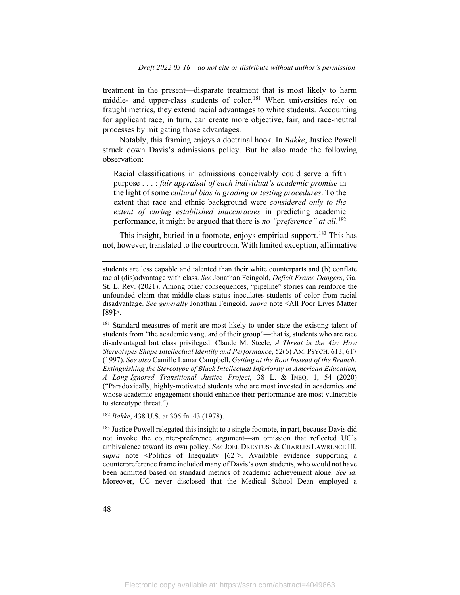treatment in the present—disparate treatment that is most likely to harm middle- and upper-class students of color.<sup>[181](#page-48-0)</sup> When universities rely on fraught metrics, they extend racial advantages to white students. Accounting for applicant race, in turn, can create more objective, fair, and race-neutral processes by mitigating those advantages.

Notably, this framing enjoys a doctrinal hook. In *Bakke*, Justice Powell struck down Davis's admissions policy. But he also made the following observation:

Racial classifications in admissions conceivably could serve a fifth purpose . . . : *fair appraisal of each individual's academic promise* in the light of some *cultural bias in grading or testing procedures*. To the extent that race and ethnic background were *considered only to the extent of curing established inaccuracies* in predicting academic performance, it might be argued that there is *no "preference" at all*. [182](#page-48-1)

This insight, buried in a footnote, enjoys empirical support. [183](#page-48-2) This has not, however, translated to the courtroom. With limited exception, affirmative

<span id="page-48-0"></span><sup>181</sup> Standard measures of merit are most likely to under-state the existing talent of students from "the academic vanguard of their group"—that is, students who are race disadvantaged but class privileged. Claude M. Steele, *A Threat in the Air: How Stereotypes Shape Intellectual Identity and Performance*, 52(6) AM. PSYCH. 613, 617 (1997). *See also* Camille Lamar Campbell, *Getting at the Root Instead of the Branch: Extinguishing the Stereotype of Black Intellectual Inferiority in American Education, A Long-Ignored Transitional Justice Project*, 38 L. & INEQ. 1, 54 (2020) ("Paradoxically, highly-motivated students who are most invested in academics and whose academic engagement should enhance their performance are most vulnerable to stereotype threat.").

<span id="page-48-1"></span><sup>182</sup> *Bakke*, 438 U.S. at 306 fn. 43 (1978).

<span id="page-48-2"></span><sup>183</sup> Justice Powell relegated this insight to a single footnote, in part, because Davis did not invoke the counter-preference argument—an omission that reflected UC's ambivalence toward its own policy. *See* JOEL DREYFUSS & CHARLES LAWRENCE III, *supra* note <Politics of Inequality [62]>. Available evidence supporting a counterpreference frame included many of Davis's own students, who would not have been admitted based on standard metrics of academic achievement alone. *See id*. Moreover, UC never disclosed that the Medical School Dean employed a

students are less capable and talented than their white counterparts and (b) conflate racial (dis)advantage with class. *See* Jonathan Feingold, *Deficit Frame Dangers*, Ga. St. L. Rev. (2021). Among other consequences, "pipeline" stories can reinforce the unfounded claim that middle-class status inoculates students of color from racial disadvantage. *See generally* Jonathan Feingold, *supra* note <All Poor Lives Matter [89]>.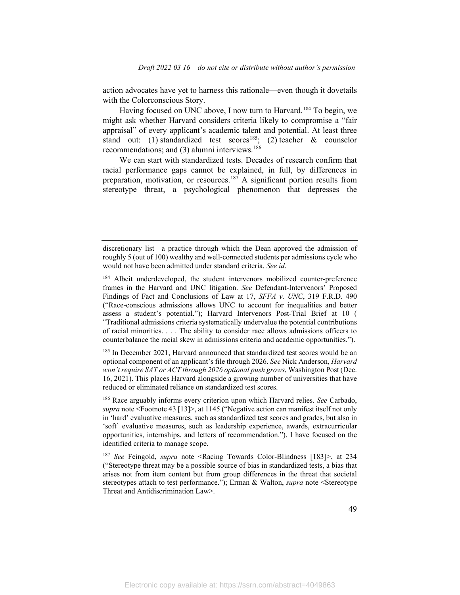action advocates have yet to harness this rationale—even though it dovetails with the Colorconscious Story.

Having focused on UNC above, I now turn to Harvard.<sup>[184](#page-49-0)</sup> To begin, we might ask whether Harvard considers criteria likely to compromise a "fair appraisal" of every applicant's academic talent and potential. At least three stand out: (1) standardized test scores<sup>185</sup>; (2) teacher & counselor recommendations; and (3) alumni interviews.<sup>[186](#page-49-2)</sup>

We can start with standardized tests. Decades of research confirm that racial performance gaps cannot be explained, in full, by differences in preparation, motivation, or resources.<sup>[187](#page-49-3)</sup> A significant portion results from stereotype threat, a psychological phenomenon that depresses the

<span id="page-49-1"></span><sup>185</sup> In December 2021, Harvard announced that standardized test scores would be an optional component of an applicant's file through 2026. *See* Nick Anderson, *Harvard won't require SAT or ACT through 2026 optional push grows*, Washington Post (Dec. 16, 2021). This places Harvard alongside a growing number of universities that have reduced or eliminated reliance on standardized test scores.

<span id="page-49-2"></span><sup>186</sup> Race arguably informs every criterion upon which Harvard relies. *See* Carbado, *supra* note <Footnote 43 [13]>, at 1145 ("Negative action can manifest itself not only in 'hard' evaluative measures, such as standardized test scores and grades, but also in 'soft' evaluative measures, such as leadership experience, awards, extracurricular opportunities, internships, and letters of recommendation."). I have focused on the identified criteria to manage scope.

<span id="page-49-3"></span><sup>187</sup> *See* Feingold, *supra* note <Racing Towards Color-Blindness [183]>, at 234 ("Stereotype threat may be a possible source of bias in standardized tests, a bias that arises not from item content but from group differences in the threat that societal stereotypes attach to test performance."); Erman & Walton, *supra* note <Stereotype Threat and Antidiscrimination Law>.

discretionary list—a practice through which the Dean approved the admission of roughly 5 (out of 100) wealthy and well-connected students per admissions cycle who would not have been admitted under standard criteria. *See id*.

<span id="page-49-0"></span><sup>184</sup> Albeit underdeveloped, the student intervenors mobilized counter-preference frames in the Harvard and UNC litigation. *See* Defendant-Intervenors' Proposed Findings of Fact and Conclusions of Law at 17, *SFFA v. UNC*, 319 F.R.D. 490 ("Race-conscious admissions allows UNC to account for inequalities and better assess a student's potential."); Harvard Intervenors Post-Trial Brief at 10 ( "Traditional admissions criteria systematically undervalue the potential contributions of racial minorities. . . . The ability to consider race allows admissions officers to counterbalance the racial skew in admissions criteria and academic opportunities.").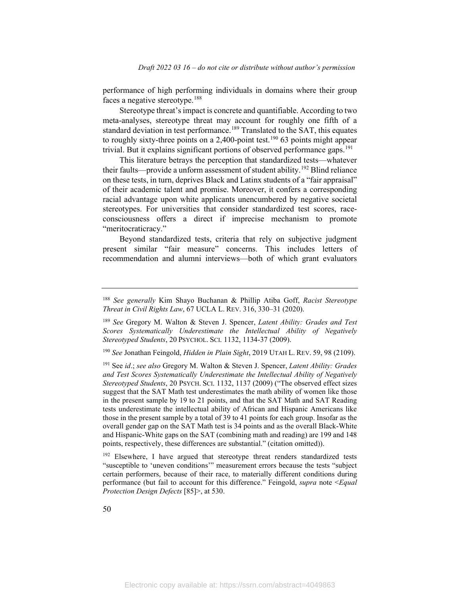performance of high performing individuals in domains where their group faces a negative stereotype.[188](#page-50-0)

Stereotype threat's impact is concrete and quantifiable. According to two meta-analyses, stereotype threat may account for roughly one fifth of a standard deviation in test performance.<sup>[189](#page-50-1)</sup> Translated to the SAT, this equates to roughly sixty-three points on a 2,400-point test.<sup>[190](#page-50-2)</sup> 63 points might appear trivial. But it explains significant portions of observed performance gaps.<sup>[191](#page-50-3)</sup>

This literature betrays the perception that standardized tests—whatever their faults—provide a unform assessment of student ability. [192](#page-50-4) Blind reliance on these tests, in turn, deprives Black and Latinx students of a "fair appraisal" of their academic talent and promise. Moreover, it confers a corresponding racial advantage upon white applicants unencumbered by negative societal stereotypes. For universities that consider standardized test scores, raceconsciousness offers a direct if imprecise mechanism to promote "meritocraticracy."

Beyond standardized tests, criteria that rely on subjective judgment present similar "fair measure" concerns. This includes letters of recommendation and alumni interviews—both of which grant evaluators

<span id="page-50-2"></span><sup>190</sup> *See* Jonathan Feingold, *Hidden in Plain Sight*, 2019 UTAH L. REV. 59, 98 (2109).

<span id="page-50-0"></span><sup>188</sup> *See generally* Kim Shayo Buchanan & Phillip Atiba Goff, *Racist Stereotype Threat in Civil Rights Law*, 67 UCLA L. REV. 316, 330–31 (2020).

<span id="page-50-1"></span><sup>189</sup> *See* Gregory M. Walton & Steven J. Spencer, *Latent Ability: Grades and Test Scores Systematically Underestimate the Intellectual Ability of Negatively Stereotyped Students*, 20 PSYCHOL. SCI. 1132, 1134-37 (2009).

<span id="page-50-3"></span><sup>191</sup> See *id*.; *see also* Gregory M. Walton & Steven J. Spencer, *Latent Ability: Grades and Test Scores Systematically Underestimate the Intellectual Ability of Negatively Stereotyped Students*, 20 PSYCH. SCI. 1132, 1137 (2009) ("The observed effect sizes suggest that the SAT Math test underestimates the math ability of women like those in the present sample by 19 to 21 points, and that the SAT Math and SAT Reading tests underestimate the intellectual ability of African and Hispanic Americans like those in the present sample by a total of 39 to 41 points for each group. Insofar as the overall gender gap on the SAT Math test is 34 points and as the overall Black-White and Hispanic-White gaps on the SAT (combining math and reading) are 199 and 148 points, respectively, these differences are substantial." (citation omitted)).

<span id="page-50-4"></span><sup>&</sup>lt;sup>192</sup> Elsewhere, I have argued that stereotype threat renders standardized tests "susceptible to 'uneven conditions'" measurement errors because the tests "subject certain performers, because of their race, to materially different conditions during performance (but fail to account for this difference." Feingold, *supra* note <*Equal Protection Design Defects* [85]>, at 530.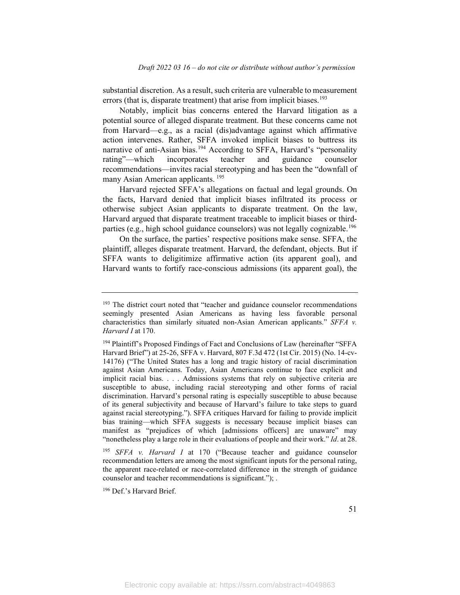substantial discretion. As a result, such criteria are vulnerable to measurement errors (that is, disparate treatment) that arise from implicit biases.<sup>[193](#page-51-0)</sup>

Notably, implicit bias concerns entered the Harvard litigation as a potential source of alleged disparate treatment. But these concerns came not from Harvard—e.g., as a racial (dis)advantage against which affirmative action intervenes. Rather, SFFA invoked implicit biases to buttress its narrative of anti-Asian bias.<sup>[194](#page-51-1)</sup> According to SFFA, Harvard's "personality rating"—which incorporates teacher and guidance counselor recommendations—invites racial stereotyping and has been the "downfall of many Asian American applicants. [195](#page-51-2)

Harvard rejected SFFA's allegations on factual and legal grounds. On the facts, Harvard denied that implicit biases infiltrated its process or otherwise subject Asian applicants to disparate treatment. On the law, Harvard argued that disparate treatment traceable to implicit biases or third-parties (e.g., high school guidance counselors) was not legally cognizable.<sup>[196](#page-51-3)</sup>

On the surface, the parties' respective positions make sense. SFFA, the plaintiff, alleges disparate treatment. Harvard, the defendant, objects. But if SFFA wants to deligitimize affirmative action (its apparent goal), and Harvard wants to fortify race-conscious admissions (its apparent goal), the

<span id="page-51-3"></span><sup>196</sup> Def.'s Harvard Brief.

<span id="page-51-0"></span> $193$  The district court noted that "teacher and guidance counselor recommendations seemingly presented Asian Americans as having less favorable personal characteristics than similarly situated non-Asian American applicants." *SFFA v. Harvard I* at 170.

<span id="page-51-1"></span><sup>&</sup>lt;sup>194</sup> Plaintiff's Proposed Findings of Fact and Conclusions of Law (hereinafter "SFFA Harvard Brief") at 25-26, SFFA v. Harvard, 807 F.3d 472 (1st Cir. 2015) (No. 14-cv-14176) ("The United States has a long and tragic history of racial discrimination against Asian Americans. Today, Asian Americans continue to face explicit and implicit racial bias. . . . Admissions systems that rely on subjective criteria are susceptible to abuse, including racial stereotyping and other forms of racial discrimination. Harvard's personal rating is especially susceptible to abuse because of its general subjectivity and because of Harvard's failure to take steps to guard against racial stereotyping."). SFFA critiques Harvard for failing to provide implicit bias training—which SFFA suggests is necessary because implicit biases can manifest as "prejudices of which [admissions officers] are unaware" may "nonetheless play a large role in their evaluations of people and their work." *Id*. at 28.

<span id="page-51-2"></span><sup>195</sup> *SFFA v. Harvard I* at 170 ("Because teacher and guidance counselor recommendation letters are among the most significant inputs for the personal rating, the apparent race-related or race-correlated difference in the strength of guidance counselor and teacher recommendations is significant."); .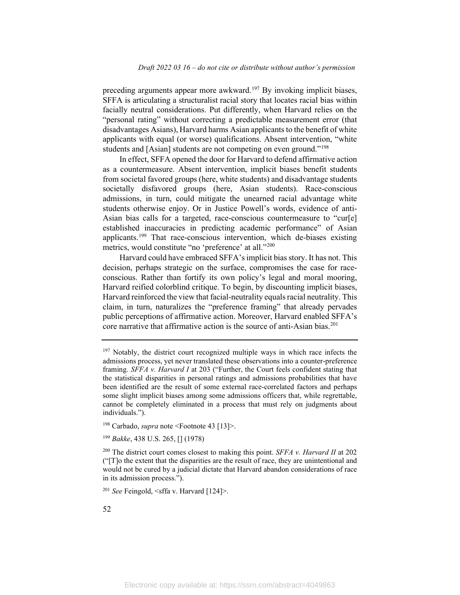preceding arguments appear more awkward.<sup>[197](#page-52-0)</sup> By invoking implicit biases, SFFA is articulating a structuralist racial story that locates racial bias within facially neutral considerations. Put differently, when Harvard relies on the "personal rating" without correcting a predictable measurement error (that disadvantages Asians), Harvard harms Asian applicants to the benefit of white applicants with equal (or worse) qualifications. Absent intervention, "white students and [Asian] students are not competing on even ground."<sup>[198](#page-52-1)</sup>

In effect, SFFA opened the door for Harvard to defend affirmative action as a countermeasure. Absent intervention, implicit biases benefit students from societal favored groups (here, white students) and disadvantage students societally disfavored groups (here, Asian students). Race-conscious admissions, in turn, could mitigate the unearned racial advantage white students otherwise enjoy. Or in Justice Powell's words, evidence of anti-Asian bias calls for a targeted, race-conscious countermeasure to "cur[e] established inaccuracies in predicting academic performance" of Asian applicants. [199](#page-52-2) That race-conscious intervention, which de-biases existing metrics, would constitute "no 'preference' at all."<sup>200</sup>

Harvard could have embraced SFFA's implicit bias story. It has not. This decision, perhaps strategic on the surface, compromises the case for raceconscious. Rather than fortify its own policy's legal and moral mooring, Harvard reified colorblind critique. To begin, by discounting implicit biases, Harvard reinforced the view that facial-neutrality equals racial neutrality. This claim, in turn, naturalizes the "preference framing" that already pervades public perceptions of affirmative action. Moreover, Harvard enabled SFFA's core narrative that affirmative action is the source of anti-Asian bias.<sup>[201](#page-52-4)</sup>

<span id="page-52-1"></span><sup>198</sup> Carbado, *supra* note <Footnote 43 [13]>.

<span id="page-52-2"></span><sup>199</sup> *Bakke*, 438 U.S. 265, [] (1978)

<span id="page-52-0"></span><sup>&</sup>lt;sup>197</sup> Notably, the district court recognized multiple ways in which race infects the admissions process, yet never translated these observations into a counter-preference framing. *SFFA v. Harvard I* at 203 ("Further, the Court feels confident stating that the statistical disparities in personal ratings and admissions probabilities that have been identified are the result of some external race-correlated factors and perhaps some slight implicit biases among some admissions officers that, while regrettable, cannot be completely eliminated in a process that must rely on judgments about individuals.").

<span id="page-52-3"></span><sup>200</sup> The district court comes closest to making this point. *SFFA v. Harvard II* at 202 ("[T]o the extent that the disparities are the result of race, they are unintentional and would not be cured by a judicial dictate that Harvard abandon considerations of race in its admission process.").

<span id="page-52-4"></span><sup>201</sup> *See* Feingold, <sffa v. Harvard [124]>.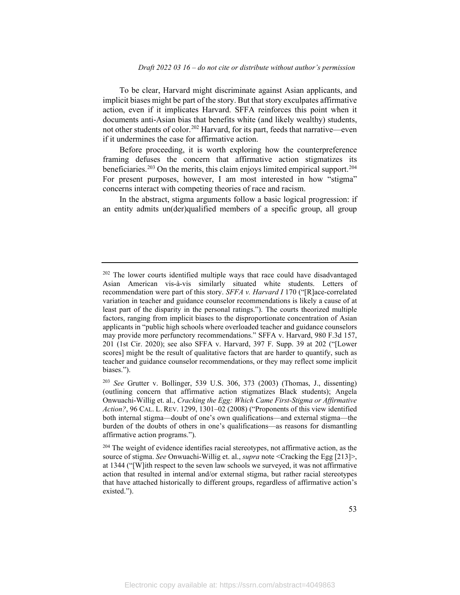To be clear, Harvard might discriminate against Asian applicants, and implicit biases might be part of the story. But that story exculpates affirmative action, even if it implicates Harvard. SFFA reinforces this point when it documents anti-Asian bias that benefits white (and likely wealthy) students, not other students of color.[202](#page-53-0) Harvard, for its part, feeds that narrative—even if it undermines the case for affirmative action.

Before proceeding, it is worth exploring how the counterpreference framing defuses the concern that affirmative action stigmatizes its beneficiaries.<sup>[203](#page-53-1)</sup> On the merits, this claim enjoys limited empirical support.<sup>[204](#page-53-2)</sup> For present purposes, however, I am most interested in how "stigma" concerns interact with competing theories of race and racism.

In the abstract, stigma arguments follow a basic logical progression: if an entity admits un(der)qualified members of a specific group, all group

<span id="page-53-0"></span> $202$  The lower courts identified multiple ways that race could have disadvantaged Asian American vis-à-vis similarly situated white students. Letters of recommendation were part of this story. *SFFA v. Harvard I* 170 ("[R]ace-correlated variation in teacher and guidance counselor recommendations is likely a cause of at least part of the disparity in the personal ratings."). The courts theorized multiple factors, ranging from implicit biases to the disproportionate concentration of Asian applicants in "public high schools where overloaded teacher and guidance counselors may provide more perfunctory recommendations." SFFA v. Harvard, 980 F.3d 157, 201 (1st Cir. 2020); see also SFFA v. Harvard, 397 F. Supp. 39 at 202 ("[Lower scores] might be the result of qualitative factors that are harder to quantify, such as teacher and guidance counselor recommendations, or they may reflect some implicit biases.").

<span id="page-53-1"></span><sup>203</sup> *See* Grutter v. Bollinger, 539 U.S. 306, 373 (2003) (Thomas, J., dissenting) (outlining concern that affirmative action stigmatizes Black students); Angela Onwuachi-Willig et. al., *Cracking the Egg: Which Came First-Stigma or Affirmative Action?*, 96 CAL. L. REV. 1299, 1301–02 (2008) ("Proponents of this view identified both internal stigma—doubt of one's own qualifications—and external stigma—the burden of the doubts of others in one's qualifications—as reasons for dismantling affirmative action programs.").

<span id="page-53-2"></span> $204$  The weight of evidence identifies racial stereotypes, not affirmative action, as the source of stigma. *See* Onwuachi-Willig et. al., *supra* note <Cracking the Egg [213]>, at 1344 ("[W]ith respect to the seven law schools we surveyed, it was not affirmative action that resulted in internal and/or external stigma, but rather racial stereotypes that have attached historically to different groups, regardless of affirmative action's existed.").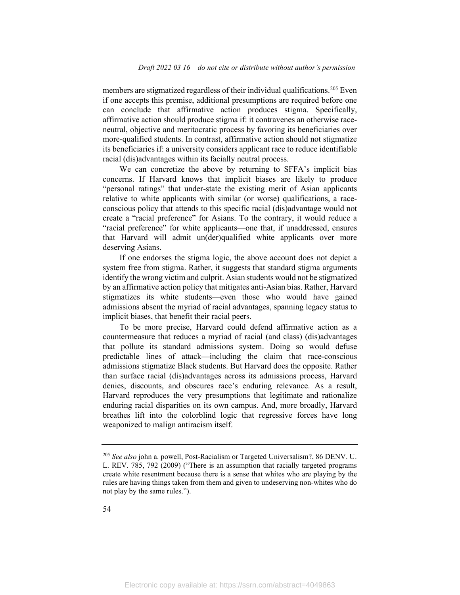members are stigmatized regardless of their individual qualifications. [205](#page-54-0) Even if one accepts this premise, additional presumptions are required before one can conclude that affirmative action produces stigma. Specifically, affirmative action should produce stigma if: it contravenes an otherwise raceneutral, objective and meritocratic process by favoring its beneficiaries over more-qualified students. In contrast, affirmative action should not stigmatize its beneficiaries if: a university considers applicant race to reduce identifiable racial (dis)advantages within its facially neutral process.

We can concretize the above by returning to SFFA's implicit bias concerns. If Harvard knows that implicit biases are likely to produce "personal ratings" that under-state the existing merit of Asian applicants relative to white applicants with similar (or worse) qualifications, a raceconscious policy that attends to this specific racial (dis)advantage would not create a "racial preference" for Asians. To the contrary, it would reduce a "racial preference" for white applicants—one that, if unaddressed, ensures that Harvard will admit un(der)qualified white applicants over more deserving Asians.

If one endorses the stigma logic, the above account does not depict a system free from stigma. Rather, it suggests that standard stigma arguments identify the wrong victim and culprit. Asian students would not be stigmatized by an affirmative action policy that mitigates anti-Asian bias. Rather, Harvard stigmatizes its white students—even those who would have gained admissions absent the myriad of racial advantages, spanning legacy status to implicit biases, that benefit their racial peers.

To be more precise, Harvard could defend affirmative action as a countermeasure that reduces a myriad of racial (and class) (dis)advantages that pollute its standard admissions system. Doing so would defuse predictable lines of attack—including the claim that race-conscious admissions stigmatize Black students. But Harvard does the opposite. Rather than surface racial (dis)advantages across its admissions process, Harvard denies, discounts, and obscures race's enduring relevance. As a result, Harvard reproduces the very presumptions that legitimate and rationalize enduring racial disparities on its own campus. And, more broadly, Harvard breathes lift into the colorblind logic that regressive forces have long weaponized to malign antiracism itself.

<span id="page-54-0"></span><sup>205</sup> *See also* john a. powell, Post-Racialism or Targeted Universalism?, 86 DENV. U. L. REV. 785, 792 (2009) ("There is an assumption that racially targeted programs create white resentment because there is a sense that whites who are playing by the rules are having things taken from them and given to undeserving non-whites who do not play by the same rules.").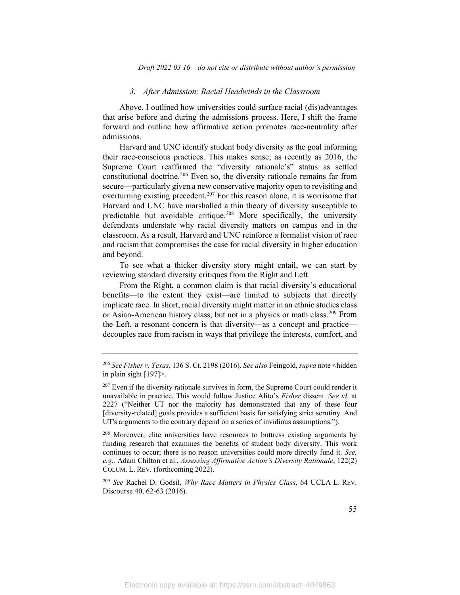#### *3. After Admission: Racial Headwinds in the Classroom*

Above, I outlined how universities could surface racial (dis)advantages that arise before and during the admissions process. Here, I shift the frame forward and outline how affirmative action promotes race-neutrality after admissions.

Harvard and UNC identify student body diversity as the goal informing their race-conscious practices. This makes sense; as recently as 2016, the Supreme Court reaffirmed the "diversity rationale's" status as settled constitutional doctrine.<sup>[206](#page-55-0)</sup> Even so, the diversity rationale remains far from secure—particularly given a new conservative majority open to revisiting and overturning existing precedent. [207](#page-55-1) For this reason alone, it is worrisome that Harvard and UNC have marshalled a thin theory of diversity susceptible to predictable but avoidable critique.[208](#page-55-2) More specifically, the university defendants understate why racial diversity matters on campus and in the classroom. As a result, Harvard and UNC reinforce a formalist vision of race and racism that compromises the case for racial diversity in higher education and beyond.

To see what a thicker diversity story might entail, we can start by reviewing standard diversity critiques from the Right and Left.

From the Right, a common claim is that racial diversity's educational benefits—to the extent they exist—are limited to subjects that directly implicate race. In short, racial diversity might matter in an ethnic studies class or Asian-American history class, but not in a physics or math class.<sup>[209](#page-55-3)</sup> From the Left, a resonant concern is that diversity—as a concept and practice decouples race from racism in ways that privilege the interests, comfort, and

<span id="page-55-2"></span> $208$  Moreover, elite universities have resources to buttress existing arguments by funding research that examines the benefits of student body diversity. This work continues to occur; there is no reason universities could more directly fund it. *See, e.g.,* Adam Chilton et al., *Assessing Affirmative Action's Diversity Rationale*, 122(2) COLUM. L. REV. (forthcoming 2022).

<span id="page-55-3"></span><sup>209</sup> *See* Rachel D. Godsil, *Why Race Matters in Physics Class*, 64 UCLA L. REV. Discourse 40, 62-63 (2016).

<span id="page-55-0"></span><sup>206</sup> *See Fisher v. Texas*, 136 S. Ct. 2198 (2016). *See also* Feingold, *supra* note <hidden in plain sight [197]>.

<span id="page-55-1"></span> $207$  Even if the diversity rationale survives in form, the Supreme Court could render it unavailable in practice. This would follow Justice Alito's *Fisher* dissent. *See id.* at 2227 ("Neither UT nor the majority has demonstrated that any of these four [diversity-related] goals provides a sufficient basis for satisfying strict scrutiny. And UT's arguments to the contrary depend on a series of invidious assumptions.").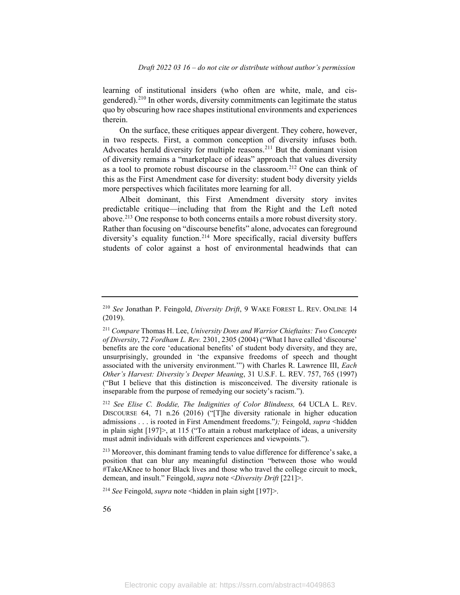learning of institutional insiders (who often are white, male, and cis-gendered).<sup>[210](#page-56-0)</sup> In other words, diversity commitments can legitimate the status quo by obscuring how race shapes institutional environments and experiences therein.

On the surface, these critiques appear divergent. They cohere, however, in two respects. First, a common conception of diversity infuses both. Advocates herald diversity for multiple reasons.[211](#page-56-1) But the dominant vision of diversity remains a "marketplace of ideas" approach that values diversity as a tool to promote robust discourse in the classroom.<sup>[212](#page-56-2)</sup> One can think of this as the First Amendment case for diversity: student body diversity yields more perspectives which facilitates more learning for all.

Albeit dominant, this First Amendment diversity story invites predictable critique—including that from the Right and the Left noted above. [213](#page-56-3) One response to both concerns entails a more robust diversity story. Rather than focusing on "discourse benefits" alone, advocates can foreground diversity's equality function. [214](#page-56-4) More specifically, racial diversity buffers students of color against a host of environmental headwinds that can

<span id="page-56-4"></span><sup>214</sup> *See* Feingold, *supra* note <hidden in plain sight [197]>.

<span id="page-56-0"></span><sup>210</sup> *See* Jonathan P. Feingold, *Diversity Drift*, 9 WAKE FOREST L. REV. ONLINE 14 (2019).

<span id="page-56-1"></span><sup>211</sup> *Compare* Thomas H. Lee, *University Dons and Warrior Chieftains: Two Concepts of Diversity*, 72 *Fordham L. Rev.* 2301, 2305 (2004) ("What I have called 'discourse' benefits are the core 'educational benefits' of student body diversity, and they are, unsurprisingly, grounded in 'the expansive freedoms of speech and thought associated with the university environment.'") with Charles R. Lawrence III, *Each Other's Harvest: Diversity's Deeper Meaning*, 31 U.S.F. L. REV. 757, 765 (1997) ("But I believe that this distinction is misconceived. The diversity rationale is inseparable from the purpose of remedying our society's racism.").

<span id="page-56-2"></span><sup>212</sup> *See Elise C. Boddie, The Indignities of Color Blindness,* 64 UCLA L. REV. DISCOURSE 64, 71 n.26 (2016) ("[T]he diversity rationale in higher education admissions . . . is rooted in First Amendment freedoms."*);* Feingold, *supra* <hidden in plain sight [197]>, at 115 ("To attain a robust marketplace of ideas, a university must admit individuals with different experiences and viewpoints.").

<span id="page-56-3"></span><sup>&</sup>lt;sup>213</sup> Moreover, this dominant framing tends to value difference for difference's sake, a position that can blur any meaningful distinction "between those who would #TakeAKnee to honor Black lives and those who travel the college circuit to mock, demean, and insult." Feingold, *supra* note <*Diversity Drift* [221]>.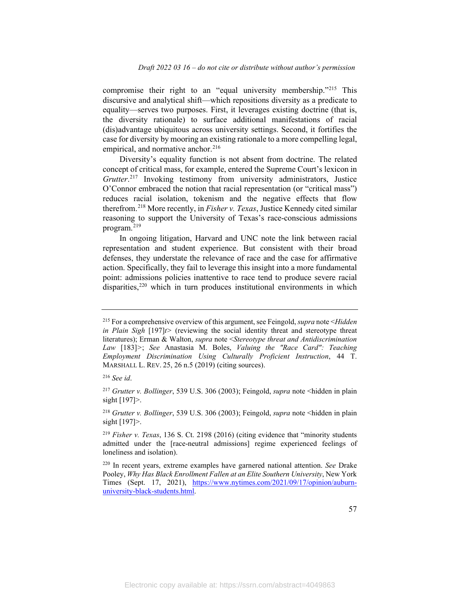compromise their right to an "equal university membership."<sup>[215](#page-57-0)</sup> This discursive and analytical shift—which repositions diversity as a predicate to equality—serves two purposes. First, it leverages existing doctrine (that is, the diversity rationale) to surface additional manifestations of racial (dis)advantage ubiquitous across university settings. Second, it fortifies the case for diversity by mooring an existing rationale to a more compelling legal, empirical, and normative anchor. $216$ 

Diversity's equality function is not absent from doctrine. The related concept of critical mass, for example, entered the Supreme Court's lexicon in *Grutter*. [217](#page-57-2) Invoking testimony from university administrators, Justice O'Connor embraced the notion that racial representation (or "critical mass") reduces racial isolation, tokenism and the negative effects that flow therefrom. [218](#page-57-3) More recently, in *Fisher v. Texas*, Justice Kennedy cited similar reasoning to support the University of Texas's race-conscious admissions program. [219](#page-57-4)

In ongoing litigation, Harvard and UNC note the link between racial representation and student experience. But consistent with their broad defenses, they understate the relevance of race and the case for affirmative action. Specifically, they fail to leverage this insight into a more fundamental point: admissions policies inattentive to race tend to produce severe racial disparities,<sup>[220](#page-57-5)</sup> which in turn produces institutional environments in which

<span id="page-57-0"></span><sup>215</sup> For a comprehensive overview of this argument, see Feingold, *supra* note <*Hidden in Plain Sigh* [197]*t>* (reviewing the social identity threat and stereotype threat literatures); Erman & Walton, *supra* note <*Stereotype threat and Antidiscrimination Law* [183]*>*; *See* Anastasia M. Boles, *Valuing the "Race Card": Teaching Employment Discrimination Using Culturally Proficient Instruction*, 44 T. MARSHALL L. REV. 25, 26 n.5 (2019) (citing sources).

<span id="page-57-1"></span><sup>216</sup> *See id*.

<span id="page-57-2"></span><sup>217</sup> *Grutter v. Bollinger*, 539 U.S. 306 (2003); Feingold, *supra* note <hidden in plain sight [197]>.

<span id="page-57-3"></span><sup>218</sup> *Grutter v. Bollinger*, 539 U.S. 306 (2003); Feingold, *supra* note <hidden in plain sight [197]>.

<span id="page-57-4"></span><sup>219</sup> *Fisher v. Texas*, 136 S. Ct. 2198 (2016) (citing evidence that "minority students admitted under the [race-neutral admissions] regime experienced feelings of loneliness and isolation).

<span id="page-57-5"></span><sup>220</sup> In recent years, extreme examples have garnered national attention. *See* Drake Pooley, *Why Has Black Enrollment Fallen at an Elite Southern University*, New York Times (Sept. 17, 2021), [https://www.nytimes.com/2021/09/17/opinion/auburn](https://www.nytimes.com/2021/09/17/opinion/auburn-university-black-students.html)[university-black-students.html.](https://www.nytimes.com/2021/09/17/opinion/auburn-university-black-students.html)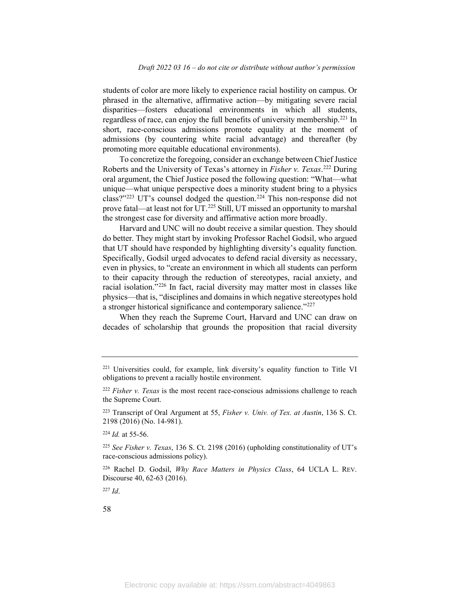students of color are more likely to experience racial hostility on campus. Or phrased in the alternative, affirmative action—by mitigating severe racial disparities—fosters educational environments in which all students, regardless of race, can enjoy the full benefits of university membership.<sup>[221](#page-58-0)</sup> In short, race-conscious admissions promote equality at the moment of admissions (by countering white racial advantage) and thereafter (by promoting more equitable educational environments).

To concretize the foregoing, consider an exchange between Chief Justice Roberts and the University of Texas's attorney in *Fisher v. Texas*. [222](#page-58-1) During oral argument, the Chief Justice posed the following question: "What—what unique—what unique perspective does a minority student bring to a physics class?" $223$  UT's counsel dodged the question.<sup>[224](#page-58-3)</sup> This non-response did not prove fatal—at least not for UT.<sup>[225](#page-58-4)</sup> Still, UT missed an opportunity to marshal the strongest case for diversity and affirmative action more broadly.

Harvard and UNC will no doubt receive a similar question. They should do better. They might start by invoking Professor Rachel Godsil, who argued that UT should have responded by highlighting diversity's equality function. Specifically, Godsil urged advocates to defend racial diversity as necessary, even in physics, to "create an environment in which all students can perform to their capacity through the reduction of stereotypes, racial anxiety, and racial isolation."[226](#page-58-5) In fact, racial diversity may matter most in classes like physics—that is, "disciplines and domains in which negative stereotypes hold a stronger historical significance and contemporary salience."<sup>[227](#page-58-6)</sup>

When they reach the Supreme Court, Harvard and UNC can draw on decades of scholarship that grounds the proposition that racial diversity

<span id="page-58-3"></span><sup>224</sup> *Id.* at 55-56.

<span id="page-58-6"></span><sup>227</sup> *Id*.

<span id="page-58-0"></span><sup>221</sup> Universities could, for example, link diversity's equality function to Title VI obligations to prevent a racially hostile environment.

<span id="page-58-1"></span><sup>222</sup> *Fisher v. Texas* is the most recent race-conscious admissions challenge to reach the Supreme Court.

<span id="page-58-2"></span><sup>223</sup> Transcript of Oral Argument at 55, *Fisher v. Univ. of Tex. at Austin*, 136 S. Ct. 2198 (2016) (No. 14-981).

<span id="page-58-4"></span><sup>225</sup> *See Fisher v. Texas*, 136 S. Ct. 2198 (2016) (upholding constitutionality of UT's race-conscious admissions policy).

<span id="page-58-5"></span><sup>226</sup> Rachel D. Godsil, *Why Race Matters in Physics Class*, 64 UCLA L. REV. Discourse 40, 62-63 (2016).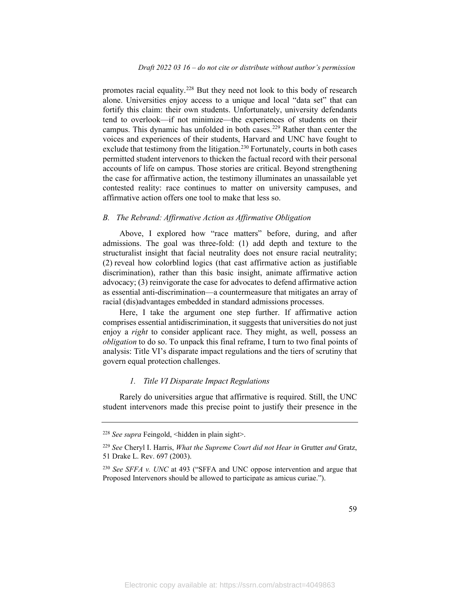promotes racial equality.<sup>[228](#page-59-0)</sup> But they need not look to this body of research alone. Universities enjoy access to a unique and local "data set" that can fortify this claim: their own students. Unfortunately, university defendants tend to overlook—if not minimize—the experiences of students on their campus. This dynamic has unfolded in both cases.<sup>[229](#page-59-1)</sup> Rather than center the voices and experiences of their students, Harvard and UNC have fought to exclude that testimony from the litigation.<sup>[230](#page-59-2)</sup> Fortunately, courts in both cases permitted student intervenors to thicken the factual record with their personal accounts of life on campus. Those stories are critical. Beyond strengthening the case for affirmative action, the testimony illuminates an unassailable yet contested reality: race continues to matter on university campuses, and affirmative action offers one tool to make that less so.

#### *B. The Rebrand: Affirmative Action as Affirmative Obligation*

Above, I explored how "race matters" before, during, and after admissions. The goal was three-fold: (1) add depth and texture to the structuralist insight that facial neutrality does not ensure racial neutrality; (2) reveal how colorblind logics (that cast affirmative action as justifiable discrimination), rather than this basic insight, animate affirmative action advocacy; (3) reinvigorate the case for advocates to defend affirmative action as essential anti-discrimination—a countermeasure that mitigates an array of racial (dis)advantages embedded in standard admissions processes.

Here, I take the argument one step further. If affirmative action comprises essential antidiscrimination, it suggests that universities do not just enjoy a *right* to consider applicant race. They might, as well, possess an *obligation* to do so. To unpack this final reframe, I turn to two final points of analysis: Title VI's disparate impact regulations and the tiers of scrutiny that govern equal protection challenges.

#### *1. Title VI Disparate Impact Regulations*

Rarely do universities argue that affirmative is required. Still, the UNC student intervenors made this precise point to justify their presence in the

<span id="page-59-0"></span><sup>228</sup> *See supra* Feingold, <hidden in plain sight>.

<span id="page-59-1"></span><sup>229</sup> *See* Cheryl I. Harris, *What the Supreme Court did not Hear in* Grutter *and* Gratz, 51 Drake L. Rev. 697 (2003).

<span id="page-59-2"></span><sup>230</sup> *See SFFA v. UNC* at 493 ("SFFA and UNC oppose intervention and argue that Proposed Intervenors should be allowed to participate as amicus curiae.").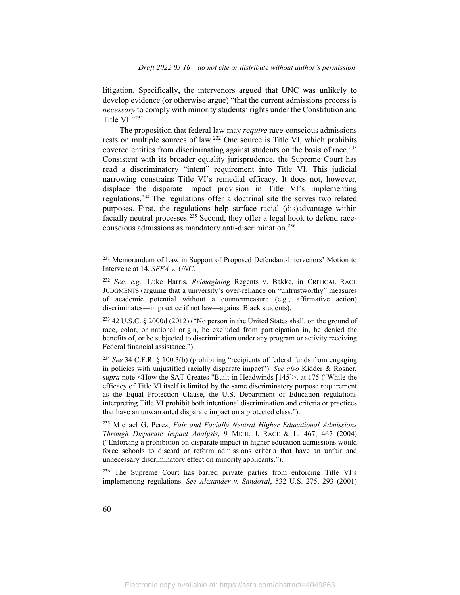litigation. Specifically, the intervenors argued that UNC was unlikely to develop evidence (or otherwise argue) "that the current admissions process is *necessary* to comply with minority students' rights under the Constitution and Title VI."[231](#page-60-0)

The proposition that federal law may *require* race-conscious admissions rests on multiple sources of law.<sup>[232](#page-60-1)</sup> One source is Title VI, which prohibits covered entities from discriminating against students on the basis of race.<sup>[233](#page-60-2)</sup> Consistent with its broader equality jurisprudence, the Supreme Court has read a discriminatory "intent" requirement into Title VI. This judicial narrowing constrains Title VI's remedial efficacy. It does not, however, displace the disparate impact provision in Title VI's implementing regulations.<sup>[234](#page-60-3)</sup> The regulations offer a doctrinal site the serves two related purposes. First, the regulations help surface racial (dis)advantage within facially neutral processes.<sup>[235](#page-60-4)</sup> Second, they offer a legal hook to defend raceconscious admissions as mandatory anti-discrimination.[236](#page-60-5)

<span id="page-60-0"></span><sup>231</sup> Memorandum of Law in Support of Proposed Defendant-Intervenors' Motion to Intervene at 14, *SFFA v. UNC*.

<span id="page-60-1"></span><sup>232</sup> *See, e.g.,* Luke Harris, *Reimagining* Regents v. Bakke, in CRITICAL RACE JUDGMENTS (arguing that a university's over-reliance on "untrustworthy" measures of academic potential without a countermeasure (e.g., affirmative action) discriminates—in practice if not law—against Black students).

<span id="page-60-2"></span><sup>233</sup> 42 U.S.C. § 2000d (2012) ("No person in the United States shall, on the ground of race, color, or national origin, be excluded from participation in, be denied the benefits of, or be subjected to discrimination under any program or activity receiving Federal financial assistance.").

<span id="page-60-3"></span><sup>234</sup> *See* 34 C.F.R. § 100.3(b) (prohibiting "recipients of federal funds from engaging in policies with unjustified racially disparate impact"). *See also* Kidder & Rosner, *supra* note *<*How the SAT Creates "Built-in Headwinds [145]>, at 175 ("While the efficacy of Title VI itself is limited by the same discriminatory purpose requirement as the Equal Protection Clause, the U.S. Department of Education regulations interpreting Title VI prohibit both intentional discrimination and criteria or practices that have an unwarranted disparate impact on a protected class.").

<span id="page-60-4"></span><sup>235</sup> Michael G. Perez, *Fair and Facially Neutral Higher Educational Admissions Through Disparate Impact Analysis*, 9 MICH. J. RACE & L. 467, 467 (2004) ("Enforcing a prohibition on disparate impact in higher education admissions would force schools to discard or reform admissions criteria that have an unfair and unnecessary discriminatory effect on minority applicants.").

<span id="page-60-5"></span><sup>&</sup>lt;sup>236</sup> The Supreme Court has barred private parties from enforcing Title VI's implementing regulations. *See Alexander v. Sandoval*, 532 U.S. 275, 293 (2001)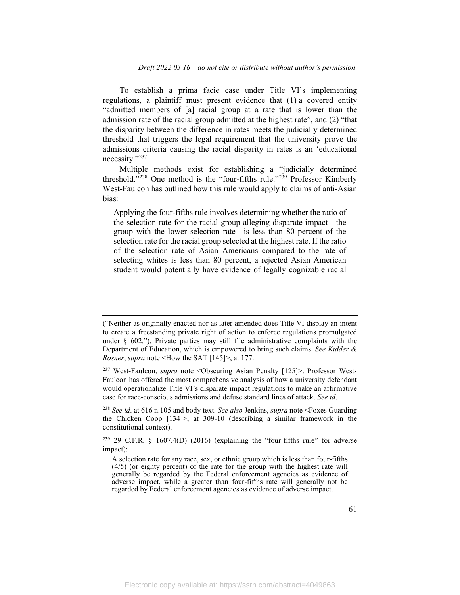To establish a prima facie case under Title VI's implementing regulations, a plaintiff must present evidence that (1) a covered entity "admitted members of [a] racial group at a rate that is lower than the admission rate of the racial group admitted at the highest rate", and (2) "that the disparity between the difference in rates meets the judicially determined threshold that triggers the legal requirement that the university prove the admissions criteria causing the racial disparity in rates is an 'educational necessity."[237](#page-61-0)

Multiple methods exist for establishing a "judicially determined threshold."<sup>[238](#page-61-1)</sup> One method is the "four-fifths rule."<sup>[239](#page-61-2)</sup> Professor Kimberly West-Faulcon has outlined how this rule would apply to claims of anti-Asian bias:

Applying the four-fifths rule involves determining whether the ratio of the selection rate for the racial group alleging disparate impact—the group with the lower selection rate—is less than 80 percent of the selection rate for the racial group selected at the highest rate. If the ratio of the selection rate of Asian Americans compared to the rate of selecting whites is less than 80 percent, a rejected Asian American student would potentially have evidence of legally cognizable racial

<span id="page-61-1"></span><sup>238</sup> *See id*. at 616 n.105 and body text. *See also* Jenkins, *supra* note <Foxes Guarding the Chicken Coop  $[134]$ , at 309-10 (describing a similar framework in the constitutional context).

<span id="page-61-2"></span> $239$  29 C.F.R. § 1607.4(D) (2016) (explaining the "four-fifths rule" for adverse impact):

<sup>(&</sup>quot;Neither as originally enacted nor as later amended does Title VI display an intent to create a freestanding private right of action to enforce regulations promulgated under § 602*.*"). Private parties may still file administrative complaints with the Department of Education, which is empowered to bring such claims. *See Kidder & Rosner*, *supra* note <How the SAT [145]>, at 177.

<span id="page-61-0"></span><sup>237</sup> West-Faulcon, *supra* note <Obscuring Asian Penalty [125]>. Professor West-Faulcon has offered the most comprehensive analysis of how a university defendant would operationalize Title VI's disparate impact regulations to make an affirmative case for race-conscious admissions and defuse standard lines of attack. *See id*.

A selection rate for any race, sex, or ethnic group which is less than four-fifths (4/5) (or eighty percent) of the rate for the group with the highest rate will generally be regarded by the Federal enforcement agencies as evidence of adverse impact, while a greater than four-fifths rate will generally not be regarded by Federal enforcement agencies as evidence of adverse impact.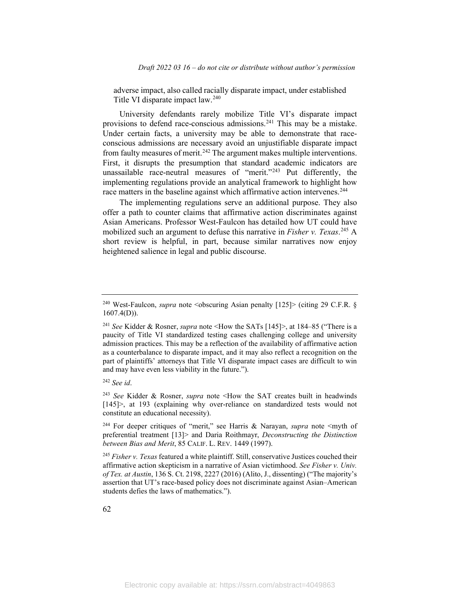*Draft 2022 03 16 – do not cite or distribute without author's permission*

adverse impact, also called racially disparate impact, under established Title VI disparate impact law.<sup>[240](#page-62-0)</sup>

University defendants rarely mobilize Title VI's disparate impact provisions to defend race-conscious admissions.<sup>[241](#page-62-1)</sup> This may be a mistake. Under certain facts, a university may be able to demonstrate that raceconscious admissions are necessary avoid an unjustifiable disparate impact from faulty measures of merit.<sup>[242](#page-62-2)</sup> The argument makes multiple interventions. First, it disrupts the presumption that standard academic indicators are unassailable race-neutral measures of "merit."[243](#page-62-3) Put differently, the implementing regulations provide an analytical framework to highlight how race matters in the baseline against which affirmative action intervenes.<sup>[244](#page-62-4)</sup>

The implementing regulations serve an additional purpose. They also offer a path to counter claims that affirmative action discriminates against Asian Americans. Professor West-Faulcon has detailed how UT could have mobilized such an argument to defuse this narrative in *Fisher v. Texas*. [245](#page-62-5) A short review is helpful, in part, because similar narratives now enjoy heightened salience in legal and public discourse.

<span id="page-62-2"></span><sup>242</sup> *See id*.

<span id="page-62-3"></span><sup>243</sup> *See* Kidder & Rosner, *supra* note <How the SAT creates built in headwinds [145]>, at 193 (explaining why over-reliance on standardized tests would not constitute an educational necessity).

<span id="page-62-4"></span><sup>244</sup> For deeper critiques of "merit," see Harris & Narayan, *supra* note <myth of preferential treatment [13]> and Daria Roithmayr, *Deconstructing the Distinction between Bias and Merit*, 85 CALIF. L. REV. 1449 (1997).

<span id="page-62-5"></span><sup>245</sup> *Fisher v. Texas* featured a white plaintiff. Still, conservative Justices couched their affirmative action skepticism in a narrative of Asian victimhood. *See Fisher v. Univ. of Tex. at Austin*, 136 S. Ct. 2198, 2227 (2016) (Alito, J., dissenting) ("The majority's assertion that UT's race-based policy does not discriminate against Asian–American students defies the laws of mathematics.").

<span id="page-62-0"></span><sup>&</sup>lt;sup>240</sup> West-Faulcon, *supra* note < obscuring Asian penalty [125] > (citing 29 C.F.R. § 1607.4(D)).

<span id="page-62-1"></span><sup>241</sup> *See* Kidder & Rosner, *supra* note <How the SATs [145]>, at 184–85 ("There is a paucity of Title VI standardized testing cases challenging college and university admission practices. This may be a reflection of the availability of affirmative action as a counterbalance to disparate impact, and it may also reflect a recognition on the part of plaintiffs' attorneys that Title VI disparate impact cases are difficult to win and may have even less viability in the future.").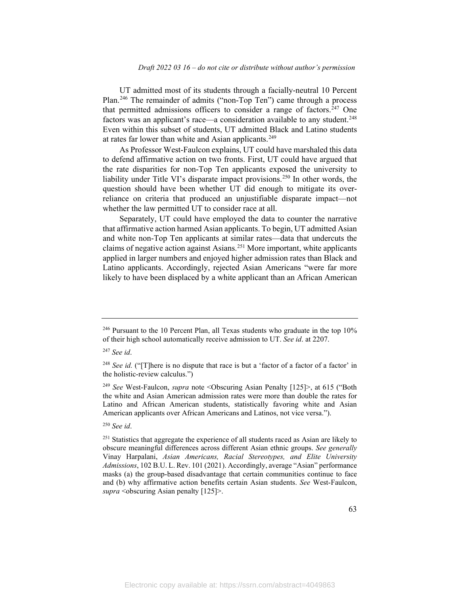UT admitted most of its students through a facially-neutral 10 Percent Plan.[246](#page-63-0) The remainder of admits ("non-Top Ten") came through a process that permitted admissions officers to consider a range of factors.<sup>[247](#page-63-1)</sup> One factors was an applicant's race—a consideration available to any student.<sup>[248](#page-63-2)</sup> Even within this subset of students, UT admitted Black and Latino students at rates far lower than white and Asian applicants.<sup>[249](#page-63-3)</sup>

As Professor West-Faulcon explains, UT could have marshaled this data to defend affirmative action on two fronts. First, UT could have argued that the rate disparities for non-Top Ten applicants exposed the university to liability under Title VI's disparate impact provisions.<sup>[250](#page-63-4)</sup> In other words, the question should have been whether UT did enough to mitigate its overreliance on criteria that produced an unjustifiable disparate impact—not whether the law permitted UT to consider race at all.

Separately, UT could have employed the data to counter the narrative that affirmative action harmed Asian applicants. To begin, UT admitted Asian and white non-Top Ten applicants at similar rates—data that undercuts the claims of negative action against Asians. [251](#page-63-5) More important, white applicants applied in larger numbers and enjoyed higher admission rates than Black and Latino applicants. Accordingly, rejected Asian Americans "were far more likely to have been displaced by a white applicant than an African American

<span id="page-63-0"></span> $246$  Pursuant to the 10 Percent Plan, all Texas students who graduate in the top 10% of their high school automatically receive admission to UT. *See id*. at 2207.

<span id="page-63-1"></span><sup>247</sup> *See id*.

<span id="page-63-2"></span><sup>&</sup>lt;sup>248</sup> *See id.* ("[T]here is no dispute that race is but a 'factor of a factor of a factor' in the holistic-review calculus.")

<span id="page-63-3"></span><sup>249</sup> *See* West-Faulcon, *supra* note <Obscuring Asian Penalty [125]>, at 615 ("Both the white and Asian American admission rates were more than double the rates for Latino and African American students, statistically favoring white and Asian American applicants over African Americans and Latinos, not vice versa.").

<span id="page-63-4"></span><sup>250</sup> *See id*.

<span id="page-63-5"></span> $251$  Statistics that aggregate the experience of all students raced as Asian are likely to obscure meaningful differences across different Asian ethnic groups. *See generally*  Vinay Harpalani, *Asian Americans, Racial Stereotypes, and Elite University Admissions*, 102 B.U. L. Rev. 101 (2021). Accordingly, average "Asian" performance masks (a) the group-based disadvantage that certain communities continue to face and (b) why affirmative action benefits certain Asian students. *See* West-Faulcon, *supra* <obscuring Asian penalty [125]>.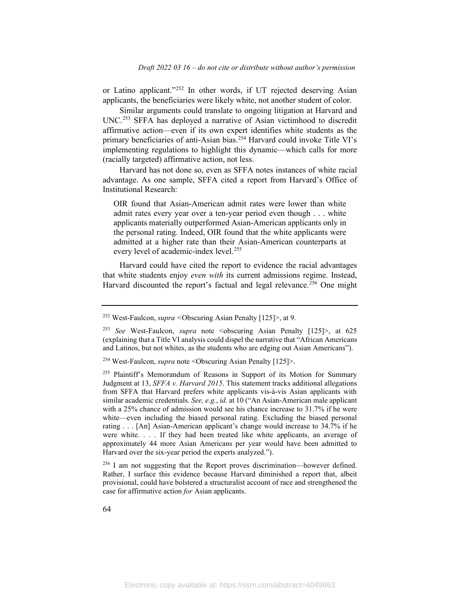or Latino applicant."[252](#page-64-0) In other words, if UT rejected deserving Asian applicants, the beneficiaries were likely white, not another student of color.

Similar arguments could translate to ongoing litigation at Harvard and UNC. [253](#page-64-1) SFFA has deployed a narrative of Asian victimhood to discredit affirmative action—even if its own expert identifies white students as the primary beneficiaries of anti-Asian bias.<sup>[254](#page-64-2)</sup> Harvard could invoke Title VI's implementing regulations to highlight this dynamic—which calls for more (racially targeted) affirmative action, not less.

Harvard has not done so, even as SFFA notes instances of white racial advantage. As one sample, SFFA cited a report from Harvard's Office of Institutional Research:

OIR found that Asian-American admit rates were lower than white admit rates every year over a ten-year period even though . . . white applicants materially outperformed Asian-American applicants only in the personal rating. Indeed, OIR found that the white applicants were admitted at a higher rate than their Asian-American counterparts at every level of academic-index level.<sup>[255](#page-64-3)</sup>

Harvard could have cited the report to evidence the racial advantages that white students enjoy *even with* its current admissions regime. Instead, Harvard discounted the report's factual and legal relevance.<sup>[256](#page-64-4)</sup> One might

<span id="page-64-0"></span><sup>252</sup> West-Faulcon, *supra <*Obscuring Asian Penalty [125]>, at 9.

<span id="page-64-1"></span><sup>253</sup> *See* West-Faulcon, *supra* note <obscuring Asian Penalty [125]>, at 625 (explaining that a Title VI analysis could dispel the narrative that "African Americans and Latinos, but not whites, as the students who are edging out Asian Americans").

<span id="page-64-2"></span><sup>254</sup> West-Faulcon, *supra* note <Obscuring Asian Penalty [125]>.

<span id="page-64-3"></span><sup>&</sup>lt;sup>255</sup> Plaintiff's Memorandum of Reasons in Support of its Motion for Summary Judgment at 13, *SFFA v. Harvard 2015*. This statement tracks additional allegations from SFFA that Harvard prefers white applicants vis-à-vis Asian applicants with similar academic credentials. *See, e.g.*, *id*. at 10 ("An Asian-American male applicant with a 25% chance of admission would see his chance increase to 31.7% if he were white—even including the biased personal rating. Excluding the biased personal rating . . . [An] Asian-American applicant's change would increase to 34.7% if he were white. . . . If they had been treated like white applicants, an average of approximately 44 more Asian Americans per year would have been admitted to Harvard over the six-year period the experts analyzed.").

<span id="page-64-4"></span><sup>256</sup> I am not suggesting that the Report proves discrimination—however defined. Rather, I surface this evidence because Harvard diminished a report that, albeit provisional, could have bolstered a structuralist account of race and strengthened the case for affirmative action *for* Asian applicants.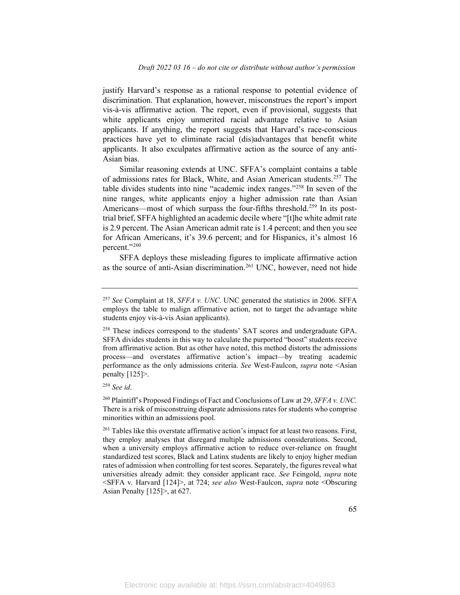justify Harvard's response as a rational response to potential evidence of discrimination. That explanation, however, misconstrues the report's import vis-à-vis affirmative action. The report, even if provisional, suggests that white applicants enjoy unmerited racial advantage relative to Asian applicants. If anything, the report suggests that Harvard's race-conscious practices have yet to eliminate racial (dis)advantages that benefit white applicants. It also exculpates affirmative action as the source of any anti-Asian bias.

Similar reasoning extends at UNC. SFFA's complaint contains a table of admissions rates for Black, White, and Asian American students.[257](#page-65-0) The table divides students into nine "academic index ranges."[258](#page-65-1) In seven of the nine ranges, white applicants enjoy a higher admission rate than Asian Americans—most of which surpass the four-fifths threshold.<sup>259</sup> In its posttrial brief, SFFA highlighted an academic decile where "[t]he white admit rate is 2.9 percent. The Asian American admit rate is 1.4 percent; and then you see for African Americans, it's 39.6 percent; and for Hispanics, it's almost 16 percent."<sup>[260](#page-65-3)</sup>

SFFA deploys these misleading figures to implicate affirmative action as the source of anti-Asian discrimination.<sup>[261](#page-65-4)</sup> UNC, however, need not hide

<span id="page-65-0"></span><sup>257</sup> *See* Complaint at 18, *SFFA v. UNC*. UNC generated the statistics in 2006. SFFA employs the table to malign affirmative action, not to target the advantage white students enjoy vis-à-vis Asian applicants).

<span id="page-65-1"></span><sup>&</sup>lt;sup>258</sup> These indices correspond to the students' SAT scores and undergraduate GPA. SFFA divides students in this way to calculate the purported "boost" students receive from affirmative action. But as other have noted, this method distorts the admissions process—and overstates affirmative action's impact—by treating academic performance as the only admissions criteria. *See* West-Faulcon, *supra* note <Asian penalty [125]>.

<span id="page-65-2"></span><sup>259</sup> *See id*.

<span id="page-65-3"></span><sup>260</sup> Plaintiff's Proposed Findings of Fact and Conclusions of Law at 29, *SFFA v. UNC.* There is a risk of misconstruing disparate admissions rates for students who comprise minorities within an admissions pool.

<span id="page-65-4"></span><sup>&</sup>lt;sup>261</sup> Tables like this overstate affirmative action's impact for at least two reasons. First, they employ analyses that disregard multiple admissions considerations. Second, when a university employs affirmative action to reduce over-reliance on fraught standardized test scores, Black and Latinx students are likely to enjoy higher median rates of admission when controlling for test scores. Separately, the figures reveal what universities already admit: they consider applicant race. *See* Feingold, *supra* note <SFFA v*.* Harvard [124]>, at 724; *see also* West-Faulcon, *supra* note <Obscuring Asian Penalty [125]>, at 627.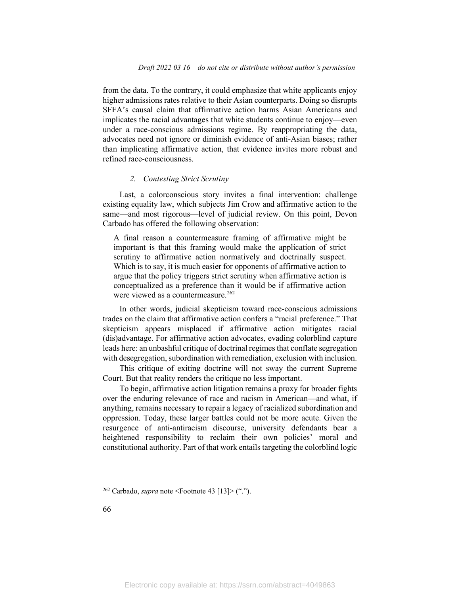from the data. To the contrary, it could emphasize that white applicants enjoy higher admissions rates relative to their Asian counterparts. Doing so disrupts SFFA's causal claim that affirmative action harms Asian Americans and implicates the racial advantages that white students continue to enjoy—even under a race-conscious admissions regime. By reappropriating the data, advocates need not ignore or diminish evidence of anti-Asian biases; rather than implicating affirmative action, that evidence invites more robust and refined race-consciousness.

#### *2. Contesting Strict Scrutiny*

Last, a colorconscious story invites a final intervention: challenge existing equality law, which subjects Jim Crow and affirmative action to the same—and most rigorous—level of judicial review. On this point, Devon Carbado has offered the following observation:

A final reason a countermeasure framing of affirmative might be important is that this framing would make the application of strict scrutiny to affirmative action normatively and doctrinally suspect. Which is to say, it is much easier for opponents of affirmative action to argue that the policy triggers strict scrutiny when affirmative action is conceptualized as a preference than it would be if affirmative action were viewed as a countermeasure.<sup>[262](#page-66-0)</sup>

In other words, judicial skepticism toward race-conscious admissions trades on the claim that affirmative action confers a "racial preference." That skepticism appears misplaced if affirmative action mitigates racial (dis)advantage. For affirmative action advocates, evading colorblind capture leads here: an unbashful critique of doctrinal regimes that conflate segregation with desegregation, subordination with remediation, exclusion with inclusion.

This critique of exiting doctrine will not sway the current Supreme Court. But that reality renders the critique no less important.

To begin, affirmative action litigation remains a proxy for broader fights over the enduring relevance of race and racism in American—and what, if anything, remains necessary to repair a legacy of racialized subordination and oppression. Today, these larger battles could not be more acute. Given the resurgence of anti-antiracism discourse, university defendants bear a heightened responsibility to reclaim their own policies' moral and constitutional authority. Part of that work entails targeting the colorblind logic

<span id="page-66-0"></span><sup>262</sup> Carbado, *supra* note <Footnote 43 [13]> (".").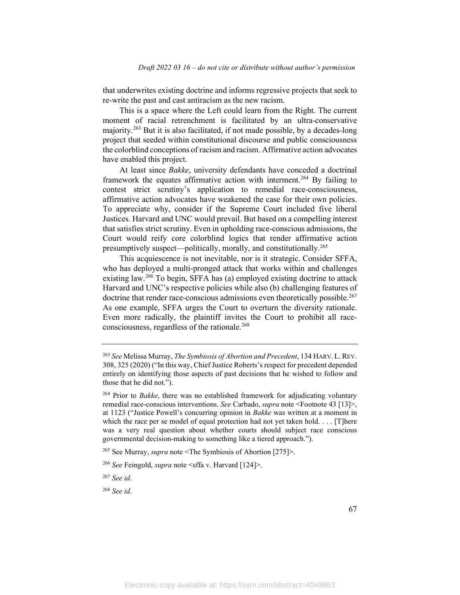that underwrites existing doctrine and informs regressive projects that seek to re-write the past and cast antiracism as the new racism.

This is a space where the Left could learn from the Right. The current moment of racial retrenchment is facilitated by an ultra-conservative majority. [263](#page-67-0) But it is also facilitated, if not made possible, by a decades-long project that seeded within constitutional discourse and public consciousness the colorblind conceptions of racism and racism. Affirmative action advocates have enabled this project.

At least since *Bakke*, university defendants have conceded a doctrinal framework the equates affirmative action with interment.<sup>[264](#page-67-1)</sup> By failing to contest strict scrutiny's application to remedial race-consciousness, affirmative action advocates have weakened the case for their own policies. To appreciate why, consider if the Supreme Court included five liberal Justices. Harvard and UNC would prevail. But based on a compelling interest that satisfies strict scrutiny. Even in upholding race-conscious admissions, the Court would reify core colorblind logics that render affirmative action presumptively suspect—politically, morally, and constitutionally.<sup>[265](#page-67-2)</sup>

This acquiescence is not inevitable, nor is it strategic. Consider SFFA, who has deployed a multi-pronged attack that works within and challenges existing law.<sup>[266](#page-67-3)</sup> To begin, SFFA has (a) employed existing doctrine to attack Harvard and UNC's respective policies while also (b) challenging features of doctrine that render race-conscious admissions even theoretically possible.<sup>[267](#page-67-4)</sup> As one example, SFFA urges the Court to overturn the diversity rationale. Even more radically, the plaintiff invites the Court to prohibit all race-consciousness, regardless of the rationale.<sup>[268](#page-67-5)</sup>

<span id="page-67-0"></span><sup>263</sup> *See* Melissa Murray, *The Symbiosis of Abortion and Precedent*, 134 HARV. L.REV. 308, 325 (2020) ("In this way, Chief Justice Roberts's respect for precedent depended entirely on identifying those aspects of past decisions that he wished to follow and those that he did not.").

<span id="page-67-1"></span><sup>264</sup> Prior to *Bakke*, there was no established framework for adjudicating voluntary remedial race-conscious interventions. *See* Carbado, *supra* note <Footnote 43 [13]>, at 1123 ("Justice Powell's concurring opinion in *Bakke* was written at a moment in which the race per se model of equal protection had not yet taken hold. . . . [T]here was a very real question about whether courts should subject race conscious governmental decision-making to something like a tiered approach.").

<span id="page-67-2"></span><sup>265</sup> See Murray, *supra* note <The Symbiosis of Abortion [275]>.

<span id="page-67-3"></span><sup>266</sup> *See* Feingold, *supra* note <sffa v. Harvard [124]>.

<span id="page-67-4"></span><sup>267</sup> *See id*.

<span id="page-67-5"></span><sup>268</sup> *See id*.